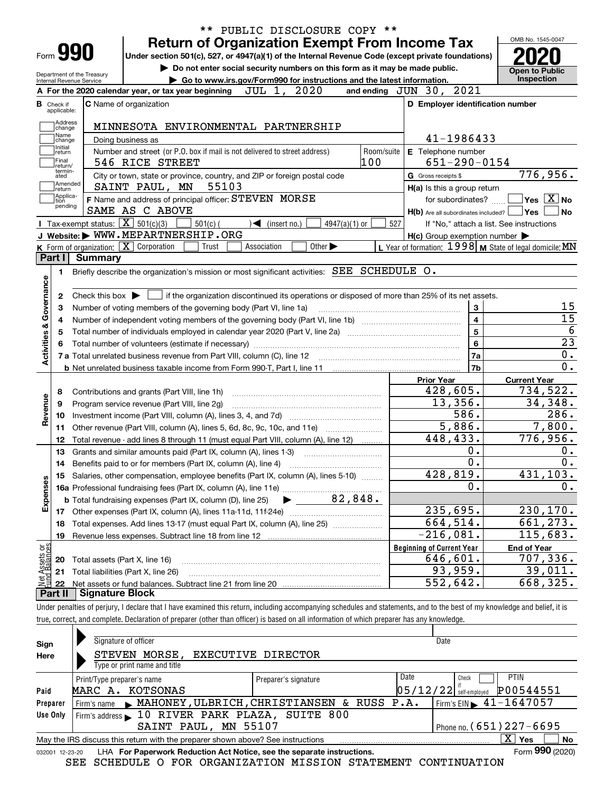|                                                      | Form 990<br>Department of the Treasury<br>Internal Revenue Service |                                     | <b>Return of Organization Exempt From Income Tax</b><br>Under section 501(c), 527, or 4947(a)(1) of the Internal Revenue Code (except private foundations) | Do not enter social security numbers on this form as it may be made public.<br>Go to www.irs.gov/Form990 for instructions and the latest information. |             |                                   |                             |                 |                         |     |                                  |                                                     | <b>Open to Public</b>                                     | OMB No. 1545-0047<br><b>Inspection</b>                                                                         |
|------------------------------------------------------|--------------------------------------------------------------------|-------------------------------------|------------------------------------------------------------------------------------------------------------------------------------------------------------|-------------------------------------------------------------------------------------------------------------------------------------------------------|-------------|-----------------------------------|-----------------------------|-----------------|-------------------------|-----|----------------------------------|-----------------------------------------------------|-----------------------------------------------------------|----------------------------------------------------------------------------------------------------------------|
|                                                      |                                                                    |                                     | A For the 2020 calendar year, or tax year beginning                                                                                                        |                                                                                                                                                       | JUL 1,      |                                   | 2020                        |                 | and ending JUN 30, 2021 |     |                                  |                                                     |                                                           |                                                                                                                |
| <b>B</b> Check if<br>applicable:<br>Address          |                                                                    | <b>C</b> Name of organization       |                                                                                                                                                            |                                                                                                                                                       |             |                                   |                             |                 |                         |     |                                  |                                                     | D Employer identification number                          |                                                                                                                |
| change<br>Name                                       |                                                                    |                                     | MINNESOTA ENVIRONMENTAL PARTNERSHIP                                                                                                                        |                                                                                                                                                       |             |                                   |                             |                 |                         |     |                                  |                                                     |                                                           |                                                                                                                |
| change<br>Initial                                    |                                                                    | Doing business as                   |                                                                                                                                                            |                                                                                                                                                       |             |                                   |                             |                 |                         |     |                                  | 41-1986433                                          |                                                           |                                                                                                                |
| return<br> Final                                     |                                                                    |                                     | Number and street (or P.O. box if mail is not delivered to street address)                                                                                 |                                                                                                                                                       |             |                                   |                             |                 | Room/suite<br>100       |     |                                  | E Telephone number<br>$651 - 290 - 0154$            |                                                           |                                                                                                                |
| Ireturn/<br>termin-                                  |                                                                    |                                     | 546 RICE STREET                                                                                                                                            |                                                                                                                                                       |             |                                   |                             |                 |                         |     |                                  |                                                     |                                                           |                                                                                                                |
| ated<br>Amended                                      |                                                                    |                                     | City or town, state or province, country, and ZIP or foreign postal code                                                                                   |                                                                                                                                                       |             |                                   |                             |                 |                         |     | G Gross receipts \$              |                                                     |                                                           | 776,956.                                                                                                       |
| ∣return<br> Applica-                                 |                                                                    |                                     | SAINT PAUL, MN                                                                                                                                             | 55103                                                                                                                                                 |             |                                   |                             |                 |                         |     |                                  | $H(a)$ is this a group return                       |                                                           |                                                                                                                |
| tion<br>pending                                      |                                                                    |                                     | F Name and address of principal officer: STEVEN MORSE                                                                                                      |                                                                                                                                                       |             |                                   |                             |                 |                         |     |                                  | for subordinates?                                   |                                                           | $\overline{\,}$ Yes $\overline{\rm X}$ No                                                                      |
|                                                      |                                                                    |                                     | SAME AS C ABOVE                                                                                                                                            |                                                                                                                                                       |             |                                   |                             |                 |                         |     |                                  |                                                     | H(b) Are all subordinates included? Ves                   |                                                                                                                |
|                                                      | Tax-exempt status: $\boxed{\mathbf{X}}$ 501(c)(3)                  |                                     | J Website: WWW.MEPARTNERSHIP.ORG                                                                                                                           | $501(c)$ (                                                                                                                                            |             | $\sqrt{\frac{1}{1}}$ (insert no.) |                             | $4947(a)(1)$ or |                         | 527 |                                  |                                                     | If "No," attach a list. See instructions                  |                                                                                                                |
|                                                      |                                                                    |                                     |                                                                                                                                                            |                                                                                                                                                       |             |                                   | Other $\blacktriangleright$ |                 |                         |     |                                  | $H(c)$ Group exemption number $\blacktriangleright$ |                                                           |                                                                                                                |
| Part I                                               | K Form of organization: X Corporation<br>Summary                   |                                     |                                                                                                                                                            | Trust                                                                                                                                                 | Association |                                   |                             |                 |                         |     |                                  |                                                     | L Year of formation: $1998$ M State of legal domicile: MN |                                                                                                                |
|                                                      |                                                                    |                                     |                                                                                                                                                            |                                                                                                                                                       |             |                                   |                             |                 |                         |     |                                  |                                                     |                                                           |                                                                                                                |
| 1.                                                   |                                                                    |                                     | Briefly describe the organization's mission or most significant activities: SEE SCHEDULE O.                                                                |                                                                                                                                                       |             |                                   |                             |                 |                         |     |                                  |                                                     |                                                           |                                                                                                                |
|                                                      |                                                                    |                                     |                                                                                                                                                            |                                                                                                                                                       |             |                                   |                             |                 |                         |     |                                  |                                                     |                                                           |                                                                                                                |
| 2                                                    |                                                                    |                                     | Check this box $\blacktriangleright$ $\blacksquare$ if the organization discontinued its operations or disposed of more than 25% of its net assets.        |                                                                                                                                                       |             |                                   |                             |                 |                         |     |                                  |                                                     |                                                           |                                                                                                                |
| З                                                    |                                                                    |                                     |                                                                                                                                                            |                                                                                                                                                       |             |                                   |                             |                 |                         |     |                                  |                                                     |                                                           |                                                                                                                |
|                                                      |                                                                    |                                     | Number of voting members of the governing body (Part VI, line 1a)                                                                                          |                                                                                                                                                       |             |                                   |                             |                 |                         |     |                                  | 3                                                   |                                                           |                                                                                                                |
| 4                                                    |                                                                    |                                     |                                                                                                                                                            |                                                                                                                                                       |             |                                   |                             |                 |                         |     |                                  | 4                                                   |                                                           |                                                                                                                |
| 5                                                    |                                                                    |                                     |                                                                                                                                                            |                                                                                                                                                       |             |                                   |                             |                 |                         |     |                                  | $\overline{5}$                                      |                                                           |                                                                                                                |
|                                                      |                                                                    |                                     |                                                                                                                                                            |                                                                                                                                                       |             |                                   |                             |                 |                         |     |                                  | $\bf 6$                                             |                                                           |                                                                                                                |
|                                                      |                                                                    |                                     |                                                                                                                                                            |                                                                                                                                                       |             |                                   |                             |                 |                         |     |                                  | 7a                                                  |                                                           |                                                                                                                |
|                                                      |                                                                    |                                     |                                                                                                                                                            |                                                                                                                                                       |             |                                   |                             |                 |                         |     |                                  | 7b                                                  |                                                           |                                                                                                                |
|                                                      |                                                                    |                                     |                                                                                                                                                            |                                                                                                                                                       |             |                                   |                             |                 |                         |     | <b>Prior Year</b>                |                                                     | <b>Current Year</b>                                       |                                                                                                                |
| 8                                                    |                                                                    |                                     | Contributions and grants (Part VIII, line 1h)                                                                                                              |                                                                                                                                                       |             |                                   |                             |                 |                         |     |                                  | 428,605.                                            |                                                           |                                                                                                                |
| 9                                                    |                                                                    |                                     | Program service revenue (Part VIII, line 2g)                                                                                                               |                                                                                                                                                       |             |                                   |                             |                 |                         |     |                                  | 13,356.                                             |                                                           |                                                                                                                |
| 10                                                   |                                                                    |                                     |                                                                                                                                                            |                                                                                                                                                       |             |                                   |                             |                 |                         |     |                                  | 586.                                                |                                                           |                                                                                                                |
| 11                                                   |                                                                    |                                     | Other revenue (Part VIII, column (A), lines 5, 6d, 8c, 9c, 10c, and 11e)                                                                                   |                                                                                                                                                       |             |                                   |                             |                 |                         |     |                                  | 5,886.                                              |                                                           |                                                                                                                |
| 12                                                   |                                                                    |                                     | Total revenue - add lines 8 through 11 (must equal Part VIII, column (A), line 12)                                                                         |                                                                                                                                                       |             |                                   |                             |                 |                         |     |                                  | 448,433.                                            |                                                           |                                                                                                                |
| 13                                                   |                                                                    |                                     | Grants and similar amounts paid (Part IX, column (A), lines 1-3)                                                                                           |                                                                                                                                                       |             |                                   |                             |                 |                         |     |                                  | $0$ .                                               |                                                           |                                                                                                                |
| 14                                                   |                                                                    |                                     |                                                                                                                                                            |                                                                                                                                                       |             |                                   |                             |                 |                         |     |                                  | 0.                                                  |                                                           |                                                                                                                |
|                                                      |                                                                    |                                     |                                                                                                                                                            |                                                                                                                                                       |             |                                   |                             |                 |                         |     |                                  | 428, 819.                                           |                                                           |                                                                                                                |
|                                                      |                                                                    |                                     | 15 Salaries, other compensation, employee benefits (Part IX, column (A), lines 5-10)                                                                       |                                                                                                                                                       |             |                                   |                             |                 |                         |     |                                  | 0.                                                  |                                                           |                                                                                                                |
|                                                      |                                                                    |                                     |                                                                                                                                                            |                                                                                                                                                       |             |                                   |                             |                 |                         |     |                                  |                                                     |                                                           |                                                                                                                |
|                                                      |                                                                    |                                     | <b>b</b> Total fundraising expenses (Part IX, column (D), line 25)                                                                                         |                                                                                                                                                       |             |                                   |                             | 82,848.         |                         |     |                                  |                                                     |                                                           |                                                                                                                |
| 17                                                   |                                                                    |                                     |                                                                                                                                                            |                                                                                                                                                       |             |                                   |                             |                 |                         |     |                                  | 235,695.                                            |                                                           |                                                                                                                |
| 18                                                   |                                                                    |                                     | Total expenses. Add lines 13-17 (must equal Part IX, column (A), line 25)                                                                                  |                                                                                                                                                       |             |                                   |                             |                 |                         |     |                                  | 664,514.                                            |                                                           |                                                                                                                |
| 19                                                   |                                                                    |                                     | Revenue less expenses. Subtract line 18 from line 12                                                                                                       |                                                                                                                                                       |             |                                   |                             |                 |                         |     | $-216,081.$                      |                                                     |                                                           |                                                                                                                |
|                                                      |                                                                    |                                     |                                                                                                                                                            |                                                                                                                                                       |             |                                   |                             |                 |                         |     | <b>Beginning of Current Year</b> |                                                     | <b>End of Year</b>                                        |                                                                                                                |
| Activities & Governance<br>Revenue<br>Expenses<br>20 |                                                                    | Total assets (Part X, line 16)      |                                                                                                                                                            |                                                                                                                                                       |             |                                   |                             |                 |                         |     |                                  | $\overline{646}$ , 601.                             |                                                           | 734,522.<br>34,348.<br>286.<br>7,800.<br>776,956.<br>431,103.<br>230, 170.<br>661,273.<br>115,683.<br>707,336. |
| t Assets or<br>d Balances<br>21<br>-22               |                                                                    | Total liabilities (Part X, line 26) |                                                                                                                                                            |                                                                                                                                                       |             |                                   |                             |                 |                         |     |                                  | 93,959.<br>552,642.                                 |                                                           | 39,011.<br>668, 325.                                                                                           |

true, correct, and complete. Declaration of preparer (other than officer) is based on all information of which preparer has any knowledge.

| Sign     | Signature of officer                                                                                         |                                  | Date                                              |  |  |  |  |  |  |  |  |
|----------|--------------------------------------------------------------------------------------------------------------|----------------------------------|---------------------------------------------------|--|--|--|--|--|--|--|--|
| Here     |                                                                                                              | STEVEN MORSE, EXECUTIVE DIRECTOR |                                                   |  |  |  |  |  |  |  |  |
|          | Type or print name and title                                                                                 |                                  |                                                   |  |  |  |  |  |  |  |  |
|          | Print/Type preparer's name                                                                                   | Preparer's signature             | Date<br><b>PTIN</b><br>Check                      |  |  |  |  |  |  |  |  |
| Paid     | MARC A. KOTSONAS                                                                                             |                                  | P00544551<br>$05/12/22$ self-employed             |  |  |  |  |  |  |  |  |
| Preparer | Firm's name MAHONEY, ULBRICH, CHRISTIANSEN & RUSS P.A.                                                       |                                  | $\frac{1}{2}$ Firm's EIN $\rightarrow$ 41-1647057 |  |  |  |  |  |  |  |  |
| Use Only | Firm's address 10 RIVER PARK PLAZA, SUITE 800                                                                |                                  |                                                   |  |  |  |  |  |  |  |  |
|          | Phone no. (651) 227-6695<br>SAINT PAUL, MN 55107                                                             |                                  |                                                   |  |  |  |  |  |  |  |  |
|          | $\mathbf{X}$<br>No<br>Yes<br>May the IRS discuss this return with the preparer shown above? See instructions |                                  |                                                   |  |  |  |  |  |  |  |  |
|          | Form 990 (2020)<br>LHA For Paperwork Reduction Act Notice, see the separate instructions.<br>032001 12-23-20 |                                  |                                                   |  |  |  |  |  |  |  |  |

SEE SCHEDULE O FOR ORGANIZATION MISSION STATEMENT CONTINUATION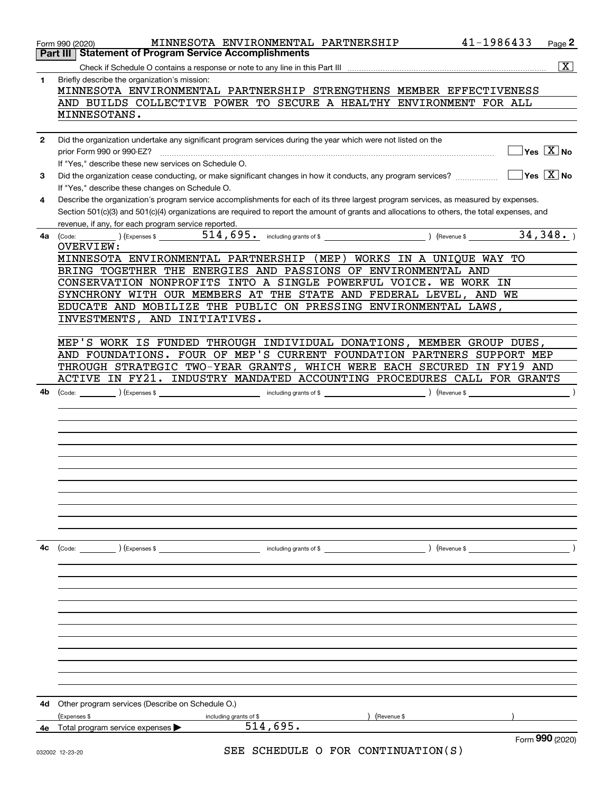|              | 41-1986433<br>MINNESOTA ENVIRONMENTAL PARTNERSHIP<br>Form 990 (2020)                                                                         | Page 2                  |
|--------------|----------------------------------------------------------------------------------------------------------------------------------------------|-------------------------|
|              | <b>Statement of Program Service Accomplishments</b><br>Part III                                                                              |                         |
|              |                                                                                                                                              | $\overline{\mathbf{X}}$ |
| 1            | Briefly describe the organization's mission:                                                                                                 |                         |
|              | MINNESOTA ENVIRONMENTAL PARTNERSHIP STRENGTHENS MEMBER EFFECTIVENESS                                                                         |                         |
|              | AND BUILDS COLLECTIVE POWER TO SECURE A HEALTHY ENVIRONMENT FOR ALL                                                                          |                         |
|              | MINNESOTANS.                                                                                                                                 |                         |
|              |                                                                                                                                              |                         |
| $\mathbf{2}$ | Did the organization undertake any significant program services during the year which were not listed on the                                 |                         |
|              | $Yes \quad X$ No<br>prior Form 990 or 990-EZ?                                                                                                |                         |
|              | If "Yes," describe these new services on Schedule O.                                                                                         |                         |
| 3            | $Yes \ \boxed{X}$ No<br>Did the organization cease conducting, or make significant changes in how it conducts, any program services?         |                         |
|              | If "Yes," describe these changes on Schedule O.                                                                                              |                         |
| 4            | Describe the organization's program service accomplishments for each of its three largest program services, as measured by expenses.         |                         |
|              | Section 501(c)(3) and 501(c)(4) organizations are required to report the amount of grants and allocations to others, the total expenses, and |                         |
|              | revenue, if any, for each program service reported.<br>34,348.                                                                               |                         |
| 4a           | $($ Expenses $\$$<br>(Code:                                                                                                                  |                         |
|              | OVERVIEW:<br>MINNESOTA ENVIRONMENTAL PARTNERSHIP (MEP) WORKS IN A UNIQUE WAY TO                                                              |                         |
|              | BRING TOGETHER THE ENERGIES AND PASSIONS OF ENVIRONMENTAL AND                                                                                |                         |
|              | CONSERVATION NONPROFITS INTO A SINGLE POWERFUL VOICE. WE WORK IN                                                                             |                         |
|              | SYNCHRONY WITH OUR MEMBERS AT THE STATE AND FEDERAL LEVEL, AND WE                                                                            |                         |
|              | EDUCATE AND MOBILIZE THE PUBLIC ON PRESSING ENVIRONMENTAL LAWS,                                                                              |                         |
|              | INVESTMENTS, AND INITIATIVES.                                                                                                                |                         |
|              |                                                                                                                                              |                         |
|              | MEP'S WORK IS FUNDED THROUGH INDIVIDUAL DONATIONS, MEMBER GROUP DUES,                                                                        |                         |
|              | AND FOUNDATIONS. FOUR OF MEP'S CURRENT FOUNDATION PARTNERS SUPPORT MEP                                                                       |                         |
|              | THROUGH STRATEGIC TWO-YEAR GRANTS, WHICH WERE EACH SECURED IN FY19 AND                                                                       |                         |
|              | ACTIVE IN FY21. INDUSTRY MANDATED ACCOUNTING PROCEDURES CALL FOR GRANTS                                                                      |                         |
| 4b           | and the contract of the contract of \$<br>(Revenue \$<br>(Code:<br>) (Expenses \$                                                            |                         |
|              |                                                                                                                                              |                         |
|              |                                                                                                                                              |                         |
|              |                                                                                                                                              |                         |
|              |                                                                                                                                              |                         |
|              |                                                                                                                                              |                         |
|              |                                                                                                                                              |                         |
|              |                                                                                                                                              |                         |
|              |                                                                                                                                              |                         |
|              |                                                                                                                                              |                         |
|              |                                                                                                                                              |                         |
|              |                                                                                                                                              |                         |
|              |                                                                                                                                              |                         |
| 4с           | ) (Revenue \$<br>(Code: ) (Expenses \$<br>including grants of \$                                                                             |                         |
|              |                                                                                                                                              |                         |
|              |                                                                                                                                              |                         |
|              |                                                                                                                                              |                         |
|              |                                                                                                                                              |                         |
|              |                                                                                                                                              |                         |
|              |                                                                                                                                              |                         |
|              |                                                                                                                                              |                         |
|              |                                                                                                                                              |                         |
|              |                                                                                                                                              |                         |
|              |                                                                                                                                              |                         |
|              |                                                                                                                                              |                         |
|              |                                                                                                                                              |                         |
| 4d           | Other program services (Describe on Schedule O.)                                                                                             |                         |
|              | (Expenses \$<br>including grants of \$<br>(Revenue \$                                                                                        |                         |
|              | 514,695.<br>4e Total program service expenses >                                                                                              |                         |
|              | Form 990 (2020)                                                                                                                              |                         |

SEE SCHEDULE O FOR CONTINUATION(S)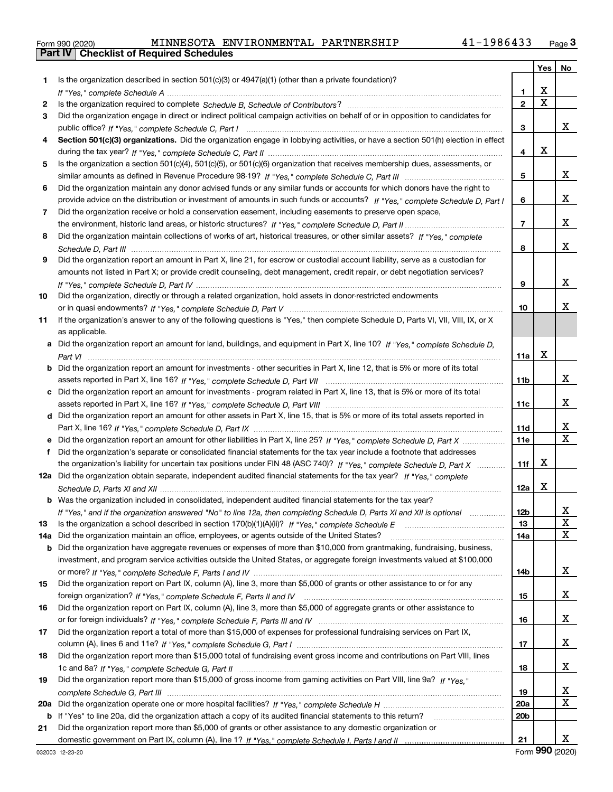|  | Form 990 (2020) |
|--|-----------------|

|     |                                                                                                                                                                                                                                                   |                 | Yes | No          |
|-----|---------------------------------------------------------------------------------------------------------------------------------------------------------------------------------------------------------------------------------------------------|-----------------|-----|-------------|
| 1.  | Is the organization described in section $501(c)(3)$ or $4947(a)(1)$ (other than a private foundation)?                                                                                                                                           |                 |     |             |
|     |                                                                                                                                                                                                                                                   | 1.              | х   |             |
| 2   |                                                                                                                                                                                                                                                   | $\overline{2}$  | X   |             |
| 3   | Did the organization engage in direct or indirect political campaign activities on behalf of or in opposition to candidates for                                                                                                                   |                 |     |             |
|     |                                                                                                                                                                                                                                                   | 3               |     | x           |
| 4   | Section 501(c)(3) organizations. Did the organization engage in lobbying activities, or have a section 501(h) election in effect                                                                                                                  |                 |     |             |
|     |                                                                                                                                                                                                                                                   | 4               | х   |             |
| 5   | Is the organization a section 501(c)(4), 501(c)(5), or 501(c)(6) organization that receives membership dues, assessments, or                                                                                                                      |                 |     |             |
|     |                                                                                                                                                                                                                                                   | 5               |     | x           |
| 6   | Did the organization maintain any donor advised funds or any similar funds or accounts for which donors have the right to                                                                                                                         |                 |     |             |
|     | provide advice on the distribution or investment of amounts in such funds or accounts? If "Yes," complete Schedule D, Part I                                                                                                                      | 6               |     | x           |
| 7   | Did the organization receive or hold a conservation easement, including easements to preserve open space,                                                                                                                                         |                 |     |             |
|     |                                                                                                                                                                                                                                                   | $\overline{7}$  |     | х           |
| 8   | Did the organization maintain collections of works of art, historical treasures, or other similar assets? If "Yes," complete                                                                                                                      |                 |     |             |
|     |                                                                                                                                                                                                                                                   | 8               |     | х           |
| 9   | Did the organization report an amount in Part X, line 21, for escrow or custodial account liability, serve as a custodian for                                                                                                                     |                 |     |             |
|     | amounts not listed in Part X; or provide credit counseling, debt management, credit repair, or debt negotiation services?                                                                                                                         |                 |     |             |
|     |                                                                                                                                                                                                                                                   | 9               |     | х           |
| 10  | Did the organization, directly or through a related organization, hold assets in donor-restricted endowments                                                                                                                                      |                 |     |             |
|     |                                                                                                                                                                                                                                                   | 10              |     | х           |
| 11  | If the organization's answer to any of the following questions is "Yes," then complete Schedule D, Parts VI, VII, VIII, IX, or X                                                                                                                  |                 |     |             |
|     | as applicable.                                                                                                                                                                                                                                    |                 |     |             |
|     | a Did the organization report an amount for land, buildings, and equipment in Part X, line 10? If "Yes." complete Schedule D.                                                                                                                     |                 |     |             |
|     |                                                                                                                                                                                                                                                   | 11a             | х   |             |
|     | <b>b</b> Did the organization report an amount for investments - other securities in Part X, line 12, that is 5% or more of its total                                                                                                             |                 |     |             |
|     |                                                                                                                                                                                                                                                   | 11 <sub>b</sub> |     | х           |
|     | c Did the organization report an amount for investments - program related in Part X, line 13, that is 5% or more of its total                                                                                                                     |                 |     |             |
|     |                                                                                                                                                                                                                                                   | 11c             |     | х           |
|     | d Did the organization report an amount for other assets in Part X, line 15, that is 5% or more of its total assets reported in                                                                                                                   |                 |     | x           |
|     |                                                                                                                                                                                                                                                   | 11d             |     | $\mathbf X$ |
|     |                                                                                                                                                                                                                                                   | <b>11e</b>      |     |             |
| f   | Did the organization's separate or consolidated financial statements for the tax year include a footnote that addresses<br>the organization's liability for uncertain tax positions under FIN 48 (ASC 740)? If "Yes," complete Schedule D, Part X | 11f             | x   |             |
|     | 12a Did the organization obtain separate, independent audited financial statements for the tax year? If "Yes," complete                                                                                                                           |                 |     |             |
|     |                                                                                                                                                                                                                                                   | 12a             | X   |             |
|     | <b>b</b> Was the organization included in consolidated, independent audited financial statements for the tax year?                                                                                                                                |                 |     |             |
|     | If "Yes," and if the organization answered "No" to line 12a, then completing Schedule D, Parts XI and XII is optional                                                                                                                             | 12 <sub>b</sub> |     |             |
| 13  |                                                                                                                                                                                                                                                   | 13              |     | ∡⊾<br>X     |
| 14a | Did the organization maintain an office, employees, or agents outside of the United States?                                                                                                                                                       | 14a             |     | X           |
|     | <b>b</b> Did the organization have aggregate revenues or expenses of more than \$10,000 from grantmaking, fundraising, business,                                                                                                                  |                 |     |             |
|     | investment, and program service activities outside the United States, or aggregate foreign investments valued at \$100,000                                                                                                                        |                 |     |             |
|     |                                                                                                                                                                                                                                                   | 14b             |     | x           |
| 15  | Did the organization report on Part IX, column (A), line 3, more than \$5,000 of grants or other assistance to or for any                                                                                                                         |                 |     |             |
|     |                                                                                                                                                                                                                                                   | 15              |     | x           |
| 16  | Did the organization report on Part IX, column (A), line 3, more than \$5,000 of aggregate grants or other assistance to                                                                                                                          |                 |     |             |
|     |                                                                                                                                                                                                                                                   | 16              |     | x           |
| 17  | Did the organization report a total of more than \$15,000 of expenses for professional fundraising services on Part IX,                                                                                                                           |                 |     |             |
|     |                                                                                                                                                                                                                                                   | 17              |     | x           |
| 18  | Did the organization report more than \$15,000 total of fundraising event gross income and contributions on Part VIII, lines                                                                                                                      |                 |     |             |
|     |                                                                                                                                                                                                                                                   | 18              |     | x           |
| 19  | Did the organization report more than \$15,000 of gross income from gaming activities on Part VIII, line 9a? If "Yes."                                                                                                                            |                 |     |             |
|     |                                                                                                                                                                                                                                                   | 19              |     | X           |
|     |                                                                                                                                                                                                                                                   | 20a             |     | X           |
|     | b If "Yes" to line 20a, did the organization attach a copy of its audited financial statements to this return?                                                                                                                                    | 20 <sub>b</sub> |     |             |
| 21  | Did the organization report more than \$5,000 of grants or other assistance to any domestic organization or                                                                                                                                       |                 |     |             |
|     |                                                                                                                                                                                                                                                   | 21              |     | х           |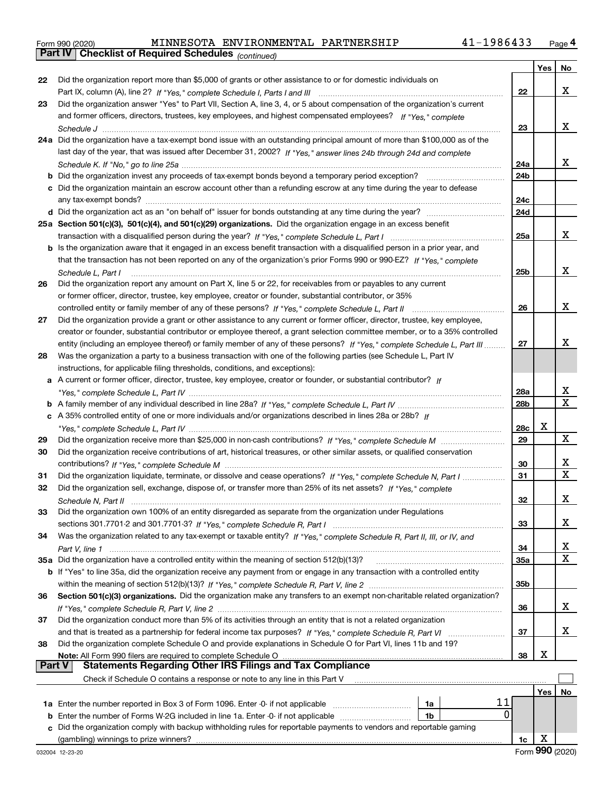|  | Form 990 (2020) |
|--|-----------------|
|  |                 |

*(continued)*

|               |                                                                                                                                                                                                                                        |                 | Yes | No     |
|---------------|----------------------------------------------------------------------------------------------------------------------------------------------------------------------------------------------------------------------------------------|-----------------|-----|--------|
| 22            | Did the organization report more than \$5,000 of grants or other assistance to or for domestic individuals on                                                                                                                          |                 |     |        |
|               |                                                                                                                                                                                                                                        | 22              |     | x      |
| 23            | Did the organization answer "Yes" to Part VII, Section A, line 3, 4, or 5 about compensation of the organization's current                                                                                                             |                 |     |        |
|               | and former officers, directors, trustees, key employees, and highest compensated employees? If "Yes," complete                                                                                                                         |                 |     |        |
|               |                                                                                                                                                                                                                                        | 23              |     | x      |
|               | 24a Did the organization have a tax-exempt bond issue with an outstanding principal amount of more than \$100,000 as of the                                                                                                            |                 |     |        |
|               | last day of the year, that was issued after December 31, 2002? If "Yes," answer lines 24b through 24d and complete                                                                                                                     |                 |     |        |
|               |                                                                                                                                                                                                                                        | 24a             |     | x      |
|               |                                                                                                                                                                                                                                        | 24 <sub>b</sub> |     |        |
|               | c Did the organization maintain an escrow account other than a refunding escrow at any time during the year to defease                                                                                                                 |                 |     |        |
|               |                                                                                                                                                                                                                                        | 24c             |     |        |
|               |                                                                                                                                                                                                                                        | 24d             |     |        |
|               | 25a Section 501(c)(3), 501(c)(4), and 501(c)(29) organizations. Did the organization engage in an excess benefit                                                                                                                       |                 |     |        |
|               |                                                                                                                                                                                                                                        | 25a             |     | x      |
|               | b Is the organization aware that it engaged in an excess benefit transaction with a disqualified person in a prior year, and                                                                                                           |                 |     |        |
|               | that the transaction has not been reported on any of the organization's prior Forms 990 or 990-EZ? If "Yes," complete                                                                                                                  |                 |     |        |
|               | Schedule L. Part I                                                                                                                                                                                                                     | 25b             |     | x      |
| 26            | Did the organization report any amount on Part X, line 5 or 22, for receivables from or payables to any current                                                                                                                        |                 |     |        |
|               | or former officer, director, trustee, key employee, creator or founder, substantial contributor, or 35%                                                                                                                                |                 |     |        |
|               | controlled entity or family member of any of these persons? If "Yes," complete Schedule L, Part II                                                                                                                                     | 26              |     | x      |
| 27            | Did the organization provide a grant or other assistance to any current or former officer, director, trustee, key employee,                                                                                                            |                 |     |        |
|               | creator or founder, substantial contributor or employee thereof, a grant selection committee member, or to a 35% controlled                                                                                                            |                 |     |        |
|               | entity (including an employee thereof) or family member of any of these persons? If "Yes," complete Schedule L, Part III                                                                                                               | 27              |     | x      |
| 28            | Was the organization a party to a business transaction with one of the following parties (see Schedule L, Part IV                                                                                                                      |                 |     |        |
|               | instructions, for applicable filing thresholds, conditions, and exceptions):                                                                                                                                                           |                 |     |        |
|               | a A current or former officer, director, trustee, key employee, creator or founder, or substantial contributor? If                                                                                                                     |                 |     |        |
|               |                                                                                                                                                                                                                                        | 28a             |     | х<br>X |
|               |                                                                                                                                                                                                                                        | 28 <sub>b</sub> |     |        |
|               | c A 35% controlled entity of one or more individuals and/or organizations described in lines 28a or 28b? If                                                                                                                            |                 | X   |        |
|               |                                                                                                                                                                                                                                        | 28c<br>29       |     | X      |
| 29            |                                                                                                                                                                                                                                        |                 |     |        |
| 30            | Did the organization receive contributions of art, historical treasures, or other similar assets, or qualified conservation                                                                                                            | 30              |     | х      |
|               |                                                                                                                                                                                                                                        | 31              |     | X      |
| 31<br>32      | Did the organization liquidate, terminate, or dissolve and cease operations? If "Yes," complete Schedule N, Part I<br>Did the organization sell, exchange, dispose of, or transfer more than 25% of its net assets? If "Yes," complete |                 |     |        |
|               |                                                                                                                                                                                                                                        | 32              |     | х      |
| 33            | Did the organization own 100% of an entity disregarded as separate from the organization under Regulations                                                                                                                             |                 |     |        |
|               |                                                                                                                                                                                                                                        | 33              |     | x      |
| 34            | Was the organization related to any tax-exempt or taxable entity? If "Yes," complete Schedule R, Part II, III, or IV, and                                                                                                              |                 |     |        |
|               |                                                                                                                                                                                                                                        | 34              |     | X      |
|               | 35a Did the organization have a controlled entity within the meaning of section 512(b)(13)?                                                                                                                                            | 35a             |     | x      |
|               | <b>b</b> If "Yes" to line 35a, did the organization receive any payment from or engage in any transaction with a controlled entity                                                                                                     |                 |     |        |
|               |                                                                                                                                                                                                                                        | 35b             |     |        |
| 36            | Section 501(c)(3) organizations. Did the organization make any transfers to an exempt non-charitable related organization?                                                                                                             |                 |     |        |
|               |                                                                                                                                                                                                                                        | 36              |     | x      |
| 37            | Did the organization conduct more than 5% of its activities through an entity that is not a related organization                                                                                                                       |                 |     |        |
|               | and that is treated as a partnership for federal income tax purposes? If "Yes," complete Schedule R, Part VI                                                                                                                           | 37              |     | x      |
| 38            | Did the organization complete Schedule O and provide explanations in Schedule O for Part VI, lines 11b and 19?                                                                                                                         |                 |     |        |
|               | Note: All Form 990 filers are required to complete Schedule O                                                                                                                                                                          | 38              | х   |        |
| <b>Part V</b> | <b>Statements Regarding Other IRS Filings and Tax Compliance</b>                                                                                                                                                                       |                 |     |        |
|               | Check if Schedule O contains a response or note to any line in this Part V                                                                                                                                                             |                 |     |        |
|               |                                                                                                                                                                                                                                        |                 | Yes | No     |
|               | 11<br>1a                                                                                                                                                                                                                               |                 |     |        |
| b             | 0<br>Enter the number of Forms W-2G included in line 1a. Enter -0- if not applicable<br>1b                                                                                                                                             |                 |     |        |
|               | Did the organization comply with backup withholding rules for reportable payments to vendors and reportable gaming                                                                                                                     |                 |     |        |
|               |                                                                                                                                                                                                                                        | 1c              | х   |        |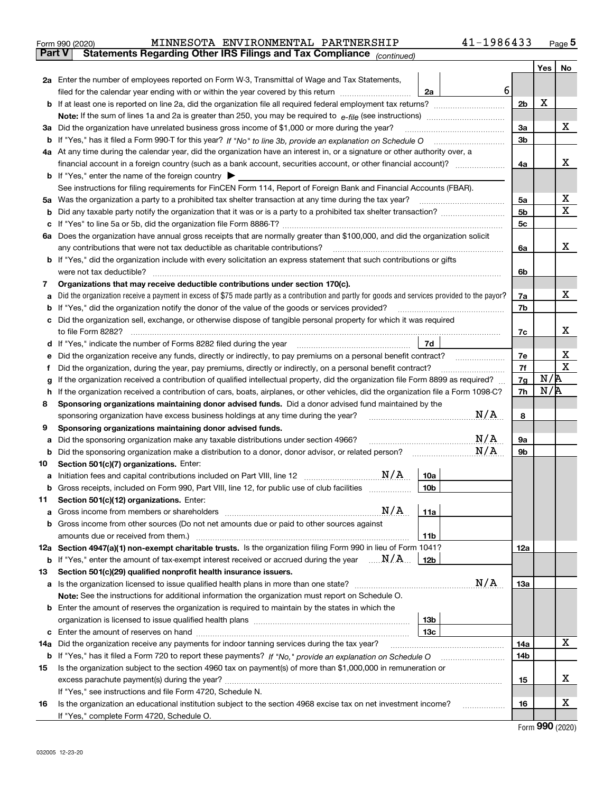| Form 990 (2020) |  | MINNESOTA ENVIRONMENTAL PARTNERSHIP |                                                                                                | $41 - 1986433$ | Page 5 |
|-----------------|--|-------------------------------------|------------------------------------------------------------------------------------------------|----------------|--------|
|                 |  |                                     | <b>Part V</b> Statements Regarding Other IRS Filings and Tax Compliance <sub>(continued)</sub> |                |        |

| rai l V | Statements Regarding Other IRS Fillings and Tax Compilance $_{(continued)}$                                                                     |                |     |             |
|---------|-------------------------------------------------------------------------------------------------------------------------------------------------|----------------|-----|-------------|
|         |                                                                                                                                                 |                | Yes | No          |
|         | 2a Enter the number of employees reported on Form W-3, Transmittal of Wage and Tax Statements,                                                  |                |     |             |
|         | 6<br>filed for the calendar year ending with or within the year covered by this return<br>2a                                                    |                |     |             |
|         |                                                                                                                                                 | 2 <sub>b</sub> | X   |             |
|         |                                                                                                                                                 |                |     |             |
|         | 3a Did the organization have unrelated business gross income of \$1,000 or more during the year?                                                | 3a             |     | х           |
|         |                                                                                                                                                 | 3b             |     |             |
|         | 4a At any time during the calendar year, did the organization have an interest in, or a signature or other authority over, a                    |                |     |             |
|         |                                                                                                                                                 | 4a             |     | x           |
|         | <b>b</b> If "Yes," enter the name of the foreign country                                                                                        |                |     |             |
|         | See instructions for filing requirements for FinCEN Form 114, Report of Foreign Bank and Financial Accounts (FBAR).                             |                |     |             |
|         | 5a Was the organization a party to a prohibited tax shelter transaction at any time during the tax year?                                        | 5a             |     | х           |
| b       |                                                                                                                                                 | 5b             |     | х           |
| с       |                                                                                                                                                 | 5c             |     |             |
|         | 6a Does the organization have annual gross receipts that are normally greater than \$100,000, and did the organization solicit                  |                |     |             |
|         | any contributions that were not tax deductible as charitable contributions?                                                                     | 6a             |     | х           |
|         | <b>b</b> If "Yes," did the organization include with every solicitation an express statement that such contributions or gifts                   |                |     |             |
|         | were not tax deductible?                                                                                                                        | 6b             |     |             |
| 7       | Organizations that may receive deductible contributions under section 170(c).                                                                   |                |     |             |
| а       | Did the organization receive a payment in excess of \$75 made partly as a contribution and partly for goods and services provided to the payor? | 7a             |     | х           |
| b       | If "Yes," did the organization notify the donor of the value of the goods or services provided?                                                 | 7b             |     |             |
|         | c Did the organization sell, exchange, or otherwise dispose of tangible personal property for which it was required                             |                |     |             |
|         | to file Form 8282?                                                                                                                              | 7c             |     | х           |
| d       | 7d<br>If "Yes," indicate the number of Forms 8282 filed during the year                                                                         |                |     |             |
| е       | Did the organization receive any funds, directly or indirectly, to pay premiums on a personal benefit contract?                                 | 7e             |     | х           |
|         | Did the organization, during the year, pay premiums, directly or indirectly, on a personal benefit contract?                                    | 7f             |     | $\mathbf X$ |
| g       | If the organization received a contribution of qualified intellectual property, did the organization file Form 8899 as required?                | 7g             | N/R |             |
| h       | If the organization received a contribution of cars, boats, airplanes, or other vehicles, did the organization file a Form 1098-C?              | 7h             | N/R |             |
| 8       | Sponsoring organizations maintaining donor advised funds. Did a donor advised fund maintained by the                                            |                |     |             |
|         | N/A<br>sponsoring organization have excess business holdings at any time during the year?                                                       | 8              |     |             |
| 9       | Sponsoring organizations maintaining donor advised funds.<br>N/A                                                                                |                |     |             |
| а       | Did the sponsoring organization make any taxable distributions under section 4966?<br>N/A                                                       | 9а             |     |             |
| b       | Did the sponsoring organization make a distribution to a donor, donor advisor, or related person?                                               | 9b             |     |             |
| 10      | Section 501(c)(7) organizations. Enter:                                                                                                         |                |     |             |
| а       | 10a<br>Gross receipts, included on Form 990, Part VIII, line 12, for public use of club facilities<br>10 <sub>b</sub>                           |                |     |             |
| b       | Section 501(c)(12) organizations. Enter:                                                                                                        |                |     |             |
| 11      | N/A                                                                                                                                             |                |     |             |
| b       | 11a<br>Gross income from other sources (Do not net amounts due or paid to other sources against                                                 |                |     |             |
|         | 11b                                                                                                                                             |                |     |             |
|         | 12a Section 4947(a)(1) non-exempt charitable trusts. Is the organization filing Form 990 in lieu of Form 1041?                                  | 12a            |     |             |
|         | <b>b</b> If "Yes," enter the amount of tax-exempt interest received or accrued during the year $\ldots \mathbf{N}/\mathbf{A}$<br>12b            |                |     |             |
| 13      | Section 501(c)(29) qualified nonprofit health insurance issuers.                                                                                |                |     |             |
| а       |                                                                                                                                                 | 13a            |     |             |
|         | Note: See the instructions for additional information the organization must report on Schedule O.                                               |                |     |             |
| b       | Enter the amount of reserves the organization is required to maintain by the states in which the                                                |                |     |             |
|         | 13b                                                                                                                                             |                |     |             |
| c       | 13c                                                                                                                                             |                |     |             |
| 14a     | Did the organization receive any payments for indoor tanning services during the tax year?                                                      | 14a            |     | х           |
| b       |                                                                                                                                                 | 14b            |     |             |
| 15      | Is the organization subject to the section 4960 tax on payment(s) of more than \$1,000,000 in remuneration or                                   |                |     |             |
|         |                                                                                                                                                 | 15             |     | х           |
|         | If "Yes," see instructions and file Form 4720, Schedule N.                                                                                      |                |     |             |
| 16      | Is the organization an educational institution subject to the section 4968 excise tax on net investment income?                                 | 16             |     | х           |
|         | If "Yes," complete Form 4720, Schedule O.                                                                                                       |                |     |             |

Form (2020) **990**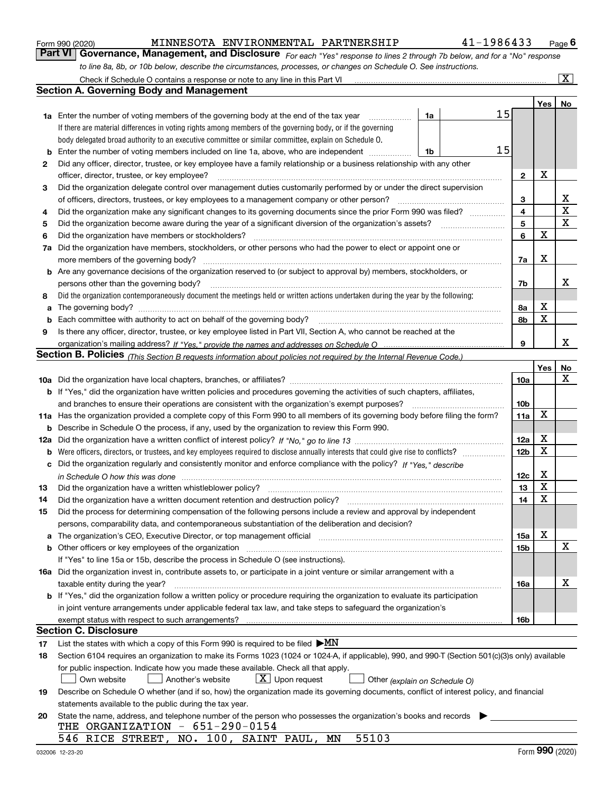|  | Form 990 (2020) |
|--|-----------------|
|  |                 |

#### MINNESOTA ENVIRONMENTAL PARTNERSHIP 41-1986433

*For each "Yes" response to lines 2 through 7b below, and for a "No" response to line 8a, 8b, or 10b below, describe the circumstances, processes, or changes on Schedule O. See instructions.* Form 990 (2020) **MINNESOTA ENVIRONMENTAL PARTNERSHIP** 41-1986433 Page 6<br>**Part VI** | Governance, Management, and Disclosure *For each "Yes" response to lines 2 through 7b below, and for a "No" response* Check if Schedule O contains a response or note to any line in this Part VI

|     | Check if Schedule O contains a response or note to any line in this Part VI                                                                                           |    |    |                 |     | X           |
|-----|-----------------------------------------------------------------------------------------------------------------------------------------------------------------------|----|----|-----------------|-----|-------------|
|     | <b>Section A. Governing Body and Management</b>                                                                                                                       |    |    |                 |     |             |
|     |                                                                                                                                                                       |    |    |                 | Yes | No          |
|     | 1a Enter the number of voting members of the governing body at the end of the tax year                                                                                | 1a | 15 |                 |     |             |
|     | If there are material differences in voting rights among members of the governing body, or if the governing                                                           |    |    |                 |     |             |
|     | body delegated broad authority to an executive committee or similar committee, explain on Schedule O.                                                                 |    |    |                 |     |             |
| b   | Enter the number of voting members included on line 1a, above, who are independent                                                                                    | 1b | 15 |                 |     |             |
| 2   | Did any officer, director, trustee, or key employee have a family relationship or a business relationship with any other                                              |    |    |                 |     |             |
|     | officer, director, trustee, or key employee?                                                                                                                          |    |    | $\mathbf{2}$    | X   |             |
| 3   | Did the organization delegate control over management duties customarily performed by or under the direct supervision                                                 |    |    |                 |     |             |
|     | of officers, directors, trustees, or key employees to a management company or other person?                                                                           |    |    | 3               |     | х           |
| 4   | Did the organization make any significant changes to its governing documents since the prior Form 990 was filed?                                                      |    |    | 4               |     | $\mathbf X$ |
| 5   |                                                                                                                                                                       |    |    | 5               |     | $\mathbf X$ |
| 6   | Did the organization have members or stockholders?                                                                                                                    |    |    | 6               | X   |             |
| 7a  | Did the organization have members, stockholders, or other persons who had the power to elect or appoint one or                                                        |    |    |                 |     |             |
|     | more members of the governing body?                                                                                                                                   |    |    | 7a              | х   |             |
|     | <b>b</b> Are any governance decisions of the organization reserved to (or subject to approval by) members, stockholders, or                                           |    |    |                 |     |             |
|     | persons other than the governing body?                                                                                                                                |    |    | 7b              |     | х           |
| 8   | Did the organization contemporaneously document the meetings held or written actions undertaken during the year by the following:                                     |    |    |                 |     |             |
| a   | The governing body?                                                                                                                                                   |    |    | 8a              | х   |             |
| b   |                                                                                                                                                                       |    |    | 8b              | X   |             |
| 9   | Is there any officer, director, trustee, or key employee listed in Part VII, Section A, who cannot be reached at the                                                  |    |    |                 |     |             |
|     |                                                                                                                                                                       |    |    | 9               |     | x           |
|     | <b>Section B. Policies</b> (This Section B requests information about policies not required by the Internal Revenue Code.)                                            |    |    |                 |     |             |
|     |                                                                                                                                                                       |    |    |                 | Yes | No          |
|     |                                                                                                                                                                       |    |    | 10a             |     | x           |
|     | <b>b</b> If "Yes," did the organization have written policies and procedures governing the activities of such chapters, affiliates,                                   |    |    |                 |     |             |
|     | and branches to ensure their operations are consistent with the organization's exempt purposes?                                                                       |    |    | 10 <sub>b</sub> |     |             |
|     | 11a Has the organization provided a complete copy of this Form 990 to all members of its governing body before filing the form?                                       |    |    | 11a             | X   |             |
| b   | Describe in Schedule O the process, if any, used by the organization to review this Form 990.                                                                         |    |    |                 |     |             |
| 12a |                                                                                                                                                                       |    |    | 12a             | X   |             |
| b   |                                                                                                                                                                       |    |    | 12 <sub>b</sub> | X   |             |
| с   | Did the organization regularly and consistently monitor and enforce compliance with the policy? If "Yes," describe                                                    |    |    |                 |     |             |
|     | in Schedule O how this was done measured and contained a state of the state of the state of the state of the s                                                        |    |    | 12c             | х   |             |
| 13  | Did the organization have a written whistleblower policy?                                                                                                             |    |    | 13              | X   |             |
| 14  | Did the organization have a written document retention and destruction policy?                                                                                        |    |    | 14              | X   |             |
| 15  | Did the process for determining compensation of the following persons include a review and approval by independent                                                    |    |    |                 |     |             |
|     | persons, comparability data, and contemporaneous substantiation of the deliberation and decision?                                                                     |    |    |                 |     |             |
| a   | The organization's CEO, Executive Director, or top management official manufactured content of the organization's CEO, Executive Director, or top management official |    |    | 15a             | X   |             |
|     | <b>b</b> Other officers or key employees of the organization                                                                                                          |    |    | 15b             |     | х           |
|     | If "Yes" to line 15a or 15b, describe the process in Schedule O (see instructions).                                                                                   |    |    |                 |     |             |
|     | 16a Did the organization invest in, contribute assets to, or participate in a joint venture or similar arrangement with a                                             |    |    |                 |     | х           |
|     | taxable entity during the year?                                                                                                                                       |    |    | 16a             |     |             |
|     | b If "Yes," did the organization follow a written policy or procedure requiring the organization to evaluate its participation                                        |    |    |                 |     |             |
|     | in joint venture arrangements under applicable federal tax law, and take steps to safeguard the organization's                                                        |    |    |                 |     |             |
|     | exempt status with respect to such arrangements?<br><b>Section C. Disclosure</b>                                                                                      |    |    | 16b             |     |             |
| 17  | List the states with which a copy of this Form 990 is required to be filed $\triangleright$ MN                                                                        |    |    |                 |     |             |
| 18  | Section 6104 requires an organization to make its Forms 1023 (1024 or 1024-A, if applicable), 990, and 990-T (Section 501(c)(3)s only) available                      |    |    |                 |     |             |
|     | for public inspection. Indicate how you made these available. Check all that apply.                                                                                   |    |    |                 |     |             |
|     | $\lfloor x \rfloor$ Upon request<br>Another's website<br>Own website<br>Other (explain on Schedule O)                                                                 |    |    |                 |     |             |
| 19  | Describe on Schedule O whether (and if so, how) the organization made its governing documents, conflict of interest policy, and financial                             |    |    |                 |     |             |
|     | statements available to the public during the tax year.                                                                                                               |    |    |                 |     |             |
| 20  | State the name, address, and telephone number of the person who possesses the organization's books and records                                                        |    |    |                 |     |             |
|     | THE ORGANIZATION - 651-290-0154                                                                                                                                       |    |    |                 |     |             |
|     | 55103<br>546 RICE STREET, NO. 100, SAINT PAUL, MN                                                                                                                     |    |    |                 |     |             |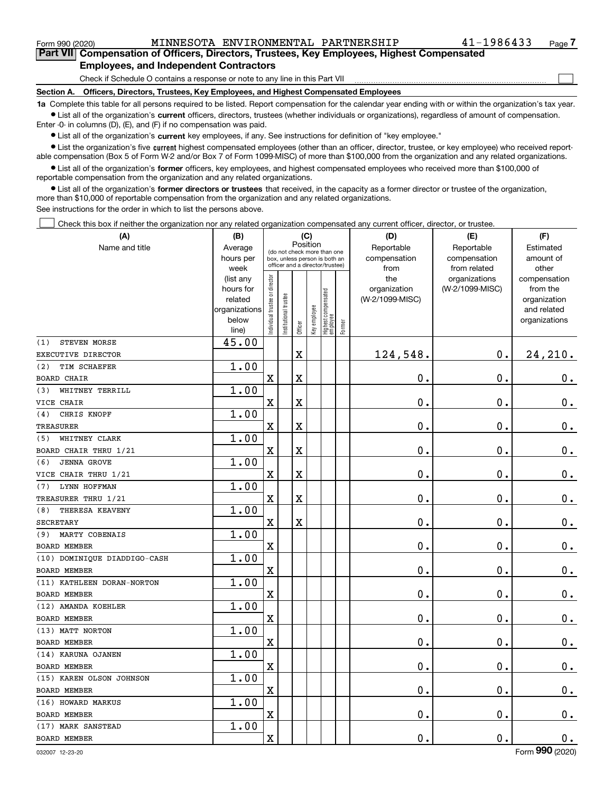$\mathcal{L}^{\text{max}}$ 

**7Part VII Compensation of Officers, Directors, Trustees, Key Employees, Highest Compensated Employees, and Independent Contractors**

Check if Schedule O contains a response or note to any line in this Part VII

**Section A. Officers, Directors, Trustees, Key Employees, and Highest Compensated Employees**

**1a**  Complete this table for all persons required to be listed. Report compensation for the calendar year ending with or within the organization's tax year. **•** List all of the organization's current officers, directors, trustees (whether individuals or organizations), regardless of amount of compensation.

Enter -0- in columns (D), (E), and (F) if no compensation was paid.

 $\bullet$  List all of the organization's  $\,$ current key employees, if any. See instructions for definition of "key employee."

**•** List the organization's five current highest compensated employees (other than an officer, director, trustee, or key employee) who received reportable compensation (Box 5 of Form W-2 and/or Box 7 of Form 1099-MISC) of more than \$100,000 from the organization and any related organizations.

**•** List all of the organization's former officers, key employees, and highest compensated employees who received more than \$100,000 of reportable compensation from the organization and any related organizations.

**former directors or trustees**  ¥ List all of the organization's that received, in the capacity as a former director or trustee of the organization, more than \$10,000 of reportable compensation from the organization and any related organizations.

See instructions for the order in which to list the persons above.

Check this box if neither the organization nor any related organization compensated any current officer, director, or trustee.  $\mathcal{L}^{\text{max}}$ 

| (A)                          | (B)                                                                          | (C)                                                                                                         |                      |                         |              |                                  |        | (D)                                            | (E)                                              | (F)                                                                               |
|------------------------------|------------------------------------------------------------------------------|-------------------------------------------------------------------------------------------------------------|----------------------|-------------------------|--------------|----------------------------------|--------|------------------------------------------------|--------------------------------------------------|-----------------------------------------------------------------------------------|
| Name and title               | Average<br>hours per                                                         | Position<br>(do not check more than one<br>box, unless person is both an<br>officer and a director/trustee) |                      |                         |              |                                  |        | Reportable<br>compensation                     | Reportable<br>compensation                       | Estimated<br>amount of                                                            |
|                              | week<br>(list any<br>hours for<br>related<br>organizations<br>below<br>line) | ndividual trustee or director                                                                               | nstitutional trustee | Officer                 | Key employee | Highest compensated<br> employee | Former | from<br>the<br>organization<br>(W-2/1099-MISC) | from related<br>organizations<br>(W-2/1099-MISC) | other<br>compensation<br>from the<br>organization<br>and related<br>organizations |
| STEVEN MORSE<br>(1)          | 45.00                                                                        |                                                                                                             |                      |                         |              |                                  |        |                                                |                                                  |                                                                                   |
| EXECUTIVE DIRECTOR           |                                                                              |                                                                                                             |                      | $\overline{\textbf{X}}$ |              |                                  |        | 124,548.                                       | 0.                                               | 24,210.                                                                           |
| TIM SCHAEFER<br>(2)          | 1.00                                                                         |                                                                                                             |                      |                         |              |                                  |        |                                                |                                                  |                                                                                   |
| <b>BOARD CHAIR</b>           |                                                                              | X                                                                                                           |                      | X                       |              |                                  |        | 0.                                             | 0.                                               | $\mathbf 0$ .                                                                     |
| WHITNEY TERRILL<br>(3)       | 1.00                                                                         |                                                                                                             |                      |                         |              |                                  |        |                                                |                                                  |                                                                                   |
| VICE CHAIR                   |                                                                              | X                                                                                                           |                      | $\overline{\textbf{X}}$ |              |                                  |        | $\mathbf 0$ .                                  | $\mathbf 0$ .                                    | $\mathbf 0$ .                                                                     |
| CHRIS KNOPF<br>(4)           | 1.00                                                                         |                                                                                                             |                      |                         |              |                                  |        |                                                |                                                  |                                                                                   |
| <b>TREASURER</b>             |                                                                              | $\mathbf x$                                                                                                 |                      | X                       |              |                                  |        | 0.                                             | 0.                                               | $\mathbf 0$ .                                                                     |
| WHITNEY CLARK<br>(5)         | 1.00                                                                         |                                                                                                             |                      |                         |              |                                  |        |                                                |                                                  |                                                                                   |
| BOARD CHAIR THRU 1/21        |                                                                              | $\mathbf x$                                                                                                 |                      | X                       |              |                                  |        | 0.                                             | 0.                                               | $0_{.}$                                                                           |
| <b>JENNA GROVE</b><br>(6)    | 1.00                                                                         |                                                                                                             |                      |                         |              |                                  |        |                                                |                                                  |                                                                                   |
| VICE CHAIR THRU 1/21         |                                                                              | $\mathbf x$                                                                                                 |                      | $\overline{\text{X}}$   |              |                                  |        | $\mathbf 0$ .                                  | 0.                                               | $0_{.}$                                                                           |
| LYNN HOFFMAN<br>(7)          | 1.00                                                                         |                                                                                                             |                      |                         |              |                                  |        |                                                |                                                  |                                                                                   |
| TREASURER THRU 1/21          |                                                                              | $\mathbf X$                                                                                                 |                      | $\overline{\textbf{X}}$ |              |                                  |        | 0.                                             | 0.                                               | $0_{.}$                                                                           |
| THERESA KEAVENY<br>(8)       | 1.00                                                                         |                                                                                                             |                      |                         |              |                                  |        |                                                |                                                  |                                                                                   |
| <b>SECRETARY</b>             |                                                                              | $\overline{\textbf{X}}$                                                                                     |                      | $\overline{\mathbf{X}}$ |              |                                  |        | 0.                                             | $\mathbf 0$ .                                    | $\mathbf 0$ .                                                                     |
| MARTY COBENAIS<br>(9)        | 1.00                                                                         |                                                                                                             |                      |                         |              |                                  |        |                                                |                                                  |                                                                                   |
| <b>BOARD MEMBER</b>          |                                                                              | X                                                                                                           |                      |                         |              |                                  |        | 0.                                             | 0.                                               | $\mathbf 0$ .                                                                     |
| (10) DOMINIQUE DIADDIGO-CASH | 1.00                                                                         |                                                                                                             |                      |                         |              |                                  |        |                                                |                                                  |                                                                                   |
| <b>BOARD MEMBER</b>          |                                                                              | $\mathbf X$                                                                                                 |                      |                         |              |                                  |        | 0.                                             | $\mathbf 0$ .                                    | $0_{.}$                                                                           |
| (11) KATHLEEN DORAN-NORTON   | 1.00                                                                         |                                                                                                             |                      |                         |              |                                  |        |                                                |                                                  |                                                                                   |
| <b>BOARD MEMBER</b>          |                                                                              | X                                                                                                           |                      |                         |              |                                  |        | 0.                                             | $\mathbf 0$ .                                    | $\mathbf 0$ .                                                                     |
| (12) AMANDA KOEHLER          | 1.00                                                                         |                                                                                                             |                      |                         |              |                                  |        |                                                |                                                  |                                                                                   |
| <b>BOARD MEMBER</b>          |                                                                              | $\mathbf x$                                                                                                 |                      |                         |              |                                  |        | 0.                                             | $\mathbf 0$ .                                    | $\mathbf 0$ .                                                                     |
| (13) MATT NORTON             | 1.00                                                                         |                                                                                                             |                      |                         |              |                                  |        |                                                |                                                  |                                                                                   |
| <b>BOARD MEMBER</b>          |                                                                              | $\mathbf x$                                                                                                 |                      |                         |              |                                  |        | 0.                                             | $\mathbf 0$ .                                    | $\mathbf 0$ .                                                                     |
| (14) KARUNA OJANEN           | 1.00                                                                         |                                                                                                             |                      |                         |              |                                  |        |                                                |                                                  |                                                                                   |
| <b>BOARD MEMBER</b>          |                                                                              | X                                                                                                           |                      |                         |              |                                  |        | 0.                                             | 0.                                               | $\mathbf 0$ .                                                                     |
| (15) KAREN OLSON JOHNSON     | 1.00                                                                         |                                                                                                             |                      |                         |              |                                  |        |                                                |                                                  |                                                                                   |
| <b>BOARD MEMBER</b>          |                                                                              | X                                                                                                           |                      |                         |              |                                  |        | 0.                                             | 0.                                               | $0_{.}$                                                                           |
| (16) HOWARD MARKUS           | 1.00                                                                         |                                                                                                             |                      |                         |              |                                  |        |                                                |                                                  |                                                                                   |
| <b>BOARD MEMBER</b>          |                                                                              | X                                                                                                           |                      |                         |              |                                  |        | 0.                                             | 0.                                               | $\mathbf 0$ .                                                                     |
| (17) MARK SANSTEAD           | 1.00                                                                         |                                                                                                             |                      |                         |              |                                  |        |                                                |                                                  |                                                                                   |
| <b>BOARD MEMBER</b>          |                                                                              | X                                                                                                           |                      |                         |              |                                  |        | 0.                                             | 0.                                               | $\mathbf 0$ .                                                                     |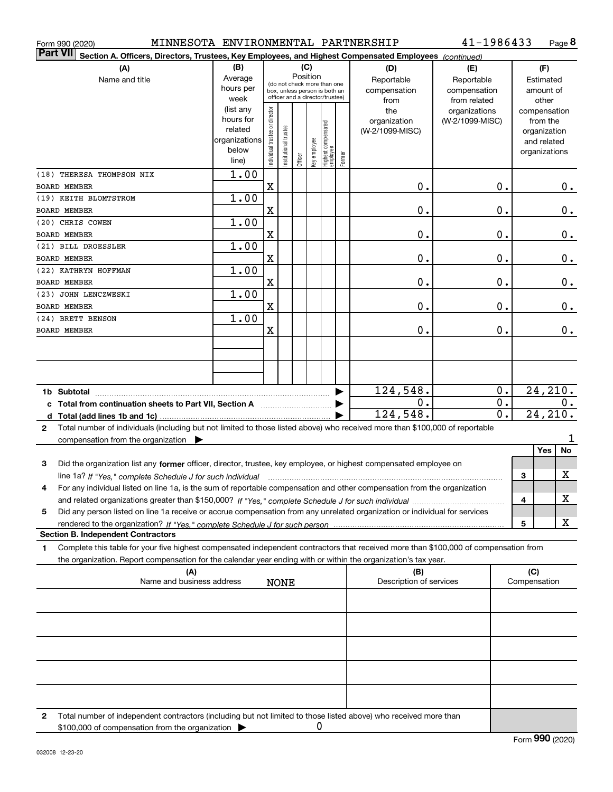| MINNESOTA ENVIRONMENTAL PARTNERSHIP<br>Form 990 (2020)                                                                                       |                                                                                                        |                                |                      |                                                                                                                    |              |                                   |        |                                           | 41-1986433                                        |                  |              | Page 8                                                                   |
|----------------------------------------------------------------------------------------------------------------------------------------------|--------------------------------------------------------------------------------------------------------|--------------------------------|----------------------|--------------------------------------------------------------------------------------------------------------------|--------------|-----------------------------------|--------|-------------------------------------------|---------------------------------------------------|------------------|--------------|--------------------------------------------------------------------------|
| <b>Part VII</b>                                                                                                                              | Section A. Officers, Directors, Trustees, Key Employees, and Highest Compensated Employees (continued) |                                |                      |                                                                                                                    |              |                                   |        |                                           |                                                   |                  |              |                                                                          |
| (A)<br>Name and title                                                                                                                        | (B)<br>Average<br>hours per<br>week                                                                    |                                |                      | (C)<br>Position<br>(do not check more than one<br>box, unless person is both an<br>officer and a director/trustee) |              |                                   |        | (D)<br>Reportable<br>compensation<br>from | (E)<br>Reportable<br>compensation<br>from related |                  |              | (F)<br>Estimated<br>amount of<br>other                                   |
|                                                                                                                                              | (list any<br>hours for<br>related<br>organizations<br>below<br>line)                                   | Individual trustee or director | nstitutional trustee | Officer                                                                                                            | Key employee | Highest compensated<br>  employee | Former | the<br>organization<br>(W-2/1099-MISC)    | organizations<br>(W-2/1099-MISC)                  |                  |              | compensation<br>from the<br>organization<br>and related<br>organizations |
| (18) THERESA THOMPSON NIX<br><b>BOARD MEMBER</b>                                                                                             | 1.00                                                                                                   | $\mathbf X$                    |                      |                                                                                                                    |              |                                   |        | 0.                                        |                                                   | 0.               |              | 0.                                                                       |
| (19) KEITH BLOMTSTROM                                                                                                                        | 1.00                                                                                                   |                                |                      |                                                                                                                    |              |                                   |        |                                           |                                                   |                  |              |                                                                          |
| <b>BOARD MEMBER</b>                                                                                                                          |                                                                                                        | $\mathbf X$                    |                      |                                                                                                                    |              |                                   |        | 0.                                        |                                                   | 0.               |              | $0_{.}$                                                                  |
| (20) CHRIS COWEN                                                                                                                             | 1.00                                                                                                   |                                |                      |                                                                                                                    |              |                                   |        |                                           |                                                   |                  |              |                                                                          |
| <b>BOARD MEMBER</b>                                                                                                                          |                                                                                                        | $\mathbf X$                    |                      |                                                                                                                    |              |                                   |        | 0.                                        |                                                   | 0.               |              | $0_{.}$                                                                  |
| (21) BILL DROESSLER<br><b>BOARD MEMBER</b>                                                                                                   | 1.00                                                                                                   | $\mathbf X$                    |                      |                                                                                                                    |              |                                   |        | 0.                                        |                                                   | 0.               |              | 0.                                                                       |
| (22) KATHRYN HOFFMAN                                                                                                                         | 1.00                                                                                                   |                                |                      |                                                                                                                    |              |                                   |        |                                           |                                                   |                  |              |                                                                          |
| <b>BOARD MEMBER</b>                                                                                                                          |                                                                                                        | $\mathbf X$                    |                      |                                                                                                                    |              |                                   |        | 0.                                        |                                                   | 0.               |              | $0$ .                                                                    |
| (23) JOHN LENCZWESKI                                                                                                                         | 1.00                                                                                                   |                                |                      |                                                                                                                    |              |                                   |        |                                           |                                                   |                  |              |                                                                          |
| <b>BOARD MEMBER</b>                                                                                                                          |                                                                                                        | $\mathbf X$                    |                      |                                                                                                                    |              |                                   |        | 0.                                        |                                                   | 0.               |              | 0.                                                                       |
| (24) BRETT BENSON                                                                                                                            | 1.00                                                                                                   |                                |                      |                                                                                                                    |              |                                   |        |                                           |                                                   |                  |              |                                                                          |
| <b>BOARD MEMBER</b>                                                                                                                          |                                                                                                        | X                              |                      |                                                                                                                    |              |                                   |        | 0.                                        |                                                   | 0.               |              | 0.                                                                       |
|                                                                                                                                              |                                                                                                        |                                |                      |                                                                                                                    |              |                                   |        |                                           |                                                   |                  |              |                                                                          |
|                                                                                                                                              |                                                                                                        |                                |                      |                                                                                                                    |              |                                   |        |                                           |                                                   |                  |              |                                                                          |
| 1b Subtotal                                                                                                                                  |                                                                                                        |                                |                      |                                                                                                                    |              |                                   |        | 124,548.                                  |                                                   | 0.               |              | 24, 210.                                                                 |
|                                                                                                                                              |                                                                                                        |                                |                      |                                                                                                                    |              |                                   |        | 0.                                        |                                                   | 0.               |              | $\overline{0}$ .                                                         |
|                                                                                                                                              |                                                                                                        |                                |                      |                                                                                                                    |              |                                   |        | 124, 548.                                 |                                                   | $\overline{0}$ . |              | 24, 210.                                                                 |
| Total number of individuals (including but not limited to those listed above) who received more than \$100,000 of reportable<br>$\mathbf{2}$ |                                                                                                        |                                |                      |                                                                                                                    |              |                                   |        |                                           |                                                   |                  |              |                                                                          |
| compensation from the organization $\blacktriangleright$                                                                                     |                                                                                                        |                                |                      |                                                                                                                    |              |                                   |        |                                           |                                                   |                  |              | 1                                                                        |
|                                                                                                                                              |                                                                                                        |                                |                      |                                                                                                                    |              |                                   |        |                                           |                                                   |                  |              | No<br>Yes                                                                |
| Did the organization list any former officer, director, trustee, key employee, or highest compensated employee on<br>3                       |                                                                                                        |                                |                      |                                                                                                                    |              |                                   |        |                                           |                                                   |                  |              |                                                                          |
| line 1a? If "Yes," complete Schedule J for such individual manufactured contained and the Yes," complete Schedule J for such individual      |                                                                                                        |                                |                      |                                                                                                                    |              |                                   |        |                                           |                                                   |                  | 3            | х                                                                        |
| 4<br>For any individual listed on line 1a, is the sum of reportable compensation and other compensation from the organization                |                                                                                                        |                                |                      |                                                                                                                    |              |                                   |        |                                           |                                                   |                  |              |                                                                          |
|                                                                                                                                              |                                                                                                        |                                |                      |                                                                                                                    |              |                                   |        |                                           |                                                   |                  | 4            | х                                                                        |
| Did any person listed on line 1a receive or accrue compensation from any unrelated organization or individual for services<br>5              |                                                                                                        |                                |                      |                                                                                                                    |              |                                   |        |                                           |                                                   |                  | 5            | x                                                                        |
| <b>Section B. Independent Contractors</b>                                                                                                    |                                                                                                        |                                |                      |                                                                                                                    |              |                                   |        |                                           |                                                   |                  |              |                                                                          |
| Complete this table for your five highest compensated independent contractors that received more than \$100,000 of compensation from<br>1    |                                                                                                        |                                |                      |                                                                                                                    |              |                                   |        |                                           |                                                   |                  |              |                                                                          |
| the organization. Report compensation for the calendar year ending with or within the organization's tax year.<br>(A)                        |                                                                                                        |                                |                      |                                                                                                                    |              |                                   |        | (B)                                       |                                                   |                  | (C)          |                                                                          |
| Name and business address                                                                                                                    |                                                                                                        |                                | <b>NONE</b>          |                                                                                                                    |              |                                   |        | Description of services                   |                                                   |                  | Compensation |                                                                          |
|                                                                                                                                              |                                                                                                        |                                |                      |                                                                                                                    |              |                                   |        |                                           |                                                   |                  |              |                                                                          |
|                                                                                                                                              |                                                                                                        |                                |                      |                                                                                                                    |              |                                   |        |                                           |                                                   |                  |              |                                                                          |
|                                                                                                                                              |                                                                                                        |                                |                      |                                                                                                                    |              |                                   |        |                                           |                                                   |                  |              |                                                                          |
|                                                                                                                                              |                                                                                                        |                                |                      |                                                                                                                    |              |                                   |        |                                           |                                                   |                  |              |                                                                          |
|                                                                                                                                              |                                                                                                        |                                |                      |                                                                                                                    |              |                                   |        |                                           |                                                   |                  |              |                                                                          |
|                                                                                                                                              |                                                                                                        |                                |                      |                                                                                                                    |              |                                   |        |                                           |                                                   |                  |              |                                                                          |

**2** Total number of independent contractors (including but not limited to those listed above) who received more than \$100,000 of compensation from the organization 0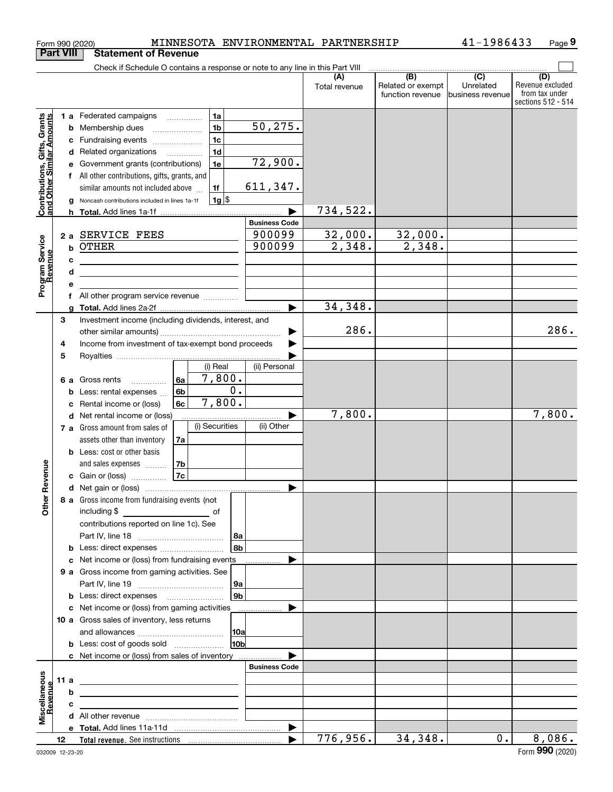|                                                           | <b>Part VIII</b>  | <b>Statement of Revenue</b>                                                                                                                                                                                                                                                                                                                                                                       |                                          |                   |                                                           |                                                 |                                                                 |
|-----------------------------------------------------------|-------------------|---------------------------------------------------------------------------------------------------------------------------------------------------------------------------------------------------------------------------------------------------------------------------------------------------------------------------------------------------------------------------------------------------|------------------------------------------|-------------------|-----------------------------------------------------------|-------------------------------------------------|-----------------------------------------------------------------|
|                                                           |                   | Check if Schedule O contains a response or note to any line in this Part VIII                                                                                                                                                                                                                                                                                                                     |                                          |                   |                                                           |                                                 |                                                                 |
|                                                           |                   |                                                                                                                                                                                                                                                                                                                                                                                                   |                                          | Total revenue     | $\overline{(B)}$<br>Related or exempt<br>function revenue | $\overline{C}$<br>Unrelated<br>business revenue | (D)<br>Revenue excluded<br>from tax under<br>sections 512 - 514 |
| Contributions, Gifts, Grants<br>and Other Similar Amounts | b<br>с<br>d<br>a  | 1 a Federated campaigns<br>1a<br>.<br>1 <sub>b</sub><br>Membership dues<br>1 <sub>c</sub><br>Fundraising events<br>1 <sub>d</sub><br>Related organizations<br>.<br>1e<br>Government grants (contributions)<br>All other contributions, gifts, grants, and<br>similar amounts not included above<br>1f<br>$1g$ \$<br>Noncash contributions included in lines 1a-1f                                 | 50, 275.<br>72,900.<br>611,347.          |                   |                                                           |                                                 |                                                                 |
|                                                           |                   |                                                                                                                                                                                                                                                                                                                                                                                                   |                                          | 734, 522.         |                                                           |                                                 |                                                                 |
| Program Service<br>Revenue                                | b<br>с<br>d       | 2 a SERVICE FEES<br><b>OTHER</b><br>the contract of the contract of the contract of the contract of the contract of                                                                                                                                                                                                                                                                               | <b>Business Code</b><br>900099<br>900099 | 32,000.<br>2,348. | 32,000.<br>2,348.                                         |                                                 |                                                                 |
|                                                           | f                 | All other program service revenue                                                                                                                                                                                                                                                                                                                                                                 |                                          |                   |                                                           |                                                 |                                                                 |
|                                                           | 3                 | Investment income (including dividends, interest, and                                                                                                                                                                                                                                                                                                                                             |                                          | 34,348.<br>286.   |                                                           |                                                 | 286.                                                            |
|                                                           | 4<br>5<br>6а<br>b | Income from investment of tax-exempt bond proceeds<br>(i) Real<br>7,800.<br>6a<br>Gross rents<br>.<br>0.<br>6b<br>Less: rental expenses                                                                                                                                                                                                                                                           | (ii) Personal                            |                   |                                                           |                                                 |                                                                 |
| Revenue                                                   | d                 | 7,800.<br>6c<br>Rental income or (loss)<br>Net rental income or (loss)<br>(i) Securities<br>7 a Gross amount from sales of<br>assets other than inventory<br>7a<br><b>b</b> Less: cost or other basis<br>and sales expenses<br>  7b<br> 7c <br>c Gain or (loss)                                                                                                                                   | (ii) Other                               | 7,800.            |                                                           |                                                 | 7,800.                                                          |
| <b>Other</b>                                              |                   | 8 a Gross income from fundraising events (not<br>including \$<br>and the contract of the contract of the contract of the contract of the contract of the contract of the contract of the contract of the contract of the contract of the contract of the contract of the contract of the contra<br>contributions reported on line 1c). See<br>∣8a<br>8b<br><b>b</b> Less: direct expenses <i></i> |                                          |                   |                                                           |                                                 |                                                                 |
|                                                           |                   | c Net income or (loss) from fundraising events<br>9 a Gross income from gaming activities. See<br> 9a<br>9 <sub>b</sub><br><b>b</b> Less: direct expenses <b>contained b</b> Less: direct expenses                                                                                                                                                                                                |                                          |                   |                                                           |                                                 |                                                                 |
|                                                           |                   | c Net income or (loss) from gaming activities<br>10 a Gross sales of inventory, less returns<br> 10a<br>10bl<br><b>b</b> Less: cost of goods sold                                                                                                                                                                                                                                                 | .                                        |                   |                                                           |                                                 |                                                                 |
|                                                           | 11 a              | <u> 1989 - Johann Stein, marwolaethau a bhann an t-Amhainn an t-Amhainn an t-Amhainn an t-Amhainn an t-Amhainn an</u>                                                                                                                                                                                                                                                                             | <b>Business Code</b>                     |                   |                                                           |                                                 |                                                                 |
| Miscellaneous<br>Revenue                                  | b<br>с            | <u> 1989 - John Stein, mars and de Brazilia (b. 1989)</u><br>the control of the control of the control of the control of the control of the control of                                                                                                                                                                                                                                            |                                          |                   |                                                           |                                                 |                                                                 |
|                                                           | 12                |                                                                                                                                                                                                                                                                                                                                                                                                   | ▶<br>▶                                   | 776,956.          | 34,348.                                                   | $0$ .                                           | 8,086.                                                          |
|                                                           |                   |                                                                                                                                                                                                                                                                                                                                                                                                   |                                          |                   |                                                           |                                                 |                                                                 |

Form 990 (2020) MINNESOTA ENVIRONMENTAL PARTNERSHIP 41-1986433 Page

**9**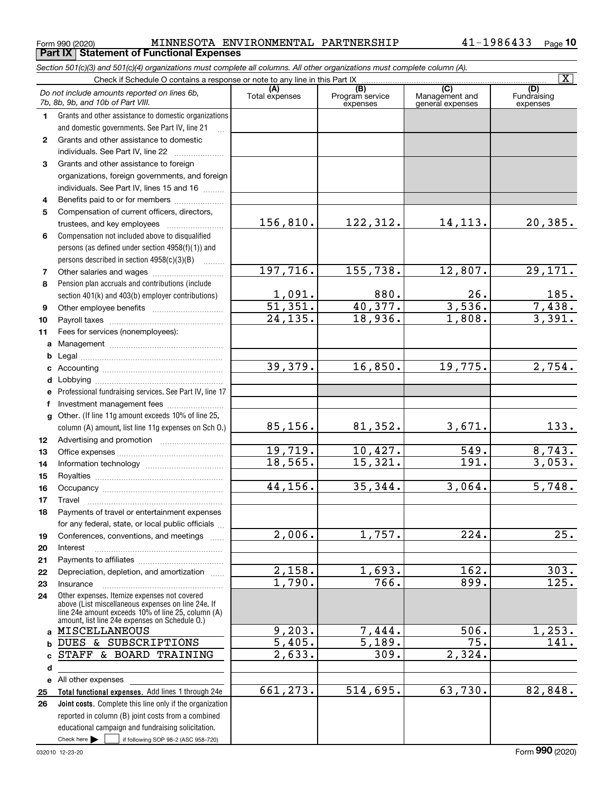Interest

Insurance

All other expenses

MISCELLANEOUS

Check here  $\blacktriangleright$ 

**abcde25 26**

Check here  $\bullet$  if following SOP 98-2 (ASC 958-720)

reported in column (B) joint costs from a combined educational campaign and fundraising solicitation.

**Total functional expenses.**  Add lines 1 through 24e **Joint costs.** Complete this line only if the organization

Other expenses. Itemize expenses not covered above (List miscellaneous expenses on line 24e. If line 24e amount exceeds 10% of line 25, column (A) amount, list line 24e expenses on Schedule O.)

DUES & SUBSCRIPTIONS STAFF & BOARD TRAINING

Payments to affiliates [*[[[[[[[[[[[[[]]]]]* 

Depreciation, depletion, and amortization  $\,\,\ldots\,\,$ 

~~~~~~~~~~~~~~~~~~

|              | MINNESOTA ENVIRONMENTAL PARTNERSHIP<br>Form 990 (2020)                                                                                                           |                                        |                                    | 41-1986433                                             | Page 10                        |
|--------------|------------------------------------------------------------------------------------------------------------------------------------------------------------------|----------------------------------------|------------------------------------|--------------------------------------------------------|--------------------------------|
|              | Part IX Statement of Functional Expenses                                                                                                                         |                                        |                                    |                                                        |                                |
|              | Section 501(c)(3) and 501(c)(4) organizations must complete all columns. All other organizations must complete column (A).                                       |                                        |                                    |                                                        | $\overline{\mathbf{x}}$        |
|              | Check if Schedule O contains a response or note to any line in this Part IX<br>Do not include amounts reported on lines 6b,<br>7b, 8b, 9b, and 10b of Part VIII. | (A)<br>Total expenses                  | (B)<br>Program service<br>expenses | $\overline{(C)}$<br>Management and<br>general expenses | (D)<br>Fundraising<br>expenses |
| 1.           | Grants and other assistance to domestic organizations                                                                                                            |                                        |                                    |                                                        |                                |
|              | and domestic governments. See Part IV, line 21                                                                                                                   |                                        |                                    |                                                        |                                |
| $\mathbf{2}$ | Grants and other assistance to domestic                                                                                                                          |                                        |                                    |                                                        |                                |
|              | individuals. See Part IV, line 22                                                                                                                                |                                        |                                    |                                                        |                                |
| 3            | Grants and other assistance to foreign                                                                                                                           |                                        |                                    |                                                        |                                |
|              | organizations, foreign governments, and foreign                                                                                                                  |                                        |                                    |                                                        |                                |
|              | individuals. See Part IV, lines 15 and 16                                                                                                                        |                                        |                                    |                                                        |                                |
| 4            | Benefits paid to or for members                                                                                                                                  |                                        |                                    |                                                        |                                |
| 5            | Compensation of current officers, directors,                                                                                                                     |                                        |                                    |                                                        |                                |
|              | trustees, and key employees                                                                                                                                      | 156,810.                               | 122,312.                           | 14, 113.                                               | 20,385.                        |
| 6            | Compensation not included above to disqualified                                                                                                                  |                                        |                                    |                                                        |                                |
|              | persons (as defined under section 4958(f)(1)) and                                                                                                                |                                        |                                    |                                                        |                                |
|              | persons described in section 4958(c)(3)(B)                                                                                                                       |                                        |                                    |                                                        |                                |
| 7            |                                                                                                                                                                  | 197,716.                               | 155,738.                           | 12,807.                                                | 29,171.                        |
| 8            | Pension plan accruals and contributions (include                                                                                                                 |                                        | 880.                               | 26.                                                    |                                |
|              | section 401(k) and 403(b) employer contributions)                                                                                                                | <u>1,091.</u><br>$\overline{51,351}$ . | 40,377.                            | 3,536.                                                 | 185.<br>7,438.                 |
| 9            |                                                                                                                                                                  | $\overline{24,135}$ .                  | 18,936.                            | 1,808.                                                 | 3,391.                         |
| 10<br>11     | Payroll taxes<br>Fees for services (nonemployees):                                                                                                               |                                        |                                    |                                                        |                                |
|              |                                                                                                                                                                  |                                        |                                    |                                                        |                                |
|              |                                                                                                                                                                  |                                        |                                    |                                                        |                                |
|              |                                                                                                                                                                  | 39,379.                                | 16,850.                            | 19,775.                                                | 2,754.                         |
| d            |                                                                                                                                                                  |                                        |                                    |                                                        |                                |
| е            | Professional fundraising services. See Part IV, line 17                                                                                                          |                                        |                                    |                                                        |                                |
| f            |                                                                                                                                                                  |                                        |                                    |                                                        |                                |
| g            | Other. (If line 11g amount exceeds 10% of line 25,                                                                                                               |                                        |                                    |                                                        |                                |
|              | column (A) amount, list line 11g expenses on Sch O.)                                                                                                             | 85,156.                                | 81,352.                            | 3,671.                                                 | 133.                           |
| 12           |                                                                                                                                                                  |                                        |                                    |                                                        |                                |
| 13           |                                                                                                                                                                  | 19,719.                                | 10,427.                            | 549.                                                   | 8,743.                         |
| 14           |                                                                                                                                                                  | 18,565.                                | 15,321.                            | 191.                                                   | 3,053.                         |
| 15           |                                                                                                                                                                  |                                        |                                    |                                                        |                                |
| 16           |                                                                                                                                                                  | 44,156.                                | 35,344.                            | 3,064.                                                 | 5,748.                         |
| 17           | Travel<br>Payments of travel or entertainment expenses                                                                                                           |                                        |                                    |                                                        |                                |
| 18           | for any federal, state, or local public officials                                                                                                                |                                        |                                    |                                                        |                                |
| 19           | Conferences, conventions, and meetings                                                                                                                           | 2,006.                                 | 1,757.                             | 224.                                                   | $\overline{25}$ .              |
|              |                                                                                                                                                                  |                                        |                                    |                                                        |                                |

2,158. 1,790.

9,203. 5,405. 2,633.

661,273.

 $1,693.$  162. 303. 766. 899. 125.

 $7,444.$  506. 1,253. 5,189. 75. 141.

 $514,695.$  63,730. 82,848.

309. 2,324.

Form (2020) **990**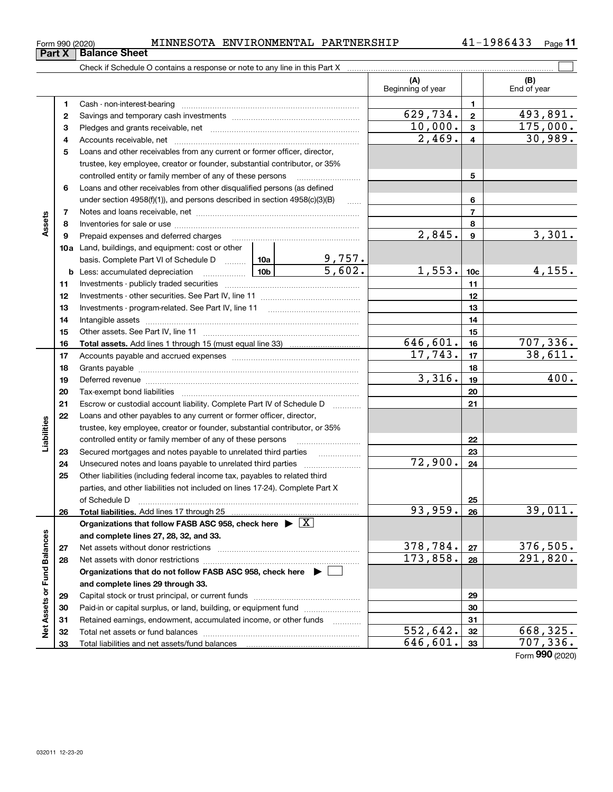| <sup>⊏</sup> orm 990 (2020) |  | MINNESOTA | ENVIRONMENTAL PARTNERSHIP |  | ⊥986433<br>$\overline{\phantom{0}}$ | Page |
|-----------------------------|--|-----------|---------------------------|--|-------------------------------------|------|
|-----------------------------|--|-----------|---------------------------|--|-------------------------------------|------|

|                             |    |                                                                                                                                                                                                                                |  |                | (A)<br>Beginning of year |                 | (B)<br>End of year |
|-----------------------------|----|--------------------------------------------------------------------------------------------------------------------------------------------------------------------------------------------------------------------------------|--|----------------|--------------------------|-----------------|--------------------|
|                             | 1  |                                                                                                                                                                                                                                |  |                |                          | 1               |                    |
|                             | 2  |                                                                                                                                                                                                                                |  |                | $\overline{629,734}$ .   | $\mathbf{2}$    | 493,891.           |
|                             | 3  |                                                                                                                                                                                                                                |  |                | 10,000.                  | 3               | 175,000.           |
|                             | 4  |                                                                                                                                                                                                                                |  |                | 2,469.                   | $\overline{4}$  | 30,989.            |
|                             | 5  | Loans and other receivables from any current or former officer, director,                                                                                                                                                      |  |                |                          |                 |                    |
|                             |    | trustee, key employee, creator or founder, substantial contributor, or 35%                                                                                                                                                     |  |                |                          |                 |                    |
|                             |    | controlled entity or family member of any of these persons                                                                                                                                                                     |  |                |                          | 5               |                    |
|                             | 6  | Loans and other receivables from other disqualified persons (as defined                                                                                                                                                        |  |                |                          |                 |                    |
|                             |    | under section 4958(f)(1)), and persons described in section 4958(c)(3)(B)                                                                                                                                                      |  | <b>Section</b> |                          | 6               |                    |
|                             | 7  |                                                                                                                                                                                                                                |  |                |                          | $\overline{7}$  |                    |
| Assets                      | 8  |                                                                                                                                                                                                                                |  |                |                          | 8               |                    |
|                             | 9  | Prepaid expenses and deferred charges                                                                                                                                                                                          |  |                | 2,845.                   | 9               | 3,301.             |
|                             |    | <b>10a</b> Land, buildings, and equipment: cost or other                                                                                                                                                                       |  |                |                          |                 |                    |
|                             |    | basis. Complete Part VI of Schedule D  10a                                                                                                                                                                                     |  | <u>9,757.</u>  |                          |                 |                    |
|                             |    | <b>b</b> Less: accumulated depreciation                                                                                                                                                                                        |  | 5,602.         | 1,553.                   | 10 <sub>c</sub> | 4,155.             |
|                             | 11 |                                                                                                                                                                                                                                |  |                |                          | 11              |                    |
|                             | 12 |                                                                                                                                                                                                                                |  |                |                          | 12              |                    |
|                             | 13 |                                                                                                                                                                                                                                |  |                |                          | 13              |                    |
|                             | 14 |                                                                                                                                                                                                                                |  |                |                          | 14              |                    |
|                             | 15 |                                                                                                                                                                                                                                |  |                |                          | 15              |                    |
|                             | 16 |                                                                                                                                                                                                                                |  |                | 646,601.                 | 16              | 707,336.           |
|                             | 17 |                                                                                                                                                                                                                                |  | 17,743.        | 17                       | 38,611.         |                    |
|                             | 18 |                                                                                                                                                                                                                                |  | 18             |                          |                 |                    |
|                             | 19 | Deferred revenue manual contracts and contracts are all the manual contracts and contracts are contracted and contracts are contracted and contract are contracted and contract are contracted and contract are contracted and |  | 3,316.         | 19                       | 400.            |                    |
|                             | 20 |                                                                                                                                                                                                                                |  |                |                          | 20              |                    |
|                             | 21 | Escrow or custodial account liability. Complete Part IV of Schedule D                                                                                                                                                          |  |                |                          | 21              |                    |
|                             | 22 | Loans and other payables to any current or former officer, director,                                                                                                                                                           |  |                |                          |                 |                    |
| Liabilities                 |    | trustee, key employee, creator or founder, substantial contributor, or 35%                                                                                                                                                     |  |                |                          |                 |                    |
|                             |    | controlled entity or family member of any of these persons                                                                                                                                                                     |  |                |                          | 22              |                    |
|                             | 23 |                                                                                                                                                                                                                                |  |                |                          | 23              |                    |
|                             | 24 |                                                                                                                                                                                                                                |  |                | 72,900.                  | 24              |                    |
|                             | 25 | Other liabilities (including federal income tax, payables to related third                                                                                                                                                     |  |                |                          |                 |                    |
|                             |    | parties, and other liabilities not included on lines 17-24). Complete Part X                                                                                                                                                   |  |                |                          |                 |                    |
|                             |    |                                                                                                                                                                                                                                |  |                |                          | 25              |                    |
|                             | 26 |                                                                                                                                                                                                                                |  |                | 93,959.                  | 26              | 39,011.            |
|                             |    | Organizations that follow FASB ASC 958, check here $\blacktriangleright \lfloor X \rfloor$                                                                                                                                     |  |                |                          |                 |                    |
|                             |    | and complete lines 27, 28, 32, and 33.                                                                                                                                                                                         |  |                |                          |                 |                    |
|                             | 27 |                                                                                                                                                                                                                                |  |                | 378,784.                 | 27              | 376,505.           |
|                             | 28 |                                                                                                                                                                                                                                |  |                | 173,858.                 | 28              | 291,820.           |
|                             |    | Organizations that do not follow FASB ASC 958, check here $\blacktriangleright$                                                                                                                                                |  |                |                          |                 |                    |
|                             |    | and complete lines 29 through 33.                                                                                                                                                                                              |  |                |                          |                 |                    |
|                             | 29 |                                                                                                                                                                                                                                |  |                |                          | 29              |                    |
| Net Assets or Fund Balances | 30 | Paid-in or capital surplus, or land, building, or equipment fund                                                                                                                                                               |  |                |                          | 30              |                    |
|                             | 31 | Retained earnings, endowment, accumulated income, or other funds                                                                                                                                                               |  |                |                          | 31              |                    |
|                             | 32 |                                                                                                                                                                                                                                |  |                | $\overline{552,642}$ .   | 32              | 668,325.           |
|                             | 33 |                                                                                                                                                                                                                                |  |                | 646,601.                 | 33              | 707,336.           |

Form (2020) **990**

# **Part X Balance Sheet**

| Form 990 (2020 |  |
|----------------|--|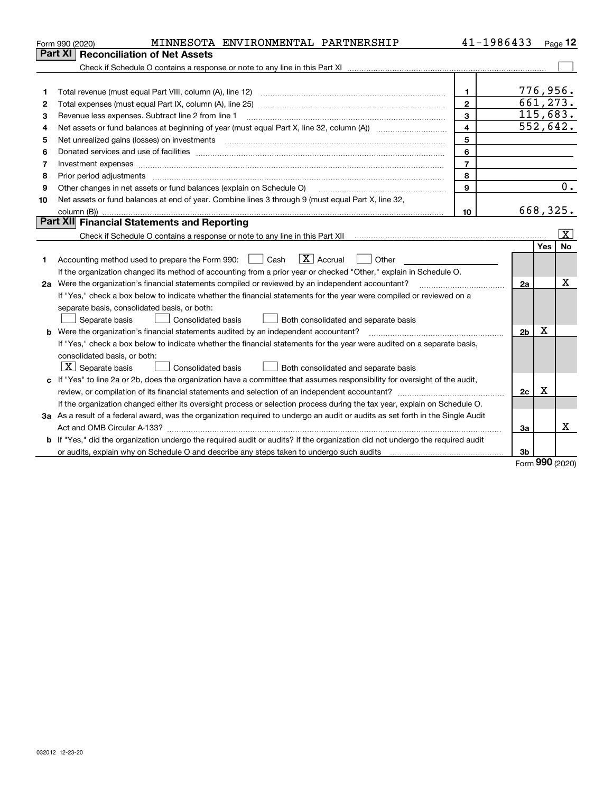|    | MINNESOTA ENVIRONMENTAL PARTNERSHIP<br>Form 990 (2020)                                                                                                                                                                         | 41-1986433     |                |            | Page $12$               |
|----|--------------------------------------------------------------------------------------------------------------------------------------------------------------------------------------------------------------------------------|----------------|----------------|------------|-------------------------|
|    | <b>Part XI</b><br><b>Reconciliation of Net Assets</b>                                                                                                                                                                          |                |                |            |                         |
|    |                                                                                                                                                                                                                                |                |                |            |                         |
|    |                                                                                                                                                                                                                                |                |                |            |                         |
| 1  |                                                                                                                                                                                                                                | $\mathbf{1}$   |                | 776,956.   |                         |
| 2  |                                                                                                                                                                                                                                | $\mathbf{2}$   | 661, 273.      |            |                         |
| з  | Revenue less expenses. Subtract line 2 from line 1                                                                                                                                                                             | 115,683.       |                |            |                         |
| 4  |                                                                                                                                                                                                                                | $\overline{4}$ | 552,642.       |            |                         |
| 5  | Net unrealized gains (losses) on investments [11] matter contracts and the state of the state of the state of the state of the state of the state of the state of the state of the state of the state of the state of the stat | 5              |                |            |                         |
| 6  | Donated services and use of facilities [111] matter contracts and the facilities in the matter of facilities [11] matter contracts and use of facilities [11] matter contracts and the service of the service of the service o | 6              |                |            |                         |
| 7  |                                                                                                                                                                                                                                | $\overline{7}$ |                |            |                         |
| 8  | Prior period adjustments material contents and content of the content of the content of the content of the content of the content of the content of the content of the content of the content of the content of the content of | 8              |                |            |                         |
| 9  | Other changes in net assets or fund balances (explain on Schedule O)                                                                                                                                                           | 9              |                |            | 0.                      |
| 10 | Net assets or fund balances at end of year. Combine lines 3 through 9 (must equal Part X, line 32,                                                                                                                             |                |                |            |                         |
|    |                                                                                                                                                                                                                                | 10             | 668,325.       |            |                         |
|    | Part XII Financial Statements and Reporting                                                                                                                                                                                    |                |                |            |                         |
|    |                                                                                                                                                                                                                                |                |                |            | $\overline{\mathbf{X}}$ |
|    |                                                                                                                                                                                                                                |                |                | <b>Yes</b> | <b>No</b>               |
| 1  | $\mathbf{X}$ Accrual<br>Accounting method used to prepare the Form 990: <u>June</u> Cash<br>Other<br>$\Box$                                                                                                                    |                |                |            |                         |
|    | If the organization changed its method of accounting from a prior year or checked "Other," explain in Schedule O.                                                                                                              |                |                |            |                         |
|    | 2a Were the organization's financial statements compiled or reviewed by an independent accountant?                                                                                                                             |                | 2a             |            | x                       |
|    | If "Yes," check a box below to indicate whether the financial statements for the year were compiled or reviewed on a                                                                                                           |                |                |            |                         |
|    | separate basis, consolidated basis, or both:                                                                                                                                                                                   |                |                |            |                         |
|    | <b>Consolidated basis</b><br>Separate basis<br>Both consolidated and separate basis                                                                                                                                            |                |                |            |                         |
|    | <b>b</b> Were the organization's financial statements audited by an independent accountant?                                                                                                                                    |                | 2 <sub>b</sub> | X          |                         |
|    | If "Yes," check a box below to indicate whether the financial statements for the year were audited on a separate basis,                                                                                                        |                |                |            |                         |
|    | consolidated basis, or both:                                                                                                                                                                                                   |                |                |            |                         |
|    | $ \mathbf{X} $ Separate basis<br><b>Consolidated basis</b><br>Both consolidated and separate basis                                                                                                                             |                |                |            |                         |
|    | c If "Yes" to line 2a or 2b, does the organization have a committee that assumes responsibility for oversight of the audit,                                                                                                    |                |                |            |                         |
|    |                                                                                                                                                                                                                                |                | 2c             | х          |                         |
|    | If the organization changed either its oversight process or selection process during the tax year, explain on Schedule O.                                                                                                      |                |                |            |                         |
|    | 3a As a result of a federal award, was the organization required to undergo an audit or audits as set forth in the Single Audit                                                                                                |                |                |            |                         |
|    |                                                                                                                                                                                                                                |                | За             |            | х                       |
|    | b If "Yes," did the organization undergo the required audit or audits? If the organization did not undergo the required audit                                                                                                  |                |                |            |                         |
|    |                                                                                                                                                                                                                                |                | 3 <sub>b</sub> |            |                         |

Form (2020) **990**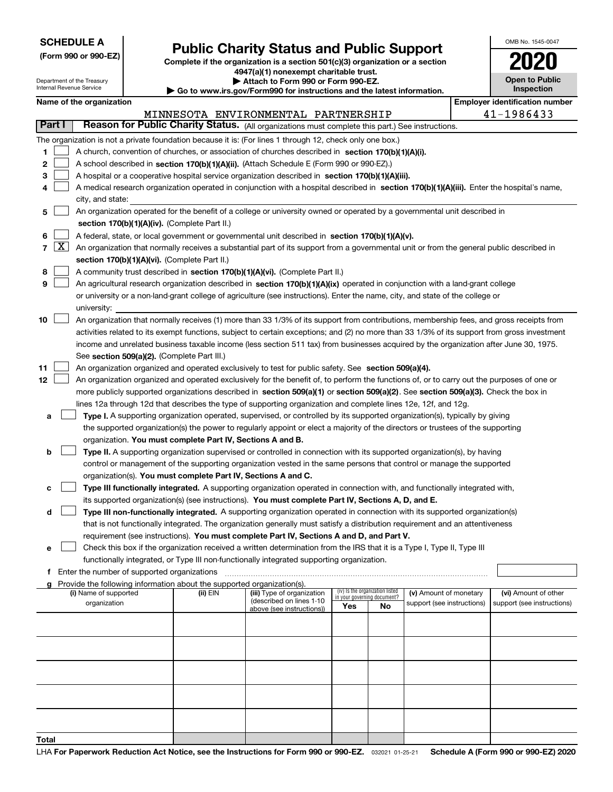| <b>SCHEDULE A</b> |  |  |  |  |  |  |
|-------------------|--|--|--|--|--|--|
|-------------------|--|--|--|--|--|--|

**(Form 990 or 990-EZ)**

## **Public Charity Status and Public Support**

**Complete if the organization is a section 501(c)(3) organization or a section 4947(a)(1) nonexempt charitable trust. | Attach to Form 990 or Form 990-EZ.** 

| Go to www.irs.gov/Form990 for instructions and the latest information. |  |  |
|------------------------------------------------------------------------|--|--|

| OMB No. 1545-0047                   |
|-------------------------------------|
| 2020                                |
| <b>Open to Public</b><br>Inspection |

|       |                    | Department of the Treasury<br>Internal Revenue Service                                                                                                                                         |  |                                                                                    | ▶ Attach to Form 990 or Form 990-EZ.<br>Go to www.irs.gov/Form990 for instructions and the latest information.                               |     |                                 |                            |  | <b>Open to Public</b><br><b>Inspection</b> |
|-------|--------------------|------------------------------------------------------------------------------------------------------------------------------------------------------------------------------------------------|--|------------------------------------------------------------------------------------|----------------------------------------------------------------------------------------------------------------------------------------------|-----|---------------------------------|----------------------------|--|--------------------------------------------|
|       |                    | Name of the organization                                                                                                                                                                       |  |                                                                                    |                                                                                                                                              |     |                                 |                            |  | <b>Employer identification number</b>      |
|       |                    |                                                                                                                                                                                                |  |                                                                                    | MINNESOTA ENVIRONMENTAL PARTNERSHIP                                                                                                          |     |                                 |                            |  | 41-1986433                                 |
|       | <b>Part I</b>      |                                                                                                                                                                                                |  |                                                                                    | Reason for Public Charity Status. (All organizations must complete this part.) See instructions.                                             |     |                                 |                            |  |                                            |
|       |                    |                                                                                                                                                                                                |  |                                                                                    | The organization is not a private foundation because it is: (For lines 1 through 12, check only one box.)                                    |     |                                 |                            |  |                                            |
| 1     |                    |                                                                                                                                                                                                |  |                                                                                    | A church, convention of churches, or association of churches described in section 170(b)(1)(A)(i).                                           |     |                                 |                            |  |                                            |
| 2     |                    |                                                                                                                                                                                                |  |                                                                                    |                                                                                                                                              |     |                                 |                            |  |                                            |
| 3     |                    | A school described in section 170(b)(1)(A)(ii). (Attach Schedule E (Form 990 or 990-EZ).)<br>A hospital or a cooperative hospital service organization described in section 170(b)(1)(A)(iii). |  |                                                                                    |                                                                                                                                              |     |                                 |                            |  |                                            |
| 4     |                    |                                                                                                                                                                                                |  |                                                                                    | A medical research organization operated in conjunction with a hospital described in section 170(b)(1)(A)(iii). Enter the hospital's name,   |     |                                 |                            |  |                                            |
|       |                    | city, and state:                                                                                                                                                                               |  |                                                                                    |                                                                                                                                              |     |                                 |                            |  |                                            |
| 5     |                    |                                                                                                                                                                                                |  |                                                                                    | An organization operated for the benefit of a college or university owned or operated by a governmental unit described in                    |     |                                 |                            |  |                                            |
|       |                    |                                                                                                                                                                                                |  | section 170(b)(1)(A)(iv). (Complete Part II.)                                      |                                                                                                                                              |     |                                 |                            |  |                                            |
| 6     |                    |                                                                                                                                                                                                |  |                                                                                    | A federal, state, or local government or governmental unit described in section 170(b)(1)(A)(v).                                             |     |                                 |                            |  |                                            |
| 7     | $\boxed{\text{X}}$ |                                                                                                                                                                                                |  |                                                                                    | An organization that normally receives a substantial part of its support from a governmental unit or from the general public described in    |     |                                 |                            |  |                                            |
|       |                    |                                                                                                                                                                                                |  | section 170(b)(1)(A)(vi). (Complete Part II.)                                      |                                                                                                                                              |     |                                 |                            |  |                                            |
| 8     |                    |                                                                                                                                                                                                |  |                                                                                    | A community trust described in section 170(b)(1)(A)(vi). (Complete Part II.)                                                                 |     |                                 |                            |  |                                            |
| 9     |                    |                                                                                                                                                                                                |  |                                                                                    | An agricultural research organization described in section 170(b)(1)(A)(ix) operated in conjunction with a land-grant college                |     |                                 |                            |  |                                            |
|       |                    |                                                                                                                                                                                                |  |                                                                                    | or university or a non-land-grant college of agriculture (see instructions). Enter the name, city, and state of the college or               |     |                                 |                            |  |                                            |
|       |                    | university:                                                                                                                                                                                    |  |                                                                                    |                                                                                                                                              |     |                                 |                            |  |                                            |
| 10    |                    |                                                                                                                                                                                                |  |                                                                                    | An organization that normally receives (1) more than 33 1/3% of its support from contributions, membership fees, and gross receipts from     |     |                                 |                            |  |                                            |
|       |                    |                                                                                                                                                                                                |  |                                                                                    | activities related to its exempt functions, subject to certain exceptions; and (2) no more than 33 1/3% of its support from gross investment |     |                                 |                            |  |                                            |
|       |                    |                                                                                                                                                                                                |  |                                                                                    | income and unrelated business taxable income (less section 511 tax) from businesses acquired by the organization after June 30, 1975.        |     |                                 |                            |  |                                            |
|       |                    |                                                                                                                                                                                                |  | See section 509(a)(2). (Complete Part III.)                                        |                                                                                                                                              |     |                                 |                            |  |                                            |
| 11    |                    |                                                                                                                                                                                                |  |                                                                                    | An organization organized and operated exclusively to test for public safety. See section 509(a)(4).                                         |     |                                 |                            |  |                                            |
| 12    |                    |                                                                                                                                                                                                |  |                                                                                    | An organization organized and operated exclusively for the benefit of, to perform the functions of, or to carry out the purposes of one or   |     |                                 |                            |  |                                            |
|       |                    |                                                                                                                                                                                                |  |                                                                                    | more publicly supported organizations described in section 509(a)(1) or section 509(a)(2). See section 509(a)(3). Check the box in           |     |                                 |                            |  |                                            |
|       |                    |                                                                                                                                                                                                |  |                                                                                    | lines 12a through 12d that describes the type of supporting organization and complete lines 12e, 12f, and 12g.                               |     |                                 |                            |  |                                            |
| а     |                    |                                                                                                                                                                                                |  |                                                                                    | Type I. A supporting organization operated, supervised, or controlled by its supported organization(s), typically by giving                  |     |                                 |                            |  |                                            |
|       |                    |                                                                                                                                                                                                |  |                                                                                    | the supported organization(s) the power to regularly appoint or elect a majority of the directors or trustees of the supporting              |     |                                 |                            |  |                                            |
|       |                    |                                                                                                                                                                                                |  | organization. You must complete Part IV, Sections A and B.                         |                                                                                                                                              |     |                                 |                            |  |                                            |
| b     |                    |                                                                                                                                                                                                |  |                                                                                    | Type II. A supporting organization supervised or controlled in connection with its supported organization(s), by having                      |     |                                 |                            |  |                                            |
|       |                    |                                                                                                                                                                                                |  |                                                                                    | control or management of the supporting organization vested in the same persons that control or manage the supported                         |     |                                 |                            |  |                                            |
|       |                    |                                                                                                                                                                                                |  | organization(s). You must complete Part IV, Sections A and C.                      |                                                                                                                                              |     |                                 |                            |  |                                            |
| с     |                    |                                                                                                                                                                                                |  |                                                                                    | Type III functionally integrated. A supporting organization operated in connection with, and functionally integrated with,                   |     |                                 |                            |  |                                            |
|       |                    |                                                                                                                                                                                                |  |                                                                                    | its supported organization(s) (see instructions). You must complete Part IV, Sections A, D, and E.                                           |     |                                 |                            |  |                                            |
| d     |                    |                                                                                                                                                                                                |  |                                                                                    | Type III non-functionally integrated. A supporting organization operated in connection with its supported organization(s)                    |     |                                 |                            |  |                                            |
|       |                    |                                                                                                                                                                                                |  |                                                                                    | that is not functionally integrated. The organization generally must satisfy a distribution requirement and an attentiveness                 |     |                                 |                            |  |                                            |
|       |                    |                                                                                                                                                                                                |  |                                                                                    | requirement (see instructions). You must complete Part IV, Sections A and D, and Part V.                                                     |     |                                 |                            |  |                                            |
| е     |                    |                                                                                                                                                                                                |  |                                                                                    | Check this box if the organization received a written determination from the IRS that it is a Type I, Type II, Type III                      |     |                                 |                            |  |                                            |
|       |                    |                                                                                                                                                                                                |  |                                                                                    | functionally integrated, or Type III non-functionally integrated supporting organization.                                                    |     |                                 |                            |  |                                            |
| f     |                    | Enter the number of supported organizations                                                                                                                                                    |  |                                                                                    |                                                                                                                                              |     |                                 |                            |  |                                            |
|       |                    | (i) Name of supported                                                                                                                                                                          |  | Provide the following information about the supported organization(s).<br>(ii) EIN | (iii) Type of organization                                                                                                                   |     | (iv) Is the organization listed | (v) Amount of monetary     |  | (vi) Amount of other                       |
|       |                    | organization                                                                                                                                                                                   |  |                                                                                    | (described on lines 1-10                                                                                                                     |     | in your governing document?     | support (see instructions) |  | support (see instructions)                 |
|       |                    |                                                                                                                                                                                                |  |                                                                                    | above (see instructions))                                                                                                                    | Yes | No.                             |                            |  |                                            |
|       |                    |                                                                                                                                                                                                |  |                                                                                    |                                                                                                                                              |     |                                 |                            |  |                                            |
|       |                    |                                                                                                                                                                                                |  |                                                                                    |                                                                                                                                              |     |                                 |                            |  |                                            |
|       |                    |                                                                                                                                                                                                |  |                                                                                    |                                                                                                                                              |     |                                 |                            |  |                                            |
|       |                    |                                                                                                                                                                                                |  |                                                                                    |                                                                                                                                              |     |                                 |                            |  |                                            |
|       |                    |                                                                                                                                                                                                |  |                                                                                    |                                                                                                                                              |     |                                 |                            |  |                                            |
|       |                    |                                                                                                                                                                                                |  |                                                                                    |                                                                                                                                              |     |                                 |                            |  |                                            |
|       |                    |                                                                                                                                                                                                |  |                                                                                    |                                                                                                                                              |     |                                 |                            |  |                                            |
|       |                    |                                                                                                                                                                                                |  |                                                                                    |                                                                                                                                              |     |                                 |                            |  |                                            |
|       |                    |                                                                                                                                                                                                |  |                                                                                    |                                                                                                                                              |     |                                 |                            |  |                                            |
| Total |                    |                                                                                                                                                                                                |  |                                                                                    |                                                                                                                                              |     |                                 |                            |  |                                            |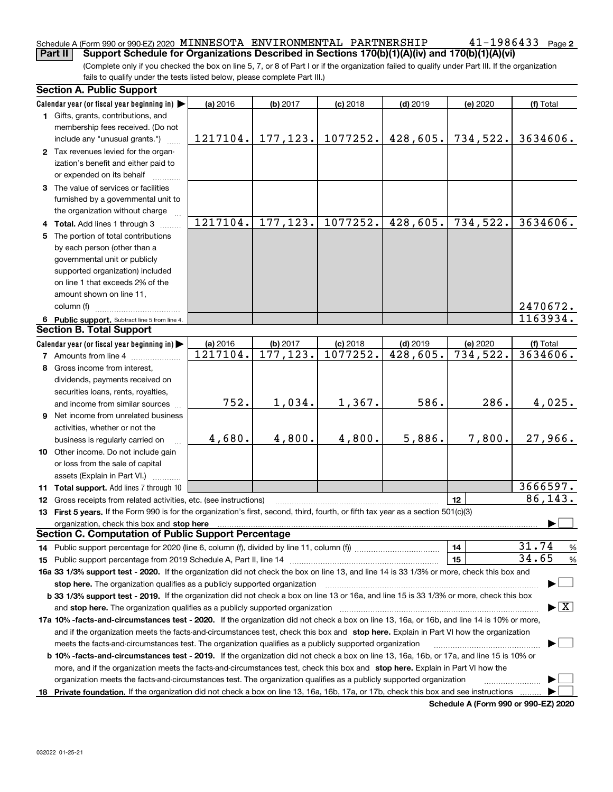#### Schedule A (Form 990 or 990-EZ) 2020 Page MINNESOTA ENVIRONMENTAL PARTNERSHIP 41-1986433**Part II Support Schedule for Organizations Described in Sections 170(b)(1)(A)(iv) and 170(b)(1)(A)(vi)**

(Complete only if you checked the box on line 5, 7, or 8 of Part I or if the organization failed to qualify under Part III. If the organization fails to qualify under the tests listed below, please complete Part III.)

| <b>Section A. Public Support</b>                                                                                                                                                                                               |          |           |            |            |                         |                                          |
|--------------------------------------------------------------------------------------------------------------------------------------------------------------------------------------------------------------------------------|----------|-----------|------------|------------|-------------------------|------------------------------------------|
| Calendar year (or fiscal year beginning in)                                                                                                                                                                                    | (a) 2016 | (b) 2017  | $(c)$ 2018 | $(d)$ 2019 | (e) 2020                | (f) Total                                |
| 1 Gifts, grants, contributions, and                                                                                                                                                                                            |          |           |            |            |                         |                                          |
| membership fees received. (Do not                                                                                                                                                                                              |          |           |            |            |                         |                                          |
| include any "unusual grants.")                                                                                                                                                                                                 | 1217104. | 177, 123. | 1077252.   | 428,605.   | 734,522.                | 3634606.                                 |
| 2 Tax revenues levied for the organ-                                                                                                                                                                                           |          |           |            |            |                         |                                          |
| ization's benefit and either paid to                                                                                                                                                                                           |          |           |            |            |                         |                                          |
| or expended on its behalf                                                                                                                                                                                                      |          |           |            |            |                         |                                          |
| 3 The value of services or facilities                                                                                                                                                                                          |          |           |            |            |                         |                                          |
| furnished by a governmental unit to                                                                                                                                                                                            |          |           |            |            |                         |                                          |
| the organization without charge                                                                                                                                                                                                |          |           |            |            |                         |                                          |
| 4 Total. Add lines 1 through 3                                                                                                                                                                                                 | 1217104. | 177,123.  | 1077252.   | 428,605.   | 734,522.                | 3634606.                                 |
| 5 The portion of total contributions                                                                                                                                                                                           |          |           |            |            |                         |                                          |
| by each person (other than a                                                                                                                                                                                                   |          |           |            |            |                         |                                          |
| governmental unit or publicly                                                                                                                                                                                                  |          |           |            |            |                         |                                          |
| supported organization) included                                                                                                                                                                                               |          |           |            |            |                         |                                          |
| on line 1 that exceeds 2% of the                                                                                                                                                                                               |          |           |            |            |                         |                                          |
|                                                                                                                                                                                                                                |          |           |            |            |                         |                                          |
| amount shown on line 11,                                                                                                                                                                                                       |          |           |            |            |                         |                                          |
| column (f)                                                                                                                                                                                                                     |          |           |            |            |                         | 2470672.                                 |
| 6 Public support. Subtract line 5 from line 4.                                                                                                                                                                                 |          |           |            |            |                         | 1163934.                                 |
| <b>Section B. Total Support</b>                                                                                                                                                                                                |          |           |            |            |                         |                                          |
| Calendar year (or fiscal year beginning in)                                                                                                                                                                                    | (a) 2016 | (b) 2017  | $(c)$ 2018 | $(d)$ 2019 | (e) 2020                | (f) Total                                |
| <b>7</b> Amounts from line 4                                                                                                                                                                                                   | 1217104. | 177, 123. | 1077252.   | 428,605.   | $\overline{734}$ , 522. | 3634606.                                 |
| 8 Gross income from interest,                                                                                                                                                                                                  |          |           |            |            |                         |                                          |
| dividends, payments received on                                                                                                                                                                                                |          |           |            |            |                         |                                          |
| securities loans, rents, royalties,                                                                                                                                                                                            |          |           |            |            |                         |                                          |
| and income from similar sources                                                                                                                                                                                                | 752.     | 1,034.    | 1,367.     | 586.       | 286.                    | 4,025.                                   |
| 9 Net income from unrelated business                                                                                                                                                                                           |          |           |            |            |                         |                                          |
| activities, whether or not the                                                                                                                                                                                                 |          |           |            |            |                         |                                          |
| business is regularly carried on                                                                                                                                                                                               | 4,680.   | 4,800.    | 4,800.     | 5,886.     | 7,800.                  | 27,966.                                  |
| 10 Other income. Do not include gain                                                                                                                                                                                           |          |           |            |            |                         |                                          |
| or loss from the sale of capital                                                                                                                                                                                               |          |           |            |            |                         |                                          |
| assets (Explain in Part VI.)                                                                                                                                                                                                   |          |           |            |            |                         |                                          |
| 11 Total support. Add lines 7 through 10                                                                                                                                                                                       |          |           |            |            |                         | 3666597.                                 |
| 12 Gross receipts from related activities, etc. (see instructions)                                                                                                                                                             |          |           |            |            | 12                      | 86,143.                                  |
| 13 First 5 years. If the Form 990 is for the organization's first, second, third, fourth, or fifth tax year as a section 501(c)(3)                                                                                             |          |           |            |            |                         |                                          |
| organization, check this box and stop here manufactured and according to the state of the state of the state of the state of the state of the state of the state of the state of the state of the state of the state of the st |          |           |            |            |                         |                                          |
| <b>Section C. Computation of Public Support Percentage</b>                                                                                                                                                                     |          |           |            |            |                         |                                          |
|                                                                                                                                                                                                                                |          |           |            |            | 14                      | 31.74<br>%                               |
|                                                                                                                                                                                                                                |          |           |            |            | 15                      | 34.65<br>%                               |
| 16a 33 1/3% support test - 2020. If the organization did not check the box on line 13, and line 14 is 33 1/3% or more, check this box and                                                                                      |          |           |            |            |                         |                                          |
| stop here. The organization qualifies as a publicly supported organization                                                                                                                                                     |          |           |            |            |                         |                                          |
| b 33 1/3% support test - 2019. If the organization did not check a box on line 13 or 16a, and line 15 is 33 1/3% or more, check this box                                                                                       |          |           |            |            |                         |                                          |
|                                                                                                                                                                                                                                |          |           |            |            |                         | $\blacktriangleright$ $\boxed{\text{X}}$ |
| and stop here. The organization qualifies as a publicly supported organization                                                                                                                                                 |          |           |            |            |                         |                                          |
| 17a 10% -facts-and-circumstances test - 2020. If the organization did not check a box on line 13, 16a, or 16b, and line 14 is 10% or more,                                                                                     |          |           |            |            |                         |                                          |
| and if the organization meets the facts-and-circumstances test, check this box and stop here. Explain in Part VI how the organization                                                                                          |          |           |            |            |                         |                                          |
| meets the facts-and-circumstances test. The organization qualifies as a publicly supported organization                                                                                                                        |          |           |            |            |                         |                                          |
| <b>b 10% -facts-and-circumstances test - 2019.</b> If the organization did not check a box on line 13, 16a, 16b, or 17a, and line 15 is 10% or                                                                                 |          |           |            |            |                         |                                          |
| more, and if the organization meets the facts-and-circumstances test, check this box and stop here. Explain in Part VI how the                                                                                                 |          |           |            |            |                         |                                          |
| organization meets the facts-and-circumstances test. The organization qualifies as a publicly supported organization                                                                                                           |          |           |            |            |                         |                                          |
| 18 Private foundation. If the organization did not check a box on line 13, 16a, 16b, 17a, or 17b, check this box and see instructions                                                                                          |          |           |            |            |                         |                                          |

**Schedule A (Form 990 or 990-EZ) 2020**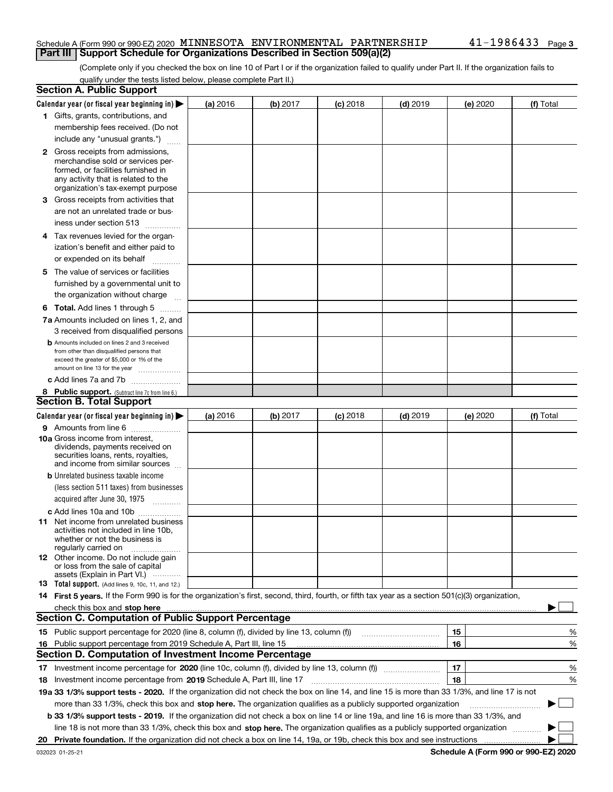#### Schedule A (Form 990 or 990-EZ) 2020 Page MINNESOTA ENVIRONMENTAL PARTNERSHIP 41-1986433**Part III** | Support Schedule for Organizations Described in Section 509(a)(2)

(Complete only if you checked the box on line 10 of Part I or if the organization failed to qualify under Part II. If the organization fails to qualify under the tests listed below, please complete Part II.)

|    | <b>Section A. Public Support</b>                                                                                                                                                                                                      |                 |          |                 |            |          |           |
|----|---------------------------------------------------------------------------------------------------------------------------------------------------------------------------------------------------------------------------------------|-----------------|----------|-----------------|------------|----------|-----------|
|    | Calendar year (or fiscal year beginning in) $\blacktriangleright$                                                                                                                                                                     | <b>(a)</b> 2016 | (b) 2017 | <b>(c)</b> 2018 | $(d)$ 2019 | (e) 2020 | (f) Total |
|    | 1 Gifts, grants, contributions, and                                                                                                                                                                                                   |                 |          |                 |            |          |           |
|    | membership fees received. (Do not                                                                                                                                                                                                     |                 |          |                 |            |          |           |
|    | include any "unusual grants.")                                                                                                                                                                                                        |                 |          |                 |            |          |           |
|    | <b>2</b> Gross receipts from admissions,                                                                                                                                                                                              |                 |          |                 |            |          |           |
|    | merchandise sold or services per-                                                                                                                                                                                                     |                 |          |                 |            |          |           |
|    | formed, or facilities furnished in                                                                                                                                                                                                    |                 |          |                 |            |          |           |
|    | any activity that is related to the<br>organization's tax-exempt purpose                                                                                                                                                              |                 |          |                 |            |          |           |
|    | 3 Gross receipts from activities that                                                                                                                                                                                                 |                 |          |                 |            |          |           |
|    | are not an unrelated trade or bus-                                                                                                                                                                                                    |                 |          |                 |            |          |           |
|    | iness under section 513                                                                                                                                                                                                               |                 |          |                 |            |          |           |
|    | 4 Tax revenues levied for the organ-                                                                                                                                                                                                  |                 |          |                 |            |          |           |
|    | ization's benefit and either paid to                                                                                                                                                                                                  |                 |          |                 |            |          |           |
|    | or expended on its behalf<br>.                                                                                                                                                                                                        |                 |          |                 |            |          |           |
|    | 5 The value of services or facilities                                                                                                                                                                                                 |                 |          |                 |            |          |           |
|    | furnished by a governmental unit to                                                                                                                                                                                                   |                 |          |                 |            |          |           |
|    | the organization without charge                                                                                                                                                                                                       |                 |          |                 |            |          |           |
|    | <b>6 Total.</b> Add lines 1 through 5                                                                                                                                                                                                 |                 |          |                 |            |          |           |
|    | 7a Amounts included on lines 1, 2, and                                                                                                                                                                                                |                 |          |                 |            |          |           |
|    | 3 received from disqualified persons                                                                                                                                                                                                  |                 |          |                 |            |          |           |
|    | <b>b</b> Amounts included on lines 2 and 3 received                                                                                                                                                                                   |                 |          |                 |            |          |           |
|    | from other than disqualified persons that                                                                                                                                                                                             |                 |          |                 |            |          |           |
|    | exceed the greater of \$5,000 or 1% of the<br>amount on line 13 for the year                                                                                                                                                          |                 |          |                 |            |          |           |
|    | c Add lines 7a and 7b                                                                                                                                                                                                                 |                 |          |                 |            |          |           |
|    | 8 Public support. (Subtract line 7c from line 6.)                                                                                                                                                                                     |                 |          |                 |            |          |           |
|    | <b>Section B. Total Support</b>                                                                                                                                                                                                       |                 |          |                 |            |          |           |
|    | Calendar year (or fiscal year beginning in)                                                                                                                                                                                           | (a) 2016        | (b) 2017 | $(c)$ 2018      | $(d)$ 2019 | (e) 2020 | (f) Total |
|    | 9 Amounts from line 6                                                                                                                                                                                                                 |                 |          |                 |            |          |           |
|    | <b>10a</b> Gross income from interest,                                                                                                                                                                                                |                 |          |                 |            |          |           |
|    | dividends, payments received on                                                                                                                                                                                                       |                 |          |                 |            |          |           |
|    | securities loans, rents, royalties,<br>and income from similar sources                                                                                                                                                                |                 |          |                 |            |          |           |
|    | <b>b</b> Unrelated business taxable income                                                                                                                                                                                            |                 |          |                 |            |          |           |
|    | (less section 511 taxes) from businesses                                                                                                                                                                                              |                 |          |                 |            |          |           |
|    | acquired after June 30, 1975<br>$\overline{\phantom{a}}$                                                                                                                                                                              |                 |          |                 |            |          |           |
|    | c Add lines 10a and 10b                                                                                                                                                                                                               |                 |          |                 |            |          |           |
|    | 11 Net income from unrelated business                                                                                                                                                                                                 |                 |          |                 |            |          |           |
|    | activities not included in line 10b,                                                                                                                                                                                                  |                 |          |                 |            |          |           |
|    | whether or not the business is<br>regularly carried on                                                                                                                                                                                |                 |          |                 |            |          |           |
|    | <b>12</b> Other income. Do not include gain                                                                                                                                                                                           |                 |          |                 |            |          |           |
|    | or loss from the sale of capital                                                                                                                                                                                                      |                 |          |                 |            |          |           |
|    | assets (Explain in Part VI.)<br><b>13</b> Total support. (Add lines 9, 10c, 11, and 12.)                                                                                                                                              |                 |          |                 |            |          |           |
|    | 14 First 5 years. If the Form 990 is for the organization's first, second, third, fourth, or fifth tax year as a section 501(c)(3) organization,                                                                                      |                 |          |                 |            |          |           |
|    |                                                                                                                                                                                                                                       |                 |          |                 |            |          |           |
|    | check this box and stop here <b>manufacture in the contract of the state of the state of state and stop here manufacture</b><br><b>Section C. Computation of Public Support Percentage</b>                                            |                 |          |                 |            |          |           |
|    |                                                                                                                                                                                                                                       |                 |          |                 |            | 15       | %         |
|    | 16 Public support percentage from 2019 Schedule A, Part III, line 15                                                                                                                                                                  |                 |          |                 |            | 16       | %         |
|    | <b>Section D. Computation of Investment Income Percentage</b>                                                                                                                                                                         |                 |          |                 |            |          |           |
|    | 17 Investment income percentage for 2020 (line 10c, column (f), divided by line 13, column (f))                                                                                                                                       |                 |          |                 |            | 17       | %         |
|    |                                                                                                                                                                                                                                       |                 |          |                 |            | 18       | %         |
|    | <b>18</b> Investment income percentage from <b>2019</b> Schedule A, Part III, line 17<br>19a 33 1/3% support tests - 2020. If the organization did not check the box on line 14, and line 15 is more than 33 1/3%, and line 17 is not |                 |          |                 |            |          |           |
|    | more than 33 1/3%, check this box and stop here. The organization qualifies as a publicly supported organization                                                                                                                      |                 |          |                 |            |          | $\sim$    |
|    |                                                                                                                                                                                                                                       |                 |          |                 |            |          |           |
|    | b 33 1/3% support tests - 2019. If the organization did not check a box on line 14 or line 19a, and line 16 is more than 33 1/3%, and                                                                                                 |                 |          |                 |            |          |           |
|    | line 18 is not more than 33 1/3%, check this box and stop here. The organization qualifies as a publicly supported organization                                                                                                       |                 |          |                 |            |          |           |
| 20 |                                                                                                                                                                                                                                       |                 |          |                 |            |          |           |

**Schedule A (Form 990 or 990-EZ) 2020**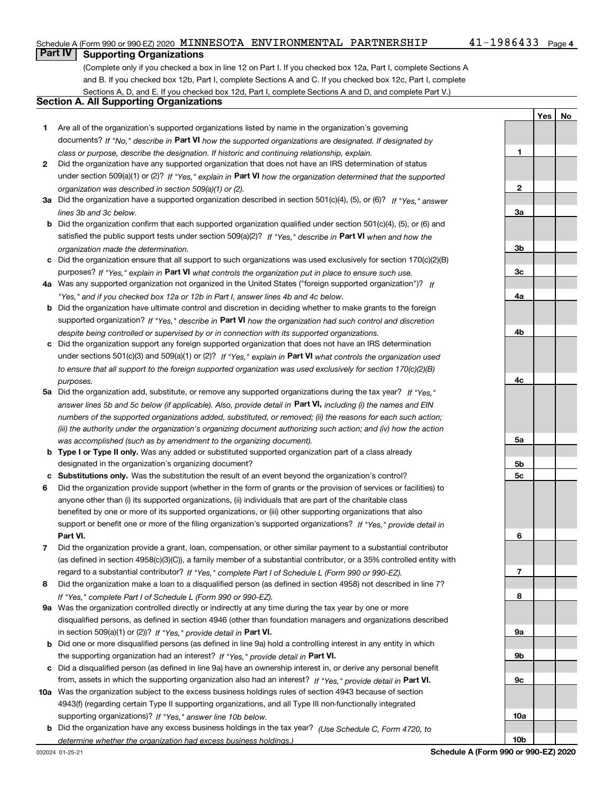**1**

**YesNo**

## **Part IV Supporting Organizations**

(Complete only if you checked a box in line 12 on Part I. If you checked box 12a, Part I, complete Sections A and B. If you checked box 12b, Part I, complete Sections A and C. If you checked box 12c, Part I, complete Sections A, D, and E. If you checked box 12d, Part I, complete Sections A and D, and complete Part V.)

### **Section A. All Supporting Organizations**

- **1** Are all of the organization's supported organizations listed by name in the organization's governing documents? If "No," describe in **Part VI** how the supported organizations are designated. If designated by *class or purpose, describe the designation. If historic and continuing relationship, explain.*
- **2** Did the organization have any supported organization that does not have an IRS determination of status under section 509(a)(1) or (2)? If "Yes," explain in Part VI how the organization determined that the supported *organization was described in section 509(a)(1) or (2).*
- **3a** Did the organization have a supported organization described in section 501(c)(4), (5), or (6)? If "Yes," answer *lines 3b and 3c below.*
- **b** Did the organization confirm that each supported organization qualified under section 501(c)(4), (5), or (6) and satisfied the public support tests under section 509(a)(2)? If "Yes," describe in **Part VI** when and how the *organization made the determination.*
- **c**Did the organization ensure that all support to such organizations was used exclusively for section 170(c)(2)(B) purposes? If "Yes," explain in **Part VI** what controls the organization put in place to ensure such use.
- **4a***If* Was any supported organization not organized in the United States ("foreign supported organization")? *"Yes," and if you checked box 12a or 12b in Part I, answer lines 4b and 4c below.*
- **b** Did the organization have ultimate control and discretion in deciding whether to make grants to the foreign supported organization? If "Yes," describe in **Part VI** how the organization had such control and discretion *despite being controlled or supervised by or in connection with its supported organizations.*
- **c** Did the organization support any foreign supported organization that does not have an IRS determination under sections 501(c)(3) and 509(a)(1) or (2)? If "Yes," explain in **Part VI** what controls the organization used *to ensure that all support to the foreign supported organization was used exclusively for section 170(c)(2)(B) purposes.*
- **5a***If "Yes,"* Did the organization add, substitute, or remove any supported organizations during the tax year? answer lines 5b and 5c below (if applicable). Also, provide detail in **Part VI,** including (i) the names and EIN *numbers of the supported organizations added, substituted, or removed; (ii) the reasons for each such action; (iii) the authority under the organization's organizing document authorizing such action; and (iv) how the action was accomplished (such as by amendment to the organizing document).*
- **b** Type I or Type II only. Was any added or substituted supported organization part of a class already designated in the organization's organizing document?
- **cSubstitutions only.**  Was the substitution the result of an event beyond the organization's control?
- **6** Did the organization provide support (whether in the form of grants or the provision of services or facilities) to **Part VI.** *If "Yes," provide detail in* support or benefit one or more of the filing organization's supported organizations? anyone other than (i) its supported organizations, (ii) individuals that are part of the charitable class benefited by one or more of its supported organizations, or (iii) other supporting organizations that also
- **7**Did the organization provide a grant, loan, compensation, or other similar payment to a substantial contributor *If "Yes," complete Part I of Schedule L (Form 990 or 990-EZ).* regard to a substantial contributor? (as defined in section 4958(c)(3)(C)), a family member of a substantial contributor, or a 35% controlled entity with
- **8** Did the organization make a loan to a disqualified person (as defined in section 4958) not described in line 7? *If "Yes," complete Part I of Schedule L (Form 990 or 990-EZ).*
- **9a** Was the organization controlled directly or indirectly at any time during the tax year by one or more in section 509(a)(1) or (2))? If "Yes," *provide detail in* <code>Part VI.</code> disqualified persons, as defined in section 4946 (other than foundation managers and organizations described
- **b** Did one or more disqualified persons (as defined in line 9a) hold a controlling interest in any entity in which the supporting organization had an interest? If "Yes," provide detail in P**art VI**.
- **c**Did a disqualified person (as defined in line 9a) have an ownership interest in, or derive any personal benefit from, assets in which the supporting organization also had an interest? If "Yes," provide detail in P**art VI.**
- **10a** Was the organization subject to the excess business holdings rules of section 4943 because of section supporting organizations)? If "Yes," answer line 10b below. 4943(f) (regarding certain Type II supporting organizations, and all Type III non-functionally integrated
- **b** Did the organization have any excess business holdings in the tax year? (Use Schedule C, Form 4720, to *determine whether the organization had excess business holdings.)*

**23a3b3c4a4b4c5a5b5c6789a 9b9c10a**

**10b**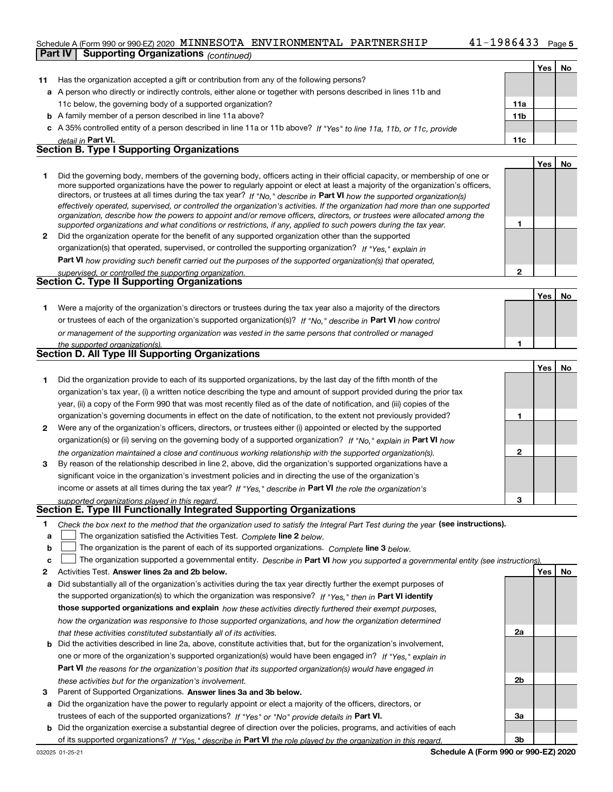#### Schedule A (Form 990 or 990-EZ) 2020 Page MINNESOTA ENVIRONMENTAL PARTNERSHIP 41-1986433

|    | Part IV | <b>Supporting Organizations (continued)</b>                                                                                                                                                                                                                |                 |     |    |
|----|---------|------------------------------------------------------------------------------------------------------------------------------------------------------------------------------------------------------------------------------------------------------------|-----------------|-----|----|
|    |         |                                                                                                                                                                                                                                                            |                 | Yes | No |
| 11 |         | Has the organization accepted a gift or contribution from any of the following persons?                                                                                                                                                                    |                 |     |    |
|    |         | a A person who directly or indirectly controls, either alone or together with persons described in lines 11b and                                                                                                                                           |                 |     |    |
|    |         | 11c below, the governing body of a supported organization?                                                                                                                                                                                                 | 11a             |     |    |
|    |         | <b>b</b> A family member of a person described in line 11a above?                                                                                                                                                                                          | 11 <sub>b</sub> |     |    |
|    |         | c A 35% controlled entity of a person described in line 11a or 11b above? If "Yes" to line 11a, 11b, or 11c, provide                                                                                                                                       |                 |     |    |
|    |         | detail in Part VI.                                                                                                                                                                                                                                         | 11c             |     |    |
|    |         | <b>Section B. Type I Supporting Organizations</b>                                                                                                                                                                                                          |                 |     |    |
|    |         |                                                                                                                                                                                                                                                            |                 | Yes | No |
| 1  |         | Did the governing body, members of the governing body, officers acting in their official capacity, or membership of one or                                                                                                                                 |                 |     |    |
|    |         | more supported organizations have the power to regularly appoint or elect at least a majority of the organization's officers,                                                                                                                              |                 |     |    |
|    |         | directors, or trustees at all times during the tax year? If "No," describe in Part VI how the supported organization(s)                                                                                                                                    |                 |     |    |
|    |         | effectively operated, supervised, or controlled the organization's activities. If the organization had more than one supported<br>organization, describe how the powers to appoint and/or remove officers, directors, or trustees were allocated among the |                 |     |    |
|    |         | supported organizations and what conditions or restrictions, if any, applied to such powers during the tax year.                                                                                                                                           | 1               |     |    |
| 2  |         | Did the organization operate for the benefit of any supported organization other than the supported                                                                                                                                                        |                 |     |    |
|    |         | organization(s) that operated, supervised, or controlled the supporting organization? If "Yes," explain in                                                                                                                                                 |                 |     |    |
|    |         | Part VI how providing such benefit carried out the purposes of the supported organization(s) that operated,                                                                                                                                                |                 |     |    |
|    |         | supervised, or controlled the supporting organization.                                                                                                                                                                                                     | $\overline{2}$  |     |    |
|    |         | <b>Section C. Type II Supporting Organizations</b>                                                                                                                                                                                                         |                 |     |    |
|    |         |                                                                                                                                                                                                                                                            |                 | Yes | No |
| 1. |         | Were a majority of the organization's directors or trustees during the tax year also a majority of the directors                                                                                                                                           |                 |     |    |
|    |         | or trustees of each of the organization's supported organization(s)? If "No," describe in Part VI how control                                                                                                                                              |                 |     |    |
|    |         | or management of the supporting organization was vested in the same persons that controlled or managed                                                                                                                                                     |                 |     |    |
|    |         | the supported organization(s).                                                                                                                                                                                                                             | 1               |     |    |
|    |         | Section D. All Type III Supporting Organizations                                                                                                                                                                                                           |                 |     |    |
|    |         |                                                                                                                                                                                                                                                            |                 | Yes | No |
| 1  |         | Did the organization provide to each of its supported organizations, by the last day of the fifth month of the                                                                                                                                             |                 |     |    |
|    |         | organization's tax year, (i) a written notice describing the type and amount of support provided during the prior tax                                                                                                                                      |                 |     |    |
|    |         | year, (ii) a copy of the Form 990 that was most recently filed as of the date of notification, and (iii) copies of the                                                                                                                                     |                 |     |    |
|    |         | organization's governing documents in effect on the date of notification, to the extent not previously provided?                                                                                                                                           | 1               |     |    |
| 2  |         | Were any of the organization's officers, directors, or trustees either (i) appointed or elected by the supported                                                                                                                                           |                 |     |    |
|    |         | organization(s) or (ii) serving on the governing body of a supported organization? If "No," explain in Part VI how                                                                                                                                         |                 |     |    |
|    |         | the organization maintained a close and continuous working relationship with the supported organization(s).                                                                                                                                                | $\mathbf{2}$    |     |    |
| 3  |         | By reason of the relationship described in line 2, above, did the organization's supported organizations have a                                                                                                                                            |                 |     |    |
|    |         | significant voice in the organization's investment policies and in directing the use of the organization's                                                                                                                                                 |                 |     |    |
|    |         | income or assets at all times during the tax year? If "Yes," describe in Part VI the role the organization's                                                                                                                                               |                 |     |    |
|    |         | supported organizations played in this regard.                                                                                                                                                                                                             | 3               |     |    |
|    |         | Section E. Type III Functionally Integrated Supporting Organizations                                                                                                                                                                                       |                 |     |    |
| 1  |         | Check the box next to the method that the organization used to satisfy the Integral Part Test during the year (see instructions).                                                                                                                          |                 |     |    |
| a  |         | The organization satisfied the Activities Test. Complete line 2 below.                                                                                                                                                                                     |                 |     |    |
| b  |         | The organization is the parent of each of its supported organizations. Complete line 3 below.                                                                                                                                                              |                 |     |    |

**c**  $\Box$  The organization supported a governmental entity. Describe in Part VI how you supported a governmental entity (see instructions).

| Activities Test. Answer lines 2a and 2b below.                                                                      | Yes: | No |
|---------------------------------------------------------------------------------------------------------------------|------|----|
| Did oubetestielly all ef the experimation's estimities during the text were directly further the exempt purposes of |      |    |

- **a** Did substantially all of the organization's activities during the tax year directly further the exempt purposes of **b** Did the activities described in line 2a, above, constitute activities that, but for the organization's involvement, the supported organization(s) to which the organization was responsive? If "Yes," then in **Part VI identify those supported organizations and explain**  *how these activities directly furthered their exempt purposes, how the organization was responsive to those supported organizations, and how the organization determined that these activities constituted substantially all of its activities.*
	- **Part VI**  *the reasons for the organization's position that its supported organization(s) would have engaged in* one or more of the organization's supported organization(s) would have been engaged in? If "Yes," e*xplain in these activities but for the organization's involvement.*
- **3** Parent of Supported Organizations. Answer lines 3a and 3b below.

**a** Did the organization have the power to regularly appoint or elect a majority of the officers, directors, or trustees of each of the supported organizations? If "Yes" or "No" provide details in **Part VI.** 

**b** Did the organization exercise a substantial degree of direction over the policies, programs, and activities of each of its supported organizations? If "Yes," describe in Part VI the role played by the organization in this regard.

**2a**

**2b**

**3a**

**3b**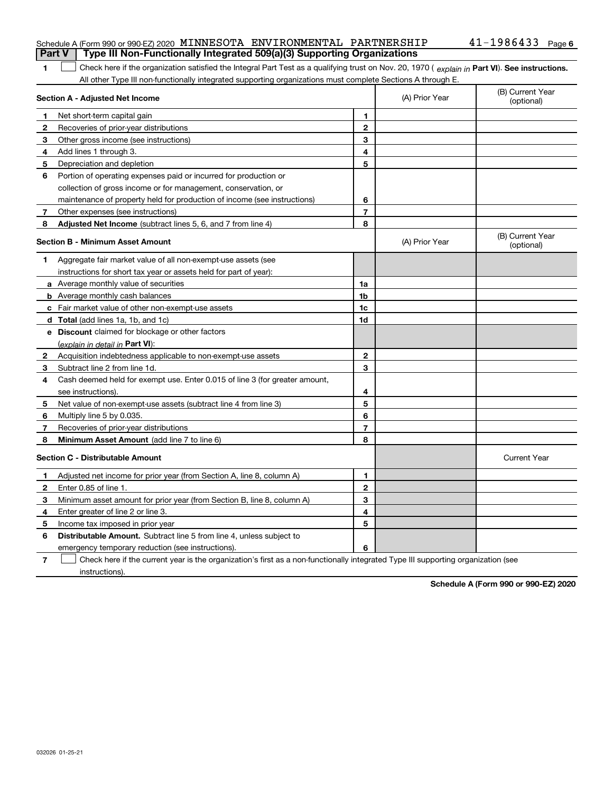|              | Type III Non-Functionally Integrated 509(a)(3) Supporting Organizations<br>Part V                                                              |                |                |                                |
|--------------|------------------------------------------------------------------------------------------------------------------------------------------------|----------------|----------------|--------------------------------|
| 1.           | Check here if the organization satisfied the Integral Part Test as a qualifying trust on Nov. 20, 1970 (explain in Part VI). See instructions. |                |                |                                |
|              | All other Type III non-functionally integrated supporting organizations must complete Sections A through E.                                    |                |                |                                |
|              | Section A - Adjusted Net Income                                                                                                                |                | (A) Prior Year | (B) Current Year<br>(optional) |
| 1            | Net short-term capital gain                                                                                                                    | 1              |                |                                |
| $\mathbf{2}$ | Recoveries of prior-year distributions                                                                                                         | $\mathbf{2}$   |                |                                |
| 3            | Other gross income (see instructions)                                                                                                          | 3              |                |                                |
| 4            | Add lines 1 through 3.                                                                                                                         | 4              |                |                                |
| 5            | Depreciation and depletion                                                                                                                     | 5              |                |                                |
| 6            | Portion of operating expenses paid or incurred for production or                                                                               |                |                |                                |
|              | collection of gross income or for management, conservation, or                                                                                 |                |                |                                |
|              | maintenance of property held for production of income (see instructions)                                                                       | 6              |                |                                |
| 7            | Other expenses (see instructions)                                                                                                              | $\overline{7}$ |                |                                |
| 8            | Adjusted Net Income (subtract lines 5, 6, and 7 from line 4)                                                                                   | 8              |                |                                |
|              | <b>Section B - Minimum Asset Amount</b>                                                                                                        |                | (A) Prior Year | (B) Current Year<br>(optional) |
| 1.           | Aggregate fair market value of all non-exempt-use assets (see                                                                                  |                |                |                                |
|              | instructions for short tax year or assets held for part of year):                                                                              |                |                |                                |
|              | a Average monthly value of securities                                                                                                          | 1a             |                |                                |
|              | <b>b</b> Average monthly cash balances                                                                                                         | 1b             |                |                                |
|              | c Fair market value of other non-exempt-use assets                                                                                             | 1c             |                |                                |
|              | d Total (add lines 1a, 1b, and 1c)                                                                                                             | 1d             |                |                                |
|              | e Discount claimed for blockage or other factors                                                                                               |                |                |                                |
|              | (explain in detail in Part VI):                                                                                                                |                |                |                                |
| 2            | Acquisition indebtedness applicable to non-exempt-use assets                                                                                   | $\mathbf{2}$   |                |                                |
| 3            | Subtract line 2 from line 1d.                                                                                                                  | 3              |                |                                |
| 4            | Cash deemed held for exempt use. Enter 0.015 of line 3 (for greater amount,                                                                    |                |                |                                |
|              | see instructions)                                                                                                                              | 4              |                |                                |
| 5            | Net value of non-exempt-use assets (subtract line 4 from line 3)                                                                               | 5              |                |                                |
| 6            | Multiply line 5 by 0.035.                                                                                                                      | 6              |                |                                |
| 7            | Recoveries of prior-year distributions                                                                                                         | $\overline{7}$ |                |                                |
| 8            | <b>Minimum Asset Amount</b> (add line 7 to line 6)                                                                                             | 8              |                |                                |
|              | <b>Section C - Distributable Amount</b>                                                                                                        |                |                | <b>Current Year</b>            |
| 1            | Adjusted net income for prior year (from Section A, line 8, column A)                                                                          | 1              |                |                                |
| 2            | Enter 0.85 of line 1.                                                                                                                          | $\mathbf{2}$   |                |                                |
| 3            | Minimum asset amount for prior year (from Section B, line 8, column A)                                                                         | 3              |                |                                |
| 4            | Enter greater of line 2 or line 3.                                                                                                             | 4              |                |                                |
| 5            | Income tax imposed in prior year                                                                                                               | 5              |                |                                |
| 6            | <b>Distributable Amount.</b> Subtract line 5 from line 4, unless subject to                                                                    |                |                |                                |
|              | emergency temporary reduction (see instructions).                                                                                              | 6              |                |                                |

Schedule A (Form 990 or 990-EZ) 2020 Page MINNESOTA ENVIRONMENTAL PARTNERSHIP 41-1986433

**7**Check here if the current year is the organization's first as a non-functionally integrated Type III supporting organization (see instructions).

**Schedule A (Form 990 or 990-EZ) 2020**

**6**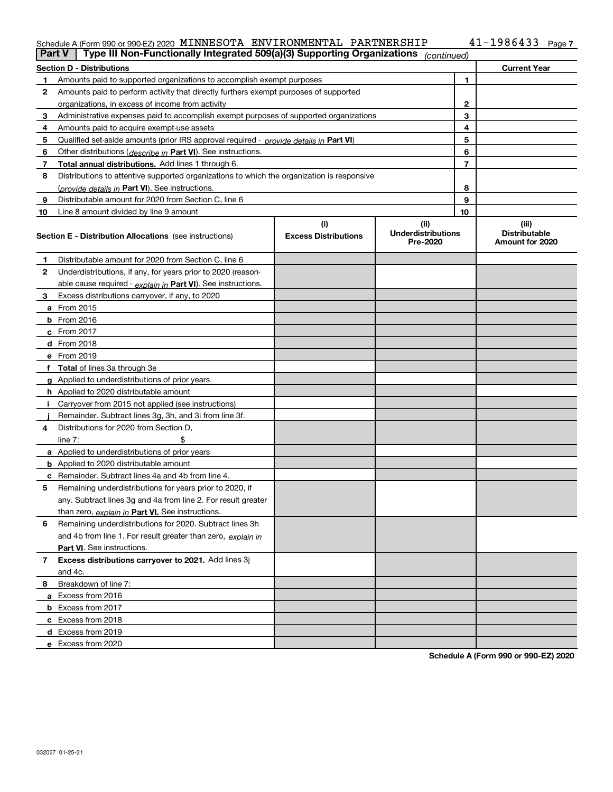#### Schedule A (Form 990 or 990-EZ) 2020 MINNESOTA ENVIRONMENTAL PARTNERSHIP 4I-1986433 Page MINNESOTA ENVIRONMENTAL PARTNERSHIP 41-1986433

|    | Type III Non-Functionally Integrated 509(a)(3) Supporting Organizations<br><b>Part V</b><br>(continued) |                             |                                       |              |                                         |
|----|---------------------------------------------------------------------------------------------------------|-----------------------------|---------------------------------------|--------------|-----------------------------------------|
|    | <b>Section D - Distributions</b>                                                                        |                             |                                       |              | <b>Current Year</b>                     |
| 1  | Amounts paid to supported organizations to accomplish exempt purposes                                   |                             |                                       | 1            |                                         |
| 2  | Amounts paid to perform activity that directly furthers exempt purposes of supported                    |                             |                                       |              |                                         |
|    | organizations, in excess of income from activity                                                        |                             |                                       | $\mathbf{2}$ |                                         |
| 3  | Administrative expenses paid to accomplish exempt purposes of supported organizations                   |                             |                                       | 3            |                                         |
| 4  | Amounts paid to acquire exempt-use assets                                                               |                             |                                       | 4            |                                         |
| 5  | Qualified set-aside amounts (prior IRS approval required - provide details in Part VI)                  |                             |                                       | 5            |                                         |
| 6  | Other distributions ( <i>describe in</i> Part VI). See instructions.                                    |                             |                                       | 6            |                                         |
| 7  | Total annual distributions. Add lines 1 through 6.                                                      |                             |                                       | 7            |                                         |
| 8  | Distributions to attentive supported organizations to which the organization is responsive              |                             |                                       |              |                                         |
|    | (provide details in Part VI). See instructions.                                                         |                             |                                       | 8            |                                         |
| 9  | Distributable amount for 2020 from Section C, line 6                                                    |                             |                                       | 9            |                                         |
| 10 | Line 8 amount divided by line 9 amount                                                                  |                             |                                       | 10           |                                         |
|    |                                                                                                         | (i)                         | (ii)                                  |              | (iii)                                   |
|    | Section E - Distribution Allocations (see instructions)                                                 | <b>Excess Distributions</b> | <b>Underdistributions</b><br>Pre-2020 |              | <b>Distributable</b><br>Amount for 2020 |
| 1  | Distributable amount for 2020 from Section C, line 6                                                    |                             |                                       |              |                                         |
| 2  | Underdistributions, if any, for years prior to 2020 (reason-                                            |                             |                                       |              |                                         |
|    | able cause required - explain in Part VI). See instructions.                                            |                             |                                       |              |                                         |
| 3  | Excess distributions carryover, if any, to 2020                                                         |                             |                                       |              |                                         |
|    | <b>a</b> From 2015                                                                                      |                             |                                       |              |                                         |
|    | <b>b</b> From 2016                                                                                      |                             |                                       |              |                                         |
|    | c From 2017                                                                                             |                             |                                       |              |                                         |
|    | <b>d</b> From 2018                                                                                      |                             |                                       |              |                                         |
|    | e From 2019                                                                                             |                             |                                       |              |                                         |
|    | f Total of lines 3a through 3e                                                                          |                             |                                       |              |                                         |
|    | g Applied to underdistributions of prior years                                                          |                             |                                       |              |                                         |
|    | <b>h</b> Applied to 2020 distributable amount                                                           |                             |                                       |              |                                         |
|    | Carryover from 2015 not applied (see instructions)                                                      |                             |                                       |              |                                         |
|    | Remainder. Subtract lines 3g, 3h, and 3i from line 3f.                                                  |                             |                                       |              |                                         |
| 4  | Distributions for 2020 from Section D,                                                                  |                             |                                       |              |                                         |
|    | line $7:$                                                                                               |                             |                                       |              |                                         |
|    | a Applied to underdistributions of prior years                                                          |                             |                                       |              |                                         |
|    | <b>b</b> Applied to 2020 distributable amount                                                           |                             |                                       |              |                                         |
|    | c Remainder. Subtract lines 4a and 4b from line 4.                                                      |                             |                                       |              |                                         |
| 5  | Remaining underdistributions for years prior to 2020, if                                                |                             |                                       |              |                                         |
|    | any. Subtract lines 3g and 4a from line 2. For result greater                                           |                             |                                       |              |                                         |
|    | than zero, explain in Part VI. See instructions.                                                        |                             |                                       |              |                                         |
| 6  | Remaining underdistributions for 2020. Subtract lines 3h                                                |                             |                                       |              |                                         |
|    | and 4b from line 1. For result greater than zero, explain in                                            |                             |                                       |              |                                         |
|    | Part VI. See instructions.                                                                              |                             |                                       |              |                                         |
| 7  | Excess distributions carryover to 2021. Add lines 3j                                                    |                             |                                       |              |                                         |
|    | and 4c.                                                                                                 |                             |                                       |              |                                         |
| 8  | Breakdown of line 7:                                                                                    |                             |                                       |              |                                         |
|    | a Excess from 2016                                                                                      |                             |                                       |              |                                         |
|    | <b>b</b> Excess from 2017                                                                               |                             |                                       |              |                                         |
|    | c Excess from 2018                                                                                      |                             |                                       |              |                                         |
|    | d Excess from 2019                                                                                      |                             |                                       |              |                                         |
|    | e Excess from 2020                                                                                      |                             |                                       |              |                                         |
|    |                                                                                                         |                             |                                       |              |                                         |

**Schedule A (Form 990 or 990-EZ) 2020**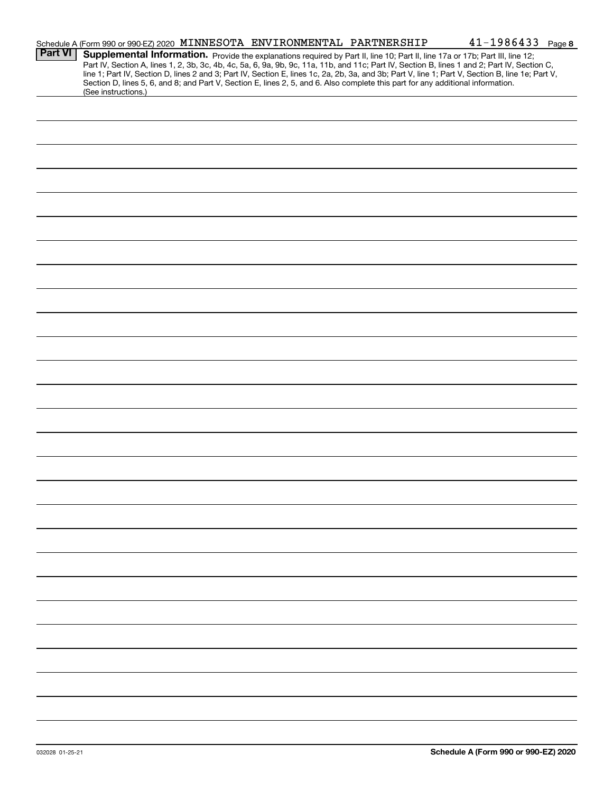|                | Schedule A (Form 990 or 990-EZ) 2020 MINNESOTA ENVIRONMENTAL PARTNERSHIP |  |                                                                                                                                                                                                                                                                  | $41 - 1986433$ Page 8                                                                                                                                                                                                                                                                            |
|----------------|--------------------------------------------------------------------------|--|------------------------------------------------------------------------------------------------------------------------------------------------------------------------------------------------------------------------------------------------------------------|--------------------------------------------------------------------------------------------------------------------------------------------------------------------------------------------------------------------------------------------------------------------------------------------------|
| <b>Part VI</b> |                                                                          |  | Supplemental Information. Provide the explanations required by Part II, line 10; Part II, line 17a or 17b; Part III, line 12;<br>Section D, lines 5, 6, and 8; and Part V, Section E, lines 2, 5, and 6. Also complete this part for any additional information. | Part IV, Section A, lines 1, 2, 3b, 3c, 4b, 4c, 5a, 6, 9a, 9b, 9c, 11a, 11b, and 11c; Part IV, Section B, lines 1 and 2; Part IV, Section C,<br>line 1; Part IV, Section D, lines 2 and 3; Part IV, Section E, lines 1c, 2a, 2b, 3a, and 3b; Part V, line 1; Part V, Section B, line 1e; Part V, |
|                | (See instructions.)                                                      |  |                                                                                                                                                                                                                                                                  |                                                                                                                                                                                                                                                                                                  |
|                |                                                                          |  |                                                                                                                                                                                                                                                                  |                                                                                                                                                                                                                                                                                                  |
|                |                                                                          |  |                                                                                                                                                                                                                                                                  |                                                                                                                                                                                                                                                                                                  |
|                |                                                                          |  |                                                                                                                                                                                                                                                                  |                                                                                                                                                                                                                                                                                                  |
|                |                                                                          |  |                                                                                                                                                                                                                                                                  |                                                                                                                                                                                                                                                                                                  |
|                |                                                                          |  |                                                                                                                                                                                                                                                                  |                                                                                                                                                                                                                                                                                                  |
|                |                                                                          |  |                                                                                                                                                                                                                                                                  |                                                                                                                                                                                                                                                                                                  |
|                |                                                                          |  |                                                                                                                                                                                                                                                                  |                                                                                                                                                                                                                                                                                                  |
|                |                                                                          |  |                                                                                                                                                                                                                                                                  |                                                                                                                                                                                                                                                                                                  |
|                |                                                                          |  |                                                                                                                                                                                                                                                                  |                                                                                                                                                                                                                                                                                                  |
|                |                                                                          |  |                                                                                                                                                                                                                                                                  |                                                                                                                                                                                                                                                                                                  |
|                |                                                                          |  |                                                                                                                                                                                                                                                                  |                                                                                                                                                                                                                                                                                                  |
|                |                                                                          |  |                                                                                                                                                                                                                                                                  |                                                                                                                                                                                                                                                                                                  |
|                |                                                                          |  |                                                                                                                                                                                                                                                                  |                                                                                                                                                                                                                                                                                                  |
|                |                                                                          |  |                                                                                                                                                                                                                                                                  |                                                                                                                                                                                                                                                                                                  |
|                |                                                                          |  |                                                                                                                                                                                                                                                                  |                                                                                                                                                                                                                                                                                                  |
|                |                                                                          |  |                                                                                                                                                                                                                                                                  |                                                                                                                                                                                                                                                                                                  |
|                |                                                                          |  |                                                                                                                                                                                                                                                                  |                                                                                                                                                                                                                                                                                                  |
|                |                                                                          |  |                                                                                                                                                                                                                                                                  |                                                                                                                                                                                                                                                                                                  |
|                |                                                                          |  |                                                                                                                                                                                                                                                                  |                                                                                                                                                                                                                                                                                                  |
|                |                                                                          |  |                                                                                                                                                                                                                                                                  |                                                                                                                                                                                                                                                                                                  |
|                |                                                                          |  |                                                                                                                                                                                                                                                                  |                                                                                                                                                                                                                                                                                                  |
|                |                                                                          |  |                                                                                                                                                                                                                                                                  |                                                                                                                                                                                                                                                                                                  |
|                |                                                                          |  |                                                                                                                                                                                                                                                                  |                                                                                                                                                                                                                                                                                                  |
|                |                                                                          |  |                                                                                                                                                                                                                                                                  |                                                                                                                                                                                                                                                                                                  |
|                |                                                                          |  |                                                                                                                                                                                                                                                                  |                                                                                                                                                                                                                                                                                                  |
|                |                                                                          |  |                                                                                                                                                                                                                                                                  |                                                                                                                                                                                                                                                                                                  |
|                |                                                                          |  |                                                                                                                                                                                                                                                                  |                                                                                                                                                                                                                                                                                                  |
|                |                                                                          |  |                                                                                                                                                                                                                                                                  |                                                                                                                                                                                                                                                                                                  |
|                |                                                                          |  |                                                                                                                                                                                                                                                                  |                                                                                                                                                                                                                                                                                                  |
|                |                                                                          |  |                                                                                                                                                                                                                                                                  |                                                                                                                                                                                                                                                                                                  |
|                |                                                                          |  |                                                                                                                                                                                                                                                                  |                                                                                                                                                                                                                                                                                                  |
|                |                                                                          |  |                                                                                                                                                                                                                                                                  |                                                                                                                                                                                                                                                                                                  |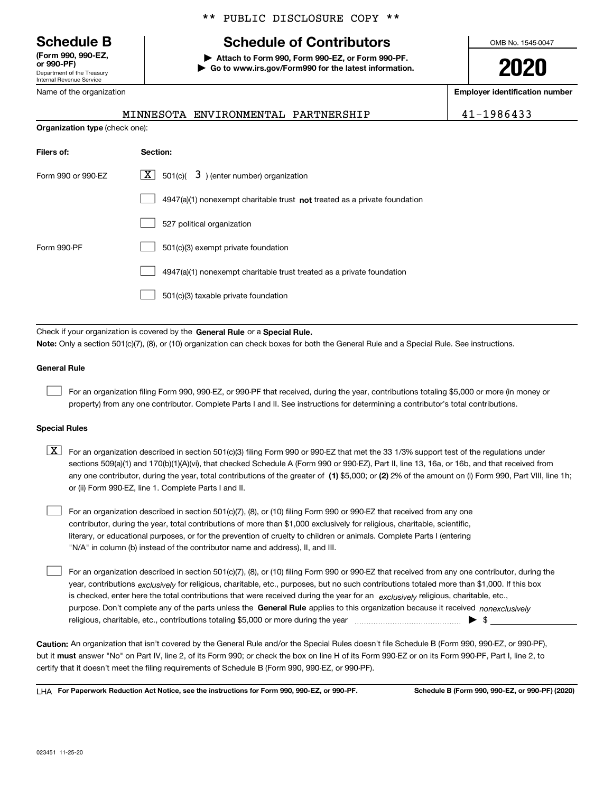Department of the Treasury Internal Revenue Service **(Form 990, 990-EZ, or 990-PF)**

Name of the organization

**Organization type** (check one):

#### \*\* PUBLIC DISCLOSURE COPY \*\*

## **Schedule B Schedule of Contributors**

**| Attach to Form 990, Form 990-EZ, or Form 990-PF. | Go to www.irs.gov/Form990 for the latest information.** OMB No. 1545-0047

**2020**

**Employer identification number**

| 1986433 |  |
|---------|--|
|---------|--|

|  | MINNESOTA ENVIRONMENTAL PARTNERSHIP |  |
|--|-------------------------------------|--|

| Filers of:         | Section:                                                                    |
|--------------------|-----------------------------------------------------------------------------|
| Form 990 or 990-EZ | $\lfloor x \rfloor$ 501(c)( 3) (enter number) organization                  |
|                    | $4947(a)(1)$ nonexempt charitable trust not treated as a private foundation |
|                    | 527 political organization                                                  |
| Form 990-PF        | 501(c)(3) exempt private foundation                                         |
|                    | 4947(a)(1) nonexempt charitable trust treated as a private foundation       |
|                    | 501(c)(3) taxable private foundation                                        |

Check if your organization is covered by the **General Rule** or a **Special Rule. Note:**  Only a section 501(c)(7), (8), or (10) organization can check boxes for both the General Rule and a Special Rule. See instructions.

#### **General Rule**

 $\mathcal{L}^{\text{max}}$ 

For an organization filing Form 990, 990-EZ, or 990-PF that received, during the year, contributions totaling \$5,000 or more (in money or property) from any one contributor. Complete Parts I and II. See instructions for determining a contributor's total contributions.

#### **Special Rules**

any one contributor, during the year, total contributions of the greater of  $\,$  (1) \$5,000; or **(2)** 2% of the amount on (i) Form 990, Part VIII, line 1h;  $\boxed{\textbf{X}}$  For an organization described in section 501(c)(3) filing Form 990 or 990-EZ that met the 33 1/3% support test of the regulations under sections 509(a)(1) and 170(b)(1)(A)(vi), that checked Schedule A (Form 990 or 990-EZ), Part II, line 13, 16a, or 16b, and that received from or (ii) Form 990-EZ, line 1. Complete Parts I and II.

For an organization described in section 501(c)(7), (8), or (10) filing Form 990 or 990-EZ that received from any one contributor, during the year, total contributions of more than \$1,000 exclusively for religious, charitable, scientific, literary, or educational purposes, or for the prevention of cruelty to children or animals. Complete Parts I (entering "N/A" in column (b) instead of the contributor name and address), II, and III.  $\mathcal{L}^{\text{max}}$ 

purpose. Don't complete any of the parts unless the **General Rule** applies to this organization because it received *nonexclusively* year, contributions <sub>exclusively</sub> for religious, charitable, etc., purposes, but no such contributions totaled more than \$1,000. If this box is checked, enter here the total contributions that were received during the year for an  $\;$ exclusively religious, charitable, etc., For an organization described in section 501(c)(7), (8), or (10) filing Form 990 or 990-EZ that received from any one contributor, during the religious, charitable, etc., contributions totaling \$5,000 or more during the year  $\Box$ — $\Box$   $\Box$  $\mathcal{L}^{\text{max}}$ 

**Caution:**  An organization that isn't covered by the General Rule and/or the Special Rules doesn't file Schedule B (Form 990, 990-EZ, or 990-PF),  **must** but it answer "No" on Part IV, line 2, of its Form 990; or check the box on line H of its Form 990-EZ or on its Form 990-PF, Part I, line 2, to certify that it doesn't meet the filing requirements of Schedule B (Form 990, 990-EZ, or 990-PF).

**For Paperwork Reduction Act Notice, see the instructions for Form 990, 990-EZ, or 990-PF. Schedule B (Form 990, 990-EZ, or 990-PF) (2020)** LHA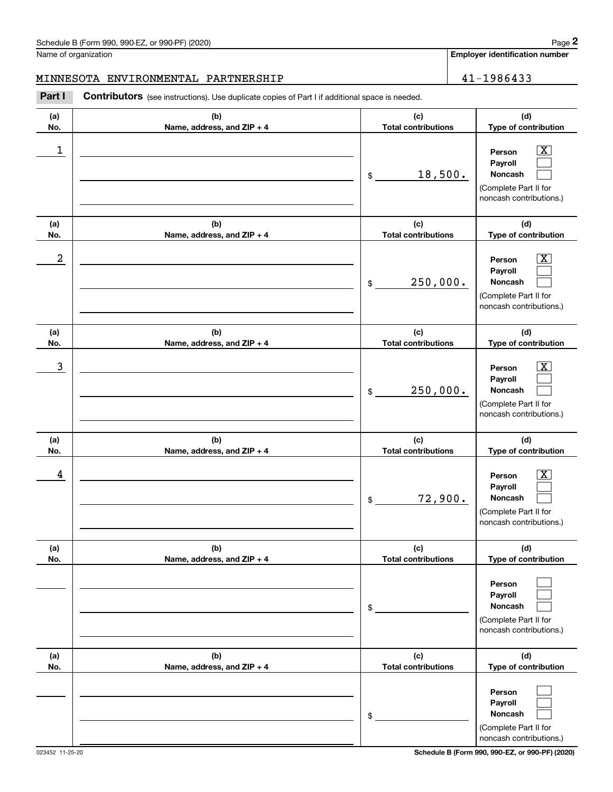**Employer identification number**

#### MINNESOTA ENVIRONMENTAL PARTNERSHIP 41-1986433

Chedule B (Form 990, 990-EZ, or 990-PF) (2020)<br>
lame of organization<br> **2020 INNESOTA ENVIRONMENTAL PARTNERSHIP**<br> **21-1986433**<br> **21-1986433** 

| (a)<br>No. | (b)<br>Name, address, and ZIP + 4 | (c)<br><b>Total contributions</b> | (d)<br>Type of contribution                                                                               |
|------------|-----------------------------------|-----------------------------------|-----------------------------------------------------------------------------------------------------------|
| 1          |                                   | 18,500.<br>$\$$                   | $\overline{\text{X}}$<br>Person<br>Payroll<br>Noncash<br>(Complete Part II for<br>noncash contributions.) |
| (a)<br>No. | (b)<br>Name, address, and ZIP + 4 | (c)<br><b>Total contributions</b> | (d)<br>Type of contribution                                                                               |
| 2          |                                   | 250,000.<br>$\$$                  | $\overline{\text{X}}$<br>Person<br>Payroll<br>Noncash<br>(Complete Part II for<br>noncash contributions.) |
| (a)<br>No. | (b)<br>Name, address, and ZIP + 4 | (c)<br><b>Total contributions</b> | (d)<br>Type of contribution                                                                               |
| 3          |                                   | 250,000.<br>$\$$                  | х<br>Person<br>Payroll<br>Noncash<br>(Complete Part II for<br>noncash contributions.)                     |
| (a)<br>No. | (b)<br>Name, address, and ZIP + 4 | (c)<br><b>Total contributions</b> | (d)<br>Type of contribution                                                                               |
| 4          |                                   | 72,900.<br>\$                     | $\overline{\text{X}}$<br>Person<br>Payroll<br>Noncash<br>(Complete Part II for<br>noncash contributions.) |
| (a)<br>No. | (b)<br>Name, address, and ZIP + 4 | (c)<br><b>Total contributions</b> | (d)<br>Type of contribution                                                                               |
|            |                                   | $\,$                              | Person<br>Payroll<br>Noncash<br>(Complete Part II for<br>noncash contributions.)                          |
| (a)<br>No. | (b)<br>Name, address, and ZIP + 4 | (c)<br><b>Total contributions</b> | (d)<br>Type of contribution                                                                               |
|            |                                   | \$                                | Person<br>Payroll<br>Noncash<br>(Complete Part II for<br>noncash contributions.)                          |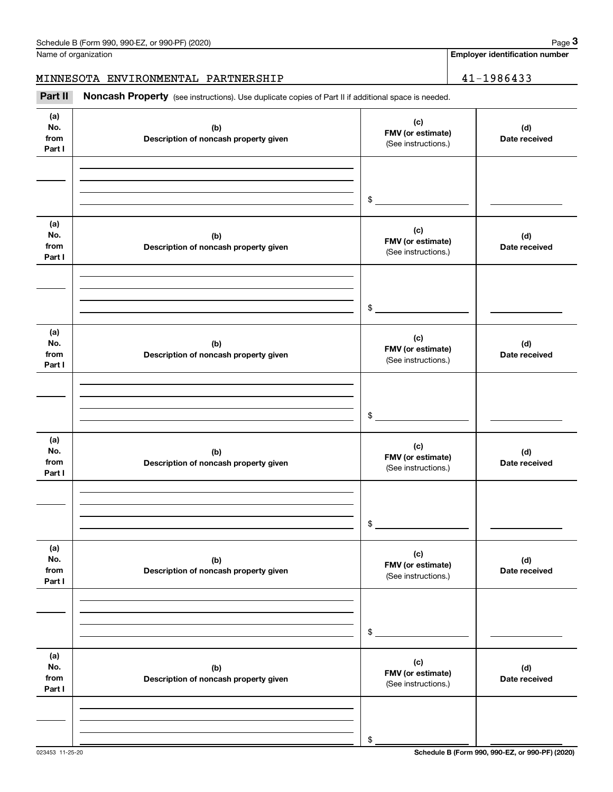Name of organization

**Employer identification number**

MINNESOTA ENVIRONMENTAL PARTNERSHIP 41-1986433

Chedule B (Form 990, 990-EZ, or 990-PF) (2020)<br>Iame of organization<br>**1INNESOTA ENVIRONMENTAL PARTNERSHIP**<br>**Part II** Noncash Property (see instructions). Use duplicate copies of Part II if additional space is needed.

| (a)<br>No.<br>from<br>Part I | (b)<br>Description of noncash property given | (c)<br>FMV (or estimate)<br>(See instructions.) | (d)<br>Date received |
|------------------------------|----------------------------------------------|-------------------------------------------------|----------------------|
|                              |                                              | \$                                              |                      |
|                              |                                              |                                                 |                      |
| (a)<br>No.<br>from<br>Part I | (b)<br>Description of noncash property given | (c)<br>FMV (or estimate)<br>(See instructions.) | (d)<br>Date received |
|                              |                                              |                                                 |                      |
|                              |                                              |                                                 |                      |
|                              |                                              | \$                                              |                      |
| (a)<br>No.<br>from<br>Part I | (b)<br>Description of noncash property given | (c)<br>FMV (or estimate)<br>(See instructions.) | (d)<br>Date received |
|                              |                                              |                                                 |                      |
|                              |                                              |                                                 |                      |
|                              |                                              | $$\mathbb{S}$$                                  |                      |
| (a)<br>No.<br>from<br>Part I | (b)<br>Description of noncash property given | (c)<br>FMV (or estimate)<br>(See instructions.) | (d)<br>Date received |
|                              |                                              |                                                 |                      |
|                              |                                              |                                                 |                      |
|                              |                                              | $\,$                                            |                      |
| (a)<br>No.<br>from<br>Part I | (b)<br>Description of noncash property given | (c)<br>FMV (or estimate)<br>(See instructions.) | (d)<br>Date received |
|                              |                                              |                                                 |                      |
|                              |                                              |                                                 |                      |
|                              |                                              | $\$$                                            |                      |
| (a)<br>No.<br>from<br>Part I | (b)<br>Description of noncash property given | (c)<br>FMV (or estimate)<br>(See instructions.) | (d)<br>Date received |
|                              |                                              |                                                 |                      |
|                              |                                              |                                                 |                      |
|                              |                                              | $\,$                                            |                      |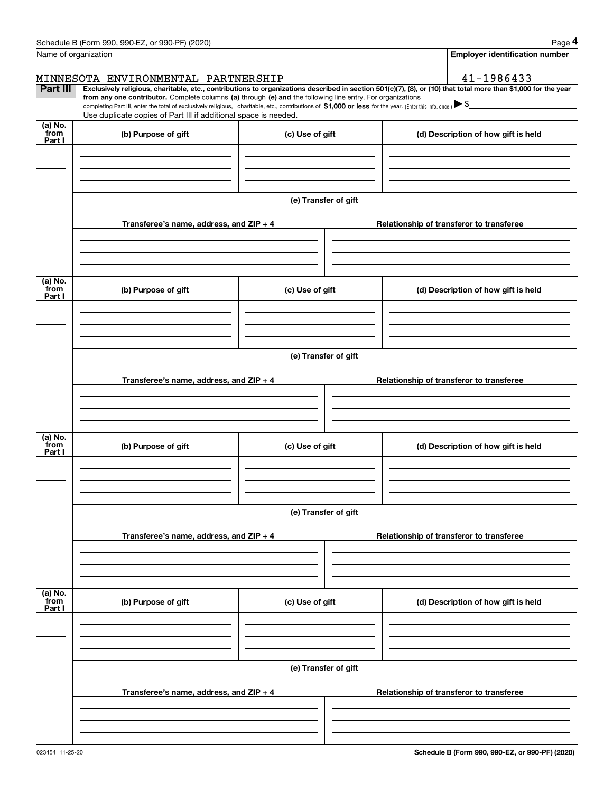|                           | Schedule B (Form 990, 990-EZ, or 990-PF) (2020)                                                                                                                               |                      | Page 4                                                                                                                                                                                                                                                                                                                                              |  |  |  |
|---------------------------|-------------------------------------------------------------------------------------------------------------------------------------------------------------------------------|----------------------|-----------------------------------------------------------------------------------------------------------------------------------------------------------------------------------------------------------------------------------------------------------------------------------------------------------------------------------------------------|--|--|--|
| Name of organization      |                                                                                                                                                                               |                      | <b>Employer identification number</b>                                                                                                                                                                                                                                                                                                               |  |  |  |
|                           | MINNESOTA ENVIRONMENTAL PARTNERSHIP                                                                                                                                           |                      | 41-1986433                                                                                                                                                                                                                                                                                                                                          |  |  |  |
| Part III                  | from any one contributor. Complete columns (a) through (e) and the following line entry. For organizations<br>Use duplicate copies of Part III if additional space is needed. |                      | Exclusively religious, charitable, etc., contributions to organizations described in section 501(c)(7), (8), or (10) that total more than \$1,000 for the year<br>completing Part III, enter the total of exclusively religious, charitable, etc., contributions of \$1,000 or less for the year. (Enter this info. once.) $\blacktriangleright$ \$ |  |  |  |
| (a) No.<br>from<br>Part I | (b) Purpose of gift                                                                                                                                                           | (c) Use of gift      | (d) Description of how gift is held                                                                                                                                                                                                                                                                                                                 |  |  |  |
|                           |                                                                                                                                                                               |                      |                                                                                                                                                                                                                                                                                                                                                     |  |  |  |
|                           |                                                                                                                                                                               | (e) Transfer of gift |                                                                                                                                                                                                                                                                                                                                                     |  |  |  |
|                           | Transferee's name, address, and ZIP + 4                                                                                                                                       |                      | Relationship of transferor to transferee                                                                                                                                                                                                                                                                                                            |  |  |  |
|                           |                                                                                                                                                                               |                      |                                                                                                                                                                                                                                                                                                                                                     |  |  |  |
| (a) No.<br>from<br>Part I | (b) Purpose of gift                                                                                                                                                           | (c) Use of gift      | (d) Description of how gift is held                                                                                                                                                                                                                                                                                                                 |  |  |  |
|                           |                                                                                                                                                                               |                      |                                                                                                                                                                                                                                                                                                                                                     |  |  |  |
|                           |                                                                                                                                                                               | (e) Transfer of gift |                                                                                                                                                                                                                                                                                                                                                     |  |  |  |
|                           | Transferee's name, address, and $ZIP + 4$                                                                                                                                     |                      | Relationship of transferor to transferee                                                                                                                                                                                                                                                                                                            |  |  |  |
|                           |                                                                                                                                                                               |                      |                                                                                                                                                                                                                                                                                                                                                     |  |  |  |
| (a) No.<br>from<br>Part I | (b) Purpose of gift                                                                                                                                                           | (c) Use of gift      | (d) Description of how gift is held                                                                                                                                                                                                                                                                                                                 |  |  |  |
|                           |                                                                                                                                                                               |                      |                                                                                                                                                                                                                                                                                                                                                     |  |  |  |
|                           | (e) Transfer of gift                                                                                                                                                          |                      |                                                                                                                                                                                                                                                                                                                                                     |  |  |  |
|                           | Transferee's name, address, and ZIP + 4                                                                                                                                       |                      | Relationship of transferor to transferee                                                                                                                                                                                                                                                                                                            |  |  |  |
|                           |                                                                                                                                                                               |                      |                                                                                                                                                                                                                                                                                                                                                     |  |  |  |
| (a) No.<br>from<br>Part I | (b) Purpose of gift                                                                                                                                                           | (c) Use of gift      | (d) Description of how gift is held                                                                                                                                                                                                                                                                                                                 |  |  |  |
|                           |                                                                                                                                                                               |                      |                                                                                                                                                                                                                                                                                                                                                     |  |  |  |
|                           |                                                                                                                                                                               | (e) Transfer of gift |                                                                                                                                                                                                                                                                                                                                                     |  |  |  |
|                           | Transferee's name, address, and ZIP + 4                                                                                                                                       |                      | Relationship of transferor to transferee                                                                                                                                                                                                                                                                                                            |  |  |  |
|                           |                                                                                                                                                                               |                      |                                                                                                                                                                                                                                                                                                                                                     |  |  |  |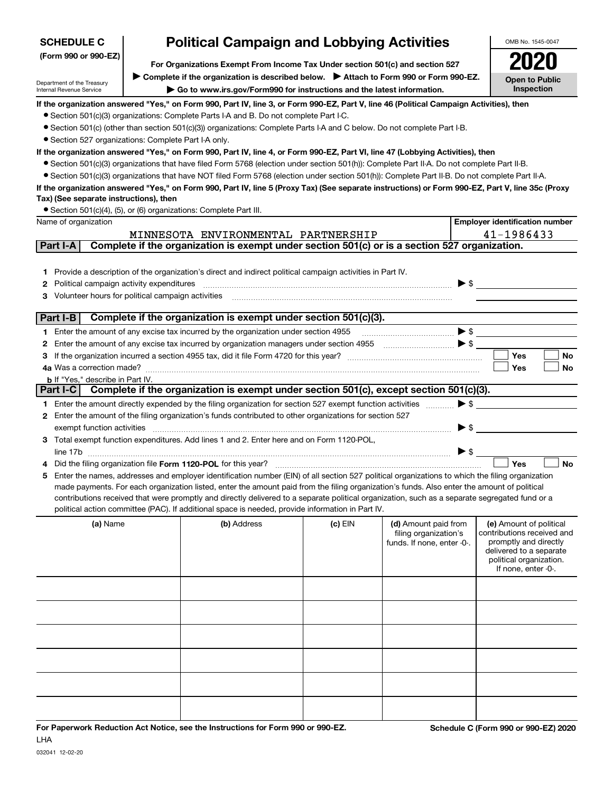| <b>SCHEDULE C</b>                                      |                                                                                                                                                                    | <b>Political Campaign and Lobbying Activities</b>                                                                                                |           |                                                                             |                          | OMB No. 1545-0047                                                                                                                                           |  |  |  |
|--------------------------------------------------------|--------------------------------------------------------------------------------------------------------------------------------------------------------------------|--------------------------------------------------------------------------------------------------------------------------------------------------|-----------|-----------------------------------------------------------------------------|--------------------------|-------------------------------------------------------------------------------------------------------------------------------------------------------------|--|--|--|
| (Form 990 or 990-EZ)                                   |                                                                                                                                                                    |                                                                                                                                                  |           |                                                                             |                          |                                                                                                                                                             |  |  |  |
|                                                        | For Organizations Exempt From Income Tax Under section 501(c) and section 527                                                                                      |                                                                                                                                                  |           |                                                                             |                          |                                                                                                                                                             |  |  |  |
| Department of the Treasury<br>Internal Revenue Service | Complete if the organization is described below.<br>> Attach to Form 990 or Form 990-EZ.<br>Go to www.irs.gov/Form990 for instructions and the latest information. |                                                                                                                                                  |           |                                                                             |                          |                                                                                                                                                             |  |  |  |
|                                                        |                                                                                                                                                                    | If the organization answered "Yes," on Form 990, Part IV, line 3, or Form 990-EZ, Part V, line 46 (Political Campaign Activities), then          |           |                                                                             |                          | Inspection                                                                                                                                                  |  |  |  |
|                                                        |                                                                                                                                                                    | • Section 501(c)(3) organizations: Complete Parts I-A and B. Do not complete Part I-C.                                                           |           |                                                                             |                          |                                                                                                                                                             |  |  |  |
|                                                        |                                                                                                                                                                    | • Section 501(c) (other than section 501(c)(3)) organizations: Complete Parts I-A and C below. Do not complete Part I-B.                         |           |                                                                             |                          |                                                                                                                                                             |  |  |  |
| • Section 527 organizations: Complete Part I-A only.   |                                                                                                                                                                    |                                                                                                                                                  |           |                                                                             |                          |                                                                                                                                                             |  |  |  |
|                                                        |                                                                                                                                                                    | If the organization answered "Yes," on Form 990, Part IV, line 4, or Form 990-EZ, Part VI, line 47 (Lobbying Activities), then                   |           |                                                                             |                          |                                                                                                                                                             |  |  |  |
|                                                        |                                                                                                                                                                    | • Section 501(c)(3) organizations that have filed Form 5768 (election under section 501(h)): Complete Part II-A. Do not complete Part II-B.      |           |                                                                             |                          |                                                                                                                                                             |  |  |  |
|                                                        |                                                                                                                                                                    | • Section 501(c)(3) organizations that have NOT filed Form 5768 (election under section 501(h)): Complete Part II-B. Do not complete Part II-A.  |           |                                                                             |                          |                                                                                                                                                             |  |  |  |
| Tax) (See separate instructions), then                 |                                                                                                                                                                    | If the organization answered "Yes," on Form 990, Part IV, line 5 (Proxy Tax) (See separate instructions) or Form 990-EZ, Part V, line 35c (Proxy |           |                                                                             |                          |                                                                                                                                                             |  |  |  |
|                                                        |                                                                                                                                                                    | • Section 501(c)(4), (5), or (6) organizations: Complete Part III.                                                                               |           |                                                                             |                          |                                                                                                                                                             |  |  |  |
| Name of organization                                   |                                                                                                                                                                    |                                                                                                                                                  |           |                                                                             |                          | <b>Employer identification number</b>                                                                                                                       |  |  |  |
|                                                        |                                                                                                                                                                    | MINNESOTA ENVIRONMENTAL PARTNERSHIP                                                                                                              |           |                                                                             |                          | 41-1986433                                                                                                                                                  |  |  |  |
| Part I-A                                               |                                                                                                                                                                    | Complete if the organization is exempt under section 501(c) or is a section 527 organization.                                                    |           |                                                                             |                          |                                                                                                                                                             |  |  |  |
|                                                        |                                                                                                                                                                    |                                                                                                                                                  |           |                                                                             |                          |                                                                                                                                                             |  |  |  |
| 1.                                                     |                                                                                                                                                                    | Provide a description of the organization's direct and indirect political campaign activities in Part IV.                                        |           |                                                                             |                          |                                                                                                                                                             |  |  |  |
| Political campaign activity expenditures<br>2          |                                                                                                                                                                    |                                                                                                                                                  |           |                                                                             |                          | $\blacktriangleright$ \$                                                                                                                                    |  |  |  |
| Volunteer hours for political campaign activities<br>з |                                                                                                                                                                    |                                                                                                                                                  |           |                                                                             |                          |                                                                                                                                                             |  |  |  |
| Part I-B                                               |                                                                                                                                                                    | Complete if the organization is exempt under section 501(c)(3).                                                                                  |           |                                                                             |                          |                                                                                                                                                             |  |  |  |
|                                                        |                                                                                                                                                                    | 1 Enter the amount of any excise tax incurred by the organization under section 4955                                                             |           |                                                                             |                          |                                                                                                                                                             |  |  |  |
| 2                                                      |                                                                                                                                                                    | Enter the amount of any excise tax incurred by organization managers under section 4955                                                          |           |                                                                             |                          |                                                                                                                                                             |  |  |  |
| з                                                      |                                                                                                                                                                    |                                                                                                                                                  |           |                                                                             |                          | Yes<br>No                                                                                                                                                   |  |  |  |
|                                                        |                                                                                                                                                                    |                                                                                                                                                  |           |                                                                             |                          | Yes<br>No                                                                                                                                                   |  |  |  |
| <b>b</b> If "Yes," describe in Part IV.                |                                                                                                                                                                    |                                                                                                                                                  |           |                                                                             |                          |                                                                                                                                                             |  |  |  |
| Part I-C                                               |                                                                                                                                                                    | Complete if the organization is exempt under section 501(c), except section 501(c)(3).                                                           |           |                                                                             |                          |                                                                                                                                                             |  |  |  |
|                                                        |                                                                                                                                                                    | 1 Enter the amount directly expended by the filing organization for section 527 exempt function activities                                       |           |                                                                             | $\blacktriangleright$ \$ |                                                                                                                                                             |  |  |  |
| 2.                                                     |                                                                                                                                                                    | Enter the amount of the filing organization's funds contributed to other organizations for section 527                                           |           |                                                                             |                          |                                                                                                                                                             |  |  |  |
| exempt function activities                             |                                                                                                                                                                    | 3 Total exempt function expenditures. Add lines 1 and 2. Enter here and on Form 1120-POL,                                                        |           |                                                                             | $\blacktriangleright$ \$ |                                                                                                                                                             |  |  |  |
|                                                        |                                                                                                                                                                    |                                                                                                                                                  |           |                                                                             | $\triangleright$ \$      |                                                                                                                                                             |  |  |  |
|                                                        |                                                                                                                                                                    | Did the filing organization file Form 1120-POL for this year?                                                                                    |           |                                                                             |                          | Yes<br><b>No</b>                                                                                                                                            |  |  |  |
| 5                                                      |                                                                                                                                                                    | Enter the names, addresses and employer identification number (EIN) of all section 527 political organizations to which the filing organization  |           |                                                                             |                          |                                                                                                                                                             |  |  |  |
|                                                        |                                                                                                                                                                    | made payments. For each organization listed, enter the amount paid from the filing organization's funds. Also enter the amount of political      |           |                                                                             |                          |                                                                                                                                                             |  |  |  |
|                                                        |                                                                                                                                                                    | contributions received that were promptly and directly delivered to a separate political organization, such as a separate segregated fund or a   |           |                                                                             |                          |                                                                                                                                                             |  |  |  |
|                                                        |                                                                                                                                                                    | political action committee (PAC). If additional space is needed, provide information in Part IV.                                                 |           |                                                                             |                          |                                                                                                                                                             |  |  |  |
| (a) Name                                               |                                                                                                                                                                    | (b) Address                                                                                                                                      | $(c)$ EIN | (d) Amount paid from<br>filing organization's<br>funds. If none, enter -0-. |                          | (e) Amount of political<br>contributions received and<br>promptly and directly<br>delivered to a separate<br>political organization.<br>If none, enter -0-. |  |  |  |
|                                                        |                                                                                                                                                                    |                                                                                                                                                  |           |                                                                             |                          |                                                                                                                                                             |  |  |  |
|                                                        |                                                                                                                                                                    |                                                                                                                                                  |           |                                                                             |                          |                                                                                                                                                             |  |  |  |
|                                                        |                                                                                                                                                                    |                                                                                                                                                  |           |                                                                             |                          |                                                                                                                                                             |  |  |  |
|                                                        |                                                                                                                                                                    |                                                                                                                                                  |           |                                                                             |                          |                                                                                                                                                             |  |  |  |
|                                                        |                                                                                                                                                                    |                                                                                                                                                  |           |                                                                             |                          |                                                                                                                                                             |  |  |  |
|                                                        |                                                                                                                                                                    |                                                                                                                                                  |           |                                                                             |                          |                                                                                                                                                             |  |  |  |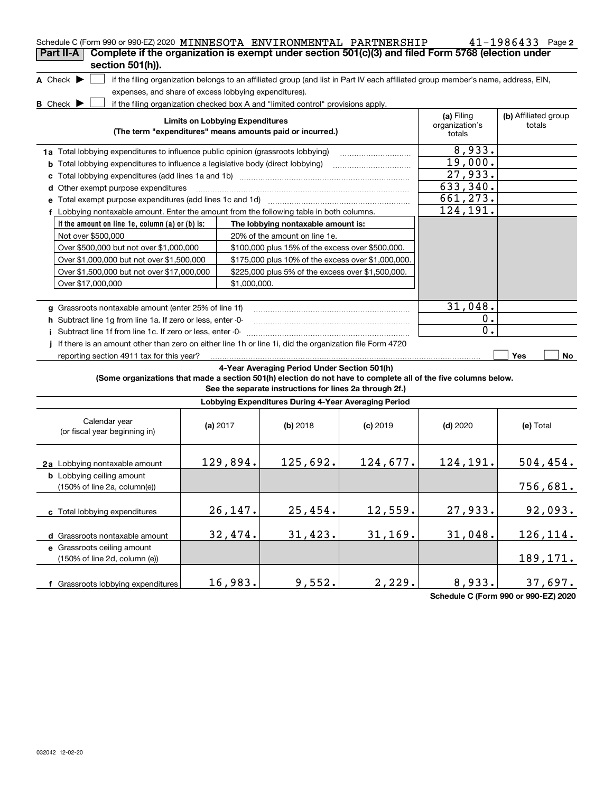| Schedule C (Form 990 or 990-EZ) 2020 MINNESOTA ENVIRONMENTAL PARTNERSHIP<br>Complete if the organization is exempt under section 501(c)(3) and filed Form 5768 (election under<br>Part II-A |                                        |              |                                                                                                                                   |            |                                        | $41 - 1986433$ Page 2          |
|---------------------------------------------------------------------------------------------------------------------------------------------------------------------------------------------|----------------------------------------|--------------|-----------------------------------------------------------------------------------------------------------------------------------|------------|----------------------------------------|--------------------------------|
| section 501(h)).                                                                                                                                                                            |                                        |              |                                                                                                                                   |            |                                        |                                |
| A Check $\blacktriangleright$                                                                                                                                                               |                                        |              | if the filing organization belongs to an affiliated group (and list in Part IV each affiliated group member's name, address, EIN, |            |                                        |                                |
| expenses, and share of excess lobbying expenditures).                                                                                                                                       |                                        |              |                                                                                                                                   |            |                                        |                                |
| <b>B</b> Check <b>D</b>                                                                                                                                                                     |                                        |              | if the filing organization checked box A and "limited control" provisions apply.                                                  |            |                                        |                                |
|                                                                                                                                                                                             | <b>Limits on Lobbying Expenditures</b> |              | (The term "expenditures" means amounts paid or incurred.)                                                                         |            | (a) Filing<br>organization's<br>totals | (b) Affiliated group<br>totals |
| 1a Total lobbying expenditures to influence public opinion (grassroots lobbying)                                                                                                            |                                        |              |                                                                                                                                   |            | 8,933.                                 |                                |
| <b>b</b> Total lobbying expenditures to influence a legislative body (direct lobbying)                                                                                                      |                                        |              |                                                                                                                                   |            | 19,000.                                |                                |
|                                                                                                                                                                                             |                                        |              |                                                                                                                                   |            | 27,933.                                |                                |
| d Other exempt purpose expenditures                                                                                                                                                         |                                        |              |                                                                                                                                   |            | 633,340.                               |                                |
| e Total exempt purpose expenditures (add lines 1c and 1d)                                                                                                                                   |                                        |              |                                                                                                                                   |            | 661,273.                               |                                |
| f Lobbying nontaxable amount. Enter the amount from the following table in both columns.                                                                                                    |                                        |              |                                                                                                                                   |            | 124, 191.                              |                                |
| If the amount on line 1e, column (a) or (b) is:                                                                                                                                             |                                        |              | The lobbying nontaxable amount is:                                                                                                |            |                                        |                                |
| Not over \$500,000                                                                                                                                                                          |                                        |              | 20% of the amount on line 1e.                                                                                                     |            |                                        |                                |
| Over \$500,000 but not over \$1,000,000                                                                                                                                                     |                                        |              | \$100,000 plus 15% of the excess over \$500,000.                                                                                  |            |                                        |                                |
| Over \$1,000,000 but not over \$1,500,000                                                                                                                                                   |                                        |              | \$175,000 plus 10% of the excess over \$1,000,000.                                                                                |            |                                        |                                |
| Over \$1,500,000 but not over \$17,000,000                                                                                                                                                  |                                        |              | \$225,000 plus 5% of the excess over \$1,500,000.                                                                                 |            |                                        |                                |
| Over \$17,000,000                                                                                                                                                                           |                                        | \$1,000,000. |                                                                                                                                   |            |                                        |                                |
|                                                                                                                                                                                             |                                        |              |                                                                                                                                   |            |                                        |                                |
| g Grassroots nontaxable amount (enter 25% of line 1f)                                                                                                                                       |                                        |              |                                                                                                                                   |            | 31,048.                                |                                |
| h Subtract line 1g from line 1a. If zero or less, enter -0-                                                                                                                                 |                                        |              |                                                                                                                                   |            | 0.                                     |                                |
| Subtract line 1f from line 1c. If zero or less, enter -0-                                                                                                                                   |                                        |              |                                                                                                                                   |            | $\mathbf{0}$ .                         |                                |
| If there is an amount other than zero on either line 1h or line 1i, did the organization file Form 4720                                                                                     |                                        |              |                                                                                                                                   |            |                                        |                                |
| reporting section 4911 tax for this year?                                                                                                                                                   |                                        |              |                                                                                                                                   |            |                                        | Yes<br>No                      |
|                                                                                                                                                                                             |                                        |              | 4-Year Averaging Period Under Section 501(h)                                                                                      |            |                                        |                                |
| (Some organizations that made a section 501(h) election do not have to complete all of the five columns below.                                                                              |                                        |              |                                                                                                                                   |            |                                        |                                |
|                                                                                                                                                                                             |                                        |              | See the separate instructions for lines 2a through 2f.)                                                                           |            |                                        |                                |
|                                                                                                                                                                                             |                                        |              | Lobbying Expenditures During 4-Year Averaging Period                                                                              |            |                                        |                                |
| Calendar year<br>(or fiscal year beginning in)                                                                                                                                              | (a) $2017$                             |              | $(b)$ 2018                                                                                                                        | $(c)$ 2019 | $(d)$ 2020                             | (e) Total                      |
| 2a Lobbying nontaxable amount                                                                                                                                                               | 129,894.                               |              | 125,692.                                                                                                                          | 124,677.   | 124,191.                               | 504, 454.                      |
| <b>b</b> Lobbying ceiling amount<br>(150% of line 2a, column(e))                                                                                                                            |                                        |              |                                                                                                                                   |            |                                        | 756,681.                       |
| c Total lobbying expenditures                                                                                                                                                               | 26,147.                                |              | 25,454.                                                                                                                           | 12,559.    | 27,933.                                | 92,093.                        |
| d Grassroots nontaxable amount                                                                                                                                                              | 32,474.                                |              | 31,423.                                                                                                                           | 31, 169.   | 31,048.                                | 126,114.                       |
| e Grassroots ceiling amount<br>(150% of line 2d, column (e))                                                                                                                                |                                        |              |                                                                                                                                   |            |                                        | 189,171.                       |
| f Grassroots lobbying expenditures                                                                                                                                                          | 16,983.                                |              | 9,552.                                                                                                                            | 2,229.     | 8,933.                                 | 37,697.                        |

**Schedule C (Form 990 or 990-EZ) 2020**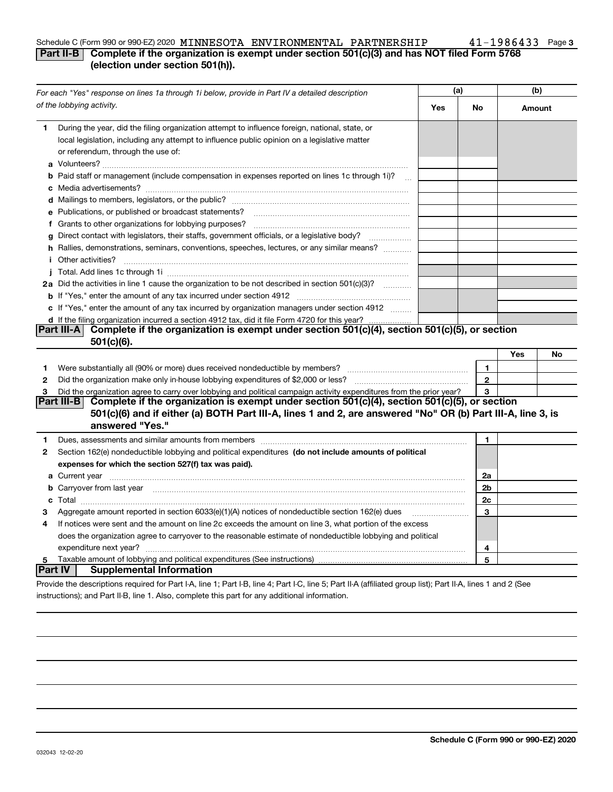#### Schedule C (Form 990 or 990-EZ) 2020 Page MINNESOTA ENVIRONMENTAL PARTNERSHIP 41-1986433

#### **3**

### **Part II-B Complete if the organization is exempt under section 501(c)(3) and has NOT filed Form 5768 (election under section 501(h)).**

| For each "Yes" response on lines 1a through 1i below, provide in Part IV a detailed description |                                                                                                                                                                                                                                      | (a) |              | (b)    |    |
|-------------------------------------------------------------------------------------------------|--------------------------------------------------------------------------------------------------------------------------------------------------------------------------------------------------------------------------------------|-----|--------------|--------|----|
|                                                                                                 | of the lobbying activity.                                                                                                                                                                                                            | Yes | No           | Amount |    |
| 1                                                                                               | During the year, did the filing organization attempt to influence foreign, national, state, or<br>local legislation, including any attempt to influence public opinion on a legislative matter<br>or referendum, through the use of: |     |              |        |    |
|                                                                                                 | b Paid staff or management (include compensation in expenses reported on lines 1c through 1i)?                                                                                                                                       |     |              |        |    |
|                                                                                                 |                                                                                                                                                                                                                                      |     |              |        |    |
|                                                                                                 | e Publications, or published or broadcast statements?                                                                                                                                                                                |     |              |        |    |
|                                                                                                 | f Grants to other organizations for lobbying purposes?                                                                                                                                                                               |     |              |        |    |
|                                                                                                 | g Direct contact with legislators, their staffs, government officials, or a legislative body?                                                                                                                                        |     |              |        |    |
|                                                                                                 | h Rallies, demonstrations, seminars, conventions, speeches, lectures, or any similar means?                                                                                                                                          |     |              |        |    |
|                                                                                                 | <i>i</i> Other activities?                                                                                                                                                                                                           |     |              |        |    |
|                                                                                                 |                                                                                                                                                                                                                                      |     |              |        |    |
|                                                                                                 | 2a Did the activities in line 1 cause the organization to be not described in section 501(c)(3)?                                                                                                                                     |     |              |        |    |
|                                                                                                 |                                                                                                                                                                                                                                      |     |              |        |    |
|                                                                                                 | c If "Yes," enter the amount of any tax incurred by organization managers under section 4912                                                                                                                                         |     |              |        |    |
|                                                                                                 | d If the filing organization incurred a section 4912 tax, did it file Form 4720 for this year?                                                                                                                                       |     |              |        |    |
|                                                                                                 | Part III-A Complete if the organization is exempt under section 501(c)(4), section 501(c)(5), or section                                                                                                                             |     |              |        |    |
|                                                                                                 | $501(c)(6)$ .                                                                                                                                                                                                                        |     |              |        |    |
|                                                                                                 |                                                                                                                                                                                                                                      |     |              | Yes    | No |
| 1                                                                                               | Were substantially all (90% or more) dues received nondeductible by members?                                                                                                                                                         |     | $\mathbf{1}$ |        |    |
| 2                                                                                               |                                                                                                                                                                                                                                      |     | $\mathbf{2}$ |        |    |
| з                                                                                               | Did the organization agree to carry over lobbying and political campaign activity expenditures from the prior year?                                                                                                                  |     | 3            |        |    |
|                                                                                                 | Complete if the organization is exempt under section 501(c)(4), section 501(c)(5), or section<br>Part III-B                                                                                                                          |     |              |        |    |
|                                                                                                 | 501(c)(6) and if either (a) BOTH Part III-A, lines 1 and 2, are answered "No" OR (b) Part III-A, line 3, is                                                                                                                          |     |              |        |    |
|                                                                                                 | answered "Yes."                                                                                                                                                                                                                      |     |              |        |    |
| 1                                                                                               | Dues, assessments and similar amounts from members [111] www.communition.communition.com                                                                                                                                             |     | 1            |        |    |
| 2                                                                                               | Section 162(e) nondeductible lobbying and political expenditures (do not include amounts of political                                                                                                                                |     |              |        |    |
|                                                                                                 | expenses for which the section 527(f) tax was paid).                                                                                                                                                                                 |     |              |        |    |
|                                                                                                 |                                                                                                                                                                                                                                      |     | 2a           |        |    |
|                                                                                                 | b Carryover from last year manufactured and content to content the content of the content of the content of the content of the content of the content of the content of the content of the content of the content of the conte       |     | 2b           |        |    |
|                                                                                                 |                                                                                                                                                                                                                                      |     | 2c           |        |    |
| з                                                                                               |                                                                                                                                                                                                                                      |     | 3            |        |    |
| 4                                                                                               | If notices were sent and the amount on line 2c exceeds the amount on line 3, what portion of the excess                                                                                                                              |     |              |        |    |
|                                                                                                 | does the organization agree to carryover to the reasonable estimate of nondeductible lobbying and political                                                                                                                          |     |              |        |    |
|                                                                                                 | expenditure next year?                                                                                                                                                                                                               |     | 4            |        |    |
| 5                                                                                               |                                                                                                                                                                                                                                      |     | 5            |        |    |
| Part IV                                                                                         | <b>Supplemental Information</b>                                                                                                                                                                                                      |     |              |        |    |
|                                                                                                 | Provide the descriptions required for Part I-A, line 1; Part I-B, line 4; Part I-C, line 5; Part II-A (affiliated group list); Part II-A, lines 1 and 2 (See                                                                         |     |              |        |    |

instructions); and Part II-B, line 1. Also, complete this part for any additional information.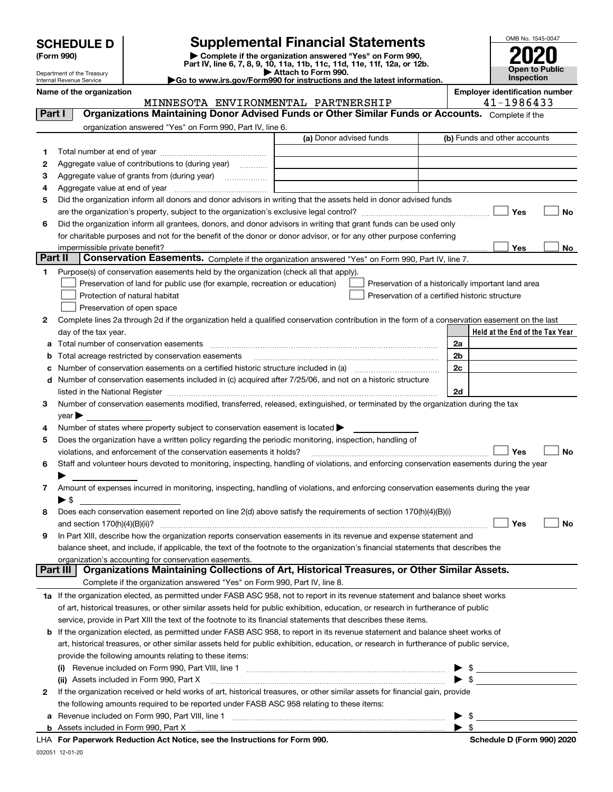| <b>SCHEDULE D</b> |  |
|-------------------|--|
|-------------------|--|

Department of the Treasury Internal Revenue Service

| (Form 990) |  |
|------------|--|
|------------|--|

## **SCHEDULE D Supplemental Financial Statements**

(Form 990)<br>
Pepartment of the Treasury<br>
Department of the Treasury<br>
Department of the Treasury<br>
Department of the Treasury<br> **Co to www.irs.gov/Form990 for instructions and the latest information.**<br> **Co to www.irs.gov/Form9** 



**InspectionName of the organization Employer identification number**

OMB No. 1545-0047

**2020**

**Open to Public**

|         | MINNESOTA ENVIRONMENTAL PARTNERSHIP                                                                                                                                                                                                                                                                                 | 41-1986433              |                                                    |
|---------|---------------------------------------------------------------------------------------------------------------------------------------------------------------------------------------------------------------------------------------------------------------------------------------------------------------------|-------------------------|----------------------------------------------------|
| Part I  | Organizations Maintaining Donor Advised Funds or Other Similar Funds or Accounts. Complete if the                                                                                                                                                                                                                   |                         |                                                    |
|         | organization answered "Yes" on Form 990, Part IV, line 6.                                                                                                                                                                                                                                                           |                         |                                                    |
|         |                                                                                                                                                                                                                                                                                                                     | (a) Donor advised funds | (b) Funds and other accounts                       |
| 1       |                                                                                                                                                                                                                                                                                                                     |                         |                                                    |
| 2       | Aggregate value of contributions to (during year)                                                                                                                                                                                                                                                                   |                         |                                                    |
| З       | Aggregate value of grants from (during year) <i>manuming</i>                                                                                                                                                                                                                                                        |                         |                                                    |
| 4       |                                                                                                                                                                                                                                                                                                                     |                         |                                                    |
| 5       | Did the organization inform all donors and donor advisors in writing that the assets held in donor advised funds                                                                                                                                                                                                    |                         |                                                    |
|         |                                                                                                                                                                                                                                                                                                                     |                         | Yes<br>No                                          |
| 6       | Did the organization inform all grantees, donors, and donor advisors in writing that grant funds can be used only                                                                                                                                                                                                   |                         |                                                    |
|         | for charitable purposes and not for the benefit of the donor or donor advisor, or for any other purpose conferring                                                                                                                                                                                                  |                         |                                                    |
|         | impermissible private benefit?                                                                                                                                                                                                                                                                                      |                         | Yes<br>No                                          |
| Part II | Conservation Easements. Complete if the organization answered "Yes" on Form 990, Part IV, line 7.                                                                                                                                                                                                                   |                         |                                                    |
| 1.      | Purpose(s) of conservation easements held by the organization (check all that apply).                                                                                                                                                                                                                               |                         |                                                    |
|         | Preservation of land for public use (for example, recreation or education)                                                                                                                                                                                                                                          |                         | Preservation of a historically important land area |
|         | Protection of natural habitat                                                                                                                                                                                                                                                                                       |                         | Preservation of a certified historic structure     |
|         | Preservation of open space                                                                                                                                                                                                                                                                                          |                         |                                                    |
| 2       | Complete lines 2a through 2d if the organization held a qualified conservation contribution in the form of a conservation easement on the last                                                                                                                                                                      |                         |                                                    |
|         | day of the tax year.                                                                                                                                                                                                                                                                                                |                         | Held at the End of the Tax Year                    |
|         | Total number of conservation easements                                                                                                                                                                                                                                                                              |                         | 2a                                                 |
|         | Total acreage restricted by conservation easements                                                                                                                                                                                                                                                                  |                         | 2 <sub>b</sub>                                     |
|         | Number of conservation easements on a certified historic structure included in (a) manufacture included in (a)                                                                                                                                                                                                      |                         | 2c                                                 |
|         | d Number of conservation easements included in (c) acquired after 7/25/06, and not on a historic structure                                                                                                                                                                                                          |                         |                                                    |
|         | listed in the National Register [11, 1200] [12] The National Register [11, 1200] [12] The National Register [11, 1200] [12] The National Register [11, 1200] [12] The National Register [11, 1200] [12] The National Register                                                                                       |                         | 2d                                                 |
| 3       | Number of conservation easements modified, transferred, released, extinguished, or terminated by the organization during the tax                                                                                                                                                                                    |                         |                                                    |
|         | $\vee$ ear                                                                                                                                                                                                                                                                                                          |                         |                                                    |
| 4       | Number of states where property subject to conservation easement is located >                                                                                                                                                                                                                                       |                         |                                                    |
| 5       | Does the organization have a written policy regarding the periodic monitoring, inspection, handling of                                                                                                                                                                                                              |                         |                                                    |
|         | violations, and enforcement of the conservation easements it holds?                                                                                                                                                                                                                                                 |                         | Yes<br>No                                          |
| 6       | Staff and volunteer hours devoted to monitoring, inspecting, handling of violations, and enforcing conservation easements during the year                                                                                                                                                                           |                         |                                                    |
|         |                                                                                                                                                                                                                                                                                                                     |                         |                                                    |
| 7       | Amount of expenses incurred in monitoring, inspecting, handling of violations, and enforcing conservation easements during the year                                                                                                                                                                                 |                         |                                                    |
|         | ► \$                                                                                                                                                                                                                                                                                                                |                         |                                                    |
| 8       | Does each conservation easement reported on line 2(d) above satisfy the requirements of section 170(h)(4)(B)(i)                                                                                                                                                                                                     |                         |                                                    |
|         | and section $170(h)(4)(B)(ii)?$                                                                                                                                                                                                                                                                                     |                         | Yes<br>No                                          |
| 9       | In Part XIII, describe how the organization reports conservation easements in its revenue and expense statement and                                                                                                                                                                                                 |                         |                                                    |
|         | balance sheet, and include, if applicable, the text of the footnote to the organization's financial statements that describes the                                                                                                                                                                                   |                         |                                                    |
|         | organization's accounting for conservation easements.<br>Organizations Maintaining Collections of Art, Historical Treasures, or Other Similar Assets.                                                                                                                                                               |                         |                                                    |
|         | Part III                                                                                                                                                                                                                                                                                                            |                         |                                                    |
|         | Complete if the organization answered "Yes" on Form 990, Part IV, line 8.                                                                                                                                                                                                                                           |                         |                                                    |
|         | 1a If the organization elected, as permitted under FASB ASC 958, not to report in its revenue statement and balance sheet works                                                                                                                                                                                     |                         |                                                    |
|         | of art, historical treasures, or other similar assets held for public exhibition, education, or research in furtherance of public                                                                                                                                                                                   |                         |                                                    |
|         | service, provide in Part XIII the text of the footnote to its financial statements that describes these items.                                                                                                                                                                                                      |                         |                                                    |
|         | b If the organization elected, as permitted under FASB ASC 958, to report in its revenue statement and balance sheet works of                                                                                                                                                                                       |                         |                                                    |
|         | art, historical treasures, or other similar assets held for public exhibition, education, or research in furtherance of public service,                                                                                                                                                                             |                         |                                                    |
|         | provide the following amounts relating to these items:                                                                                                                                                                                                                                                              |                         |                                                    |
|         |                                                                                                                                                                                                                                                                                                                     |                         | -\$                                                |
|         | (ii) Assets included in Form 990, Part X                                                                                                                                                                                                                                                                            |                         | $\blacktriangleright$ s                            |
| 2       | If the organization received or held works of art, historical treasures, or other similar assets for financial gain, provide                                                                                                                                                                                        |                         |                                                    |
|         | the following amounts required to be reported under FASB ASC 958 relating to these items:                                                                                                                                                                                                                           |                         |                                                    |
|         |                                                                                                                                                                                                                                                                                                                     |                         | $\blacktriangleright$ \$                           |
|         | $\frac{1}{2}$ $\frac{1}{2}$ $\frac{1}{2}$ $\frac{1}{2}$ $\frac{1}{2}$ $\frac{1}{2}$ $\frac{1}{2}$ $\frac{1}{2}$ $\frac{1}{2}$ $\frac{1}{2}$ $\frac{1}{2}$ $\frac{1}{2}$ $\frac{1}{2}$ $\frac{1}{2}$ $\frac{1}{2}$ $\frac{1}{2}$ $\frac{1}{2}$ $\frac{1}{2}$ $\frac{1}{2}$ $\frac{1}{2}$ $\frac{1}{2}$ $\frac{1}{2}$ |                         | $\blacktriangleright$ \$                           |

**For Paperwork Reduction Act Notice, see the Instructions for Form 990. Schedule D (Form 990) 2020** LHA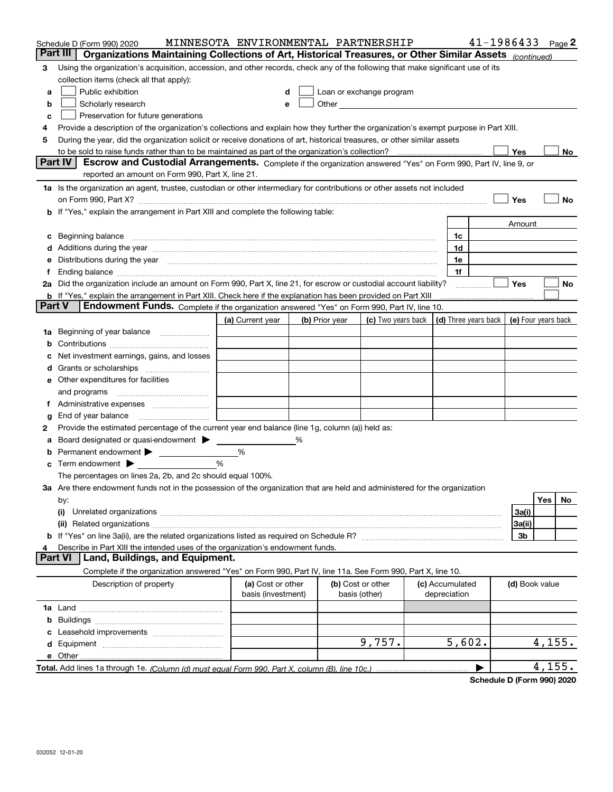|                 | Schedule D (Form 990) 2020                                                                                                                                                                                                           | MINNESOTA ENVIRONMENTAL PARTNERSHIP     |                |                                    |                                                                                                                                                                                                                                |                                              | 41-1986433 |                |         | Page 2 |
|-----------------|--------------------------------------------------------------------------------------------------------------------------------------------------------------------------------------------------------------------------------------|-----------------------------------------|----------------|------------------------------------|--------------------------------------------------------------------------------------------------------------------------------------------------------------------------------------------------------------------------------|----------------------------------------------|------------|----------------|---------|--------|
| <b>Part III</b> | Organizations Maintaining Collections of Art, Historical Treasures, or Other Similar Assets (continued)                                                                                                                              |                                         |                |                                    |                                                                                                                                                                                                                                |                                              |            |                |         |        |
| 3               | Using the organization's acquisition, accession, and other records, check any of the following that make significant use of its                                                                                                      |                                         |                |                                    |                                                                                                                                                                                                                                |                                              |            |                |         |        |
|                 | collection items (check all that apply):                                                                                                                                                                                             |                                         |                |                                    |                                                                                                                                                                                                                                |                                              |            |                |         |        |
| a               | Public exhibition                                                                                                                                                                                                                    |                                         |                |                                    | Loan or exchange program                                                                                                                                                                                                       |                                              |            |                |         |        |
| b               | Scholarly research                                                                                                                                                                                                                   |                                         |                |                                    | Other and the control of the control of the control of the control of the control of the control of the control of the control of the control of the control of the control of the control of the control of the control of th |                                              |            |                |         |        |
| c               | Preservation for future generations                                                                                                                                                                                                  |                                         |                |                                    |                                                                                                                                                                                                                                |                                              |            |                |         |        |
|                 | Provide a description of the organization's collections and explain how they further the organization's exempt purpose in Part XIII.                                                                                                 |                                         |                |                                    |                                                                                                                                                                                                                                |                                              |            |                |         |        |
| 5               | During the year, did the organization solicit or receive donations of art, historical treasures, or other similar assets                                                                                                             |                                         |                |                                    |                                                                                                                                                                                                                                |                                              |            |                |         |        |
|                 | to be sold to raise funds rather than to be maintained as part of the organization's collection?                                                                                                                                     |                                         |                |                                    |                                                                                                                                                                                                                                |                                              |            | Yes            |         | No     |
|                 | Part IV<br>Escrow and Custodial Arrangements. Complete if the organization answered "Yes" on Form 990, Part IV, line 9, or                                                                                                           |                                         |                |                                    |                                                                                                                                                                                                                                |                                              |            |                |         |        |
|                 | reported an amount on Form 990, Part X, line 21.                                                                                                                                                                                     |                                         |                |                                    |                                                                                                                                                                                                                                |                                              |            |                |         |        |
|                 | 1a Is the organization an agent, trustee, custodian or other intermediary for contributions or other assets not included                                                                                                             |                                         |                |                                    |                                                                                                                                                                                                                                |                                              |            |                |         |        |
|                 | on Form 990, Part X? [11] matter and the contract of the contract of the contract of the contract of the contract of the contract of the contract of the contract of the contract of the contract of the contract of the contr       |                                         |                |                                    |                                                                                                                                                                                                                                |                                              |            | Yes            |         | No     |
|                 | b If "Yes," explain the arrangement in Part XIII and complete the following table:                                                                                                                                                   |                                         |                |                                    |                                                                                                                                                                                                                                |                                              |            |                |         |        |
|                 |                                                                                                                                                                                                                                      |                                         |                |                                    |                                                                                                                                                                                                                                |                                              |            | Amount         |         |        |
| c               | Beginning balance                                                                                                                                                                                                                    |                                         |                |                                    |                                                                                                                                                                                                                                | 1c                                           |            |                |         |        |
|                 | Additions during the year manufactured and an annual contract of the year manufactured and all the year manufactured and all the year manufactured and all the year manufactured and all the year manufactured and all the yea       |                                         |                |                                    |                                                                                                                                                                                                                                | 1d                                           |            |                |         |        |
|                 | Distributions during the year manufactured and continuum and contact the year manufactured and contact the year                                                                                                                      |                                         |                |                                    |                                                                                                                                                                                                                                | 1e                                           |            |                |         |        |
|                 |                                                                                                                                                                                                                                      |                                         |                |                                    |                                                                                                                                                                                                                                | 1f                                           |            | Yes            |         |        |
|                 | 2a Did the organization include an amount on Form 990, Part X, line 21, for escrow or custodial account liability?<br>b If "Yes," explain the arrangement in Part XIII. Check here if the explanation has been provided on Part XIII |                                         |                |                                    |                                                                                                                                                                                                                                |                                              |            |                |         | No     |
| <b>Part V</b>   | Endowment Funds. Complete if the organization answered "Yes" on Form 990, Part IV, line 10.                                                                                                                                          |                                         |                |                                    |                                                                                                                                                                                                                                |                                              |            |                |         |        |
|                 |                                                                                                                                                                                                                                      | (a) Current year                        | (b) Prior year |                                    | (c) Two years back                                                                                                                                                                                                             | (d) Three years back $ $ (e) Four years back |            |                |         |        |
| 1a              | Beginning of year balance                                                                                                                                                                                                            |                                         |                |                                    |                                                                                                                                                                                                                                |                                              |            |                |         |        |
|                 |                                                                                                                                                                                                                                      |                                         |                |                                    |                                                                                                                                                                                                                                |                                              |            |                |         |        |
|                 | Net investment earnings, gains, and losses                                                                                                                                                                                           |                                         |                |                                    |                                                                                                                                                                                                                                |                                              |            |                |         |        |
|                 |                                                                                                                                                                                                                                      |                                         |                |                                    |                                                                                                                                                                                                                                |                                              |            |                |         |        |
|                 | e Other expenditures for facilities                                                                                                                                                                                                  |                                         |                |                                    |                                                                                                                                                                                                                                |                                              |            |                |         |        |
|                 | and programs                                                                                                                                                                                                                         |                                         |                |                                    |                                                                                                                                                                                                                                |                                              |            |                |         |        |
|                 |                                                                                                                                                                                                                                      |                                         |                |                                    |                                                                                                                                                                                                                                |                                              |            |                |         |        |
| g               | End of year balance                                                                                                                                                                                                                  |                                         |                |                                    |                                                                                                                                                                                                                                |                                              |            |                |         |        |
| 2               | Provide the estimated percentage of the current year end balance (line 1g, column (a)) held as:                                                                                                                                      |                                         |                |                                    |                                                                                                                                                                                                                                |                                              |            |                |         |        |
|                 | Board designated or quasi-endowment                                                                                                                                                                                                  |                                         | %              |                                    |                                                                                                                                                                                                                                |                                              |            |                |         |        |
| b               | Permanent endowment                                                                                                                                                                                                                  | %                                       |                |                                    |                                                                                                                                                                                                                                |                                              |            |                |         |        |
| c               | Term endowment $\blacktriangleright$                                                                                                                                                                                                 | %                                       |                |                                    |                                                                                                                                                                                                                                |                                              |            |                |         |        |
|                 | The percentages on lines 2a, 2b, and 2c should equal 100%.                                                                                                                                                                           |                                         |                |                                    |                                                                                                                                                                                                                                |                                              |            |                |         |        |
|                 | <b>3a</b> Are there endowment funds not in the possession of the organization that are held and administered for the organization                                                                                                    |                                         |                |                                    |                                                                                                                                                                                                                                |                                              |            |                |         |        |
|                 | by:                                                                                                                                                                                                                                  |                                         |                |                                    |                                                                                                                                                                                                                                |                                              |            |                | Yes     | No     |
|                 | (i)                                                                                                                                                                                                                                  |                                         |                |                                    |                                                                                                                                                                                                                                |                                              |            | 3a(i)          |         |        |
|                 | (ii)                                                                                                                                                                                                                                 |                                         |                |                                    |                                                                                                                                                                                                                                |                                              |            | 3a(ii)         |         |        |
|                 |                                                                                                                                                                                                                                      |                                         |                |                                    |                                                                                                                                                                                                                                |                                              |            | 3b             |         |        |
| <b>Part VI</b>  | Describe in Part XIII the intended uses of the organization's endowment funds.<br>Land, Buildings, and Equipment.                                                                                                                    |                                         |                |                                    |                                                                                                                                                                                                                                |                                              |            |                |         |        |
|                 |                                                                                                                                                                                                                                      |                                         |                |                                    |                                                                                                                                                                                                                                |                                              |            |                |         |        |
|                 | Complete if the organization answered "Yes" on Form 990, Part IV, line 11a. See Form 990, Part X, line 10.                                                                                                                           |                                         |                |                                    |                                                                                                                                                                                                                                |                                              |            |                |         |        |
|                 | Description of property                                                                                                                                                                                                              | (a) Cost or other<br>basis (investment) |                | (b) Cost or other<br>basis (other) |                                                                                                                                                                                                                                | (c) Accumulated<br>depreciation              |            | (d) Book value |         |        |
|                 |                                                                                                                                                                                                                                      |                                         |                |                                    |                                                                                                                                                                                                                                |                                              |            |                |         |        |
| b               |                                                                                                                                                                                                                                      |                                         |                |                                    |                                                                                                                                                                                                                                |                                              |            |                |         |        |
|                 |                                                                                                                                                                                                                                      |                                         |                |                                    |                                                                                                                                                                                                                                |                                              |            |                |         |        |
|                 |                                                                                                                                                                                                                                      |                                         |                |                                    | 9,757.                                                                                                                                                                                                                         | 5,602.                                       |            |                | 4,155.  |        |
|                 |                                                                                                                                                                                                                                      |                                         |                |                                    |                                                                                                                                                                                                                                |                                              |            |                |         |        |
|                 |                                                                                                                                                                                                                                      |                                         |                |                                    |                                                                                                                                                                                                                                |                                              |            |                | 4, 155. |        |

**Schedule D (Form 990) 2020**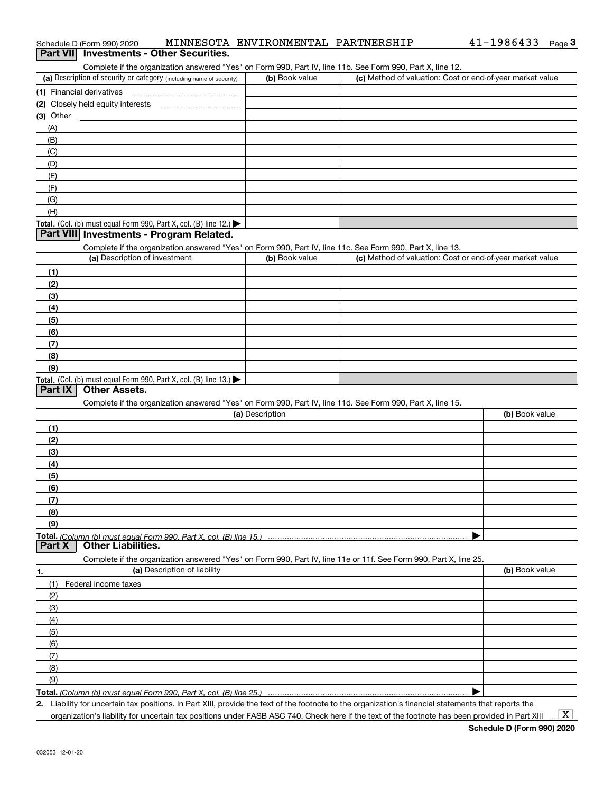| Complete if the organization answered "Yes" on Form 990, Part IV, line 11b. See Form 990, Part X, line 12.                                              |                 |                                                           |                |
|---------------------------------------------------------------------------------------------------------------------------------------------------------|-----------------|-----------------------------------------------------------|----------------|
| (a) Description of security or category (including name of security)                                                                                    | (b) Book value  | (c) Method of valuation: Cost or end-of-year market value |                |
| (1) Financial derivatives                                                                                                                               |                 |                                                           |                |
|                                                                                                                                                         |                 |                                                           |                |
| $(3)$ Other                                                                                                                                             |                 |                                                           |                |
| (A)                                                                                                                                                     |                 |                                                           |                |
| (B)                                                                                                                                                     |                 |                                                           |                |
| (C)                                                                                                                                                     |                 |                                                           |                |
| (D)                                                                                                                                                     |                 |                                                           |                |
| (E)                                                                                                                                                     |                 |                                                           |                |
| (F)                                                                                                                                                     |                 |                                                           |                |
| (G)                                                                                                                                                     |                 |                                                           |                |
| (H)                                                                                                                                                     |                 |                                                           |                |
| <b>Total.</b> (Col. (b) must equal Form 990, Part X, col. (B) line $12$ .)                                                                              |                 |                                                           |                |
| Part VIII Investments - Program Related.                                                                                                                |                 |                                                           |                |
| Complete if the organization answered "Yes" on Form 990, Part IV, line 11c. See Form 990, Part X, line 13.                                              |                 |                                                           |                |
| (a) Description of investment                                                                                                                           | (b) Book value  | (c) Method of valuation: Cost or end-of-year market value |                |
| (1)                                                                                                                                                     |                 |                                                           |                |
| (2)                                                                                                                                                     |                 |                                                           |                |
| (3)                                                                                                                                                     |                 |                                                           |                |
| (4)                                                                                                                                                     |                 |                                                           |                |
| (5)                                                                                                                                                     |                 |                                                           |                |
| (6)                                                                                                                                                     |                 |                                                           |                |
| (7)                                                                                                                                                     |                 |                                                           |                |
| (8)                                                                                                                                                     |                 |                                                           |                |
| (9)                                                                                                                                                     |                 |                                                           |                |
|                                                                                                                                                         |                 |                                                           |                |
| <b>Total.</b> (Col. (b) must equal Form 990, Part X, col. (B) line 13.)<br><b>Other Assets.</b><br>Part IX                                              |                 |                                                           |                |
|                                                                                                                                                         |                 |                                                           |                |
| Complete if the organization answered "Yes" on Form 990, Part IV, line 11d. See Form 990, Part X, line 15.                                              | (a) Description |                                                           | (b) Book value |
|                                                                                                                                                         |                 |                                                           |                |
| (1)                                                                                                                                                     |                 |                                                           |                |
| (2)                                                                                                                                                     |                 |                                                           |                |
| (3)                                                                                                                                                     |                 |                                                           |                |
| (4)                                                                                                                                                     |                 |                                                           |                |
| (5)                                                                                                                                                     |                 |                                                           |                |
| (6)                                                                                                                                                     |                 |                                                           |                |
| (7)                                                                                                                                                     |                 |                                                           |                |
| (8)                                                                                                                                                     |                 |                                                           |                |
| (9)                                                                                                                                                     |                 |                                                           |                |
| <b>Total.</b> (Column (b) must equal Form 990. Part X. col. (B) line 15.) www.www.www.www.www.ww.ww.ww.ww.ww                                            |                 | ▶                                                         |                |
| Part X<br><b>Other Liabilities.</b>                                                                                                                     |                 |                                                           |                |
| Complete if the organization answered "Yes" on Form 990, Part IV, line 11e or 11f. See Form 990, Part X, line 25.<br>(a) Description of liability<br>1. |                 |                                                           | (b) Book value |
|                                                                                                                                                         |                 |                                                           |                |

|     | (a) Description of Ilability | (b) BOOK Value |
|-----|------------------------------|----------------|
| (1) | Federal income taxes         |                |
| (2) |                              |                |
| (3) |                              |                |
| (4) |                              |                |
| (5) |                              |                |
| (6) |                              |                |
| (7) |                              |                |
| (8) |                              |                |
| (9) |                              |                |
|     |                              |                |

**Total.**  *(Column (b) must equal Form 990, Part X, col. (B) line 25.)*

**2.** Liability for uncertain tax positions. In Part XIII, provide the text of the footnote to the organization's financial statements that reports the organization's liability for uncertain tax positions under FASB ASC 740. Check here if the text of the footnote has been provided in Part XIII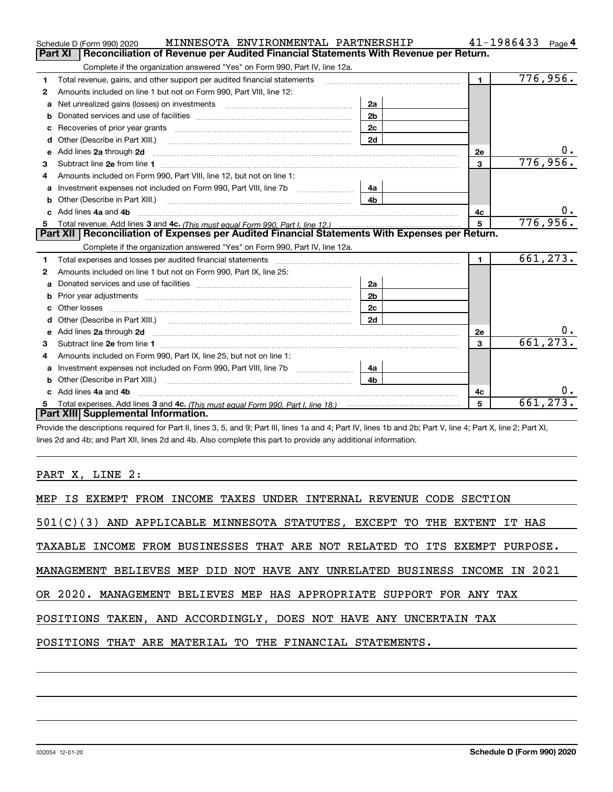|              | MINNESOTA ENVIRONMENTAL PARTNERSHIP<br>Schedule D (Form 990) 2020                                                                                                                                                                  |                |                | $41 - 1986433$ Page 4 |
|--------------|------------------------------------------------------------------------------------------------------------------------------------------------------------------------------------------------------------------------------------|----------------|----------------|-----------------------|
|              | <b>Part XI</b><br>Reconciliation of Revenue per Audited Financial Statements With Revenue per Return.                                                                                                                              |                |                |                       |
|              | Complete if the organization answered "Yes" on Form 990, Part IV, line 12a.                                                                                                                                                        |                |                |                       |
| 1            | Total revenue, gains, and other support per audited financial statements                                                                                                                                                           |                | $\blacksquare$ | 776,956.              |
| 2            | Amounts included on line 1 but not on Form 990, Part VIII, line 12:                                                                                                                                                                |                |                |                       |
| a            | Net unrealized gains (losses) on investments [11] matter contracts and the unrealized gains (losses) on investments                                                                                                                | 2a             |                |                       |
| b            |                                                                                                                                                                                                                                    | 2 <sub>b</sub> |                |                       |
| с            |                                                                                                                                                                                                                                    | 2c             |                |                       |
| d            | Other (Describe in Part XIII.)                                                                                                                                                                                                     | 2d             |                |                       |
| e            | Add lines 2a through 2d                                                                                                                                                                                                            |                | <b>2e</b>      |                       |
| 3            |                                                                                                                                                                                                                                    |                | 3              | 776,956.              |
|              | Amounts included on Form 990, Part VIII, line 12, but not on line 1:                                                                                                                                                               |                |                |                       |
| a            |                                                                                                                                                                                                                                    | 4a             |                |                       |
| b            | Other (Describe in Part XIII.)                                                                                                                                                                                                     | 4 <sub>b</sub> |                |                       |
| c.           | Add lines 4a and 4b                                                                                                                                                                                                                |                | 4с             |                       |
| 5            |                                                                                                                                                                                                                                    |                | 5              | 776,956.              |
|              | Part XII   Reconciliation of Expenses per Audited Financial Statements With Expenses per Return.                                                                                                                                   |                |                |                       |
|              | Complete if the organization answered "Yes" on Form 990, Part IV, line 12a.                                                                                                                                                        |                |                |                       |
| 1            | Total expenses and losses per audited financial statements [11] [11] Total expenses and losses per audited financial statements [11] [11] Total expenses and losses per audited financial statements                               |                | $\blacksquare$ | 661,273.              |
| $\mathbf{2}$ | Amounts included on line 1 but not on Form 990, Part IX, line 25:                                                                                                                                                                  |                |                |                       |
| a            |                                                                                                                                                                                                                                    | 2a             |                |                       |
| b            |                                                                                                                                                                                                                                    | 2 <sub>b</sub> |                |                       |
|              |                                                                                                                                                                                                                                    | 2 <sub>c</sub> |                |                       |
|              | Other (Describe in Part XIII.) (COLORADIAL CONSERVATION CONTROL)                                                                                                                                                                   | 2d             |                |                       |
| e            | Add lines 2a through 2d <b>manufactures</b> in the contract of the contract of the contract of the contract of the contract of the contract of the contract of the contract of the contract of the contract of the contract of the |                | 2e             |                       |
| 3            |                                                                                                                                                                                                                                    |                | 3              | 661, 273.             |
| 4            | Amounts included on Form 990, Part IX, line 25, but not on line 1:                                                                                                                                                                 |                |                |                       |
| a            |                                                                                                                                                                                                                                    | 4a             |                |                       |
| b            |                                                                                                                                                                                                                                    | 4b             |                |                       |
|              | Add lines 4a and 4b                                                                                                                                                                                                                |                | 4c             |                       |
|              |                                                                                                                                                                                                                                    |                | 5              | 661,273               |
|              | Part XIII Supplemental Information.                                                                                                                                                                                                |                |                |                       |

Provide the descriptions required for Part II, lines 3, 5, and 9; Part III, lines 1a and 4; Part IV, lines 1b and 2b; Part V, line 4; Part X, line 2; Part XI, lines 2d and 4b; and Part XII, lines 2d and 4b. Also complete this part to provide any additional information.

#### PART X, LINE 2:

| MEP IS EXEMPT FROM INCOME TAXES UNDER INTERNAL REVENUE CODE SECTION        |  |  |  |  |  |  |  |  |
|----------------------------------------------------------------------------|--|--|--|--|--|--|--|--|
| $501(C)(3)$ AND APPLICABLE MINNESOTA STATUTES, EXCEPT TO THE EXTENT IT HAS |  |  |  |  |  |  |  |  |
| TAXABLE INCOME FROM BUSINESSES THAT ARE NOT RELATED TO ITS EXEMPT PURPOSE. |  |  |  |  |  |  |  |  |
| MANAGEMENT BELIEVES MEP DID NOT HAVE ANY UNRELATED BUSINESS INCOME IN 2021 |  |  |  |  |  |  |  |  |
| OR 2020. MANAGEMENT BELIEVES MEP HAS APPROPRIATE SUPPORT FOR ANY TAX       |  |  |  |  |  |  |  |  |
| POSITIONS TAKEN, AND ACCORDINGLY, DOES NOT HAVE ANY UNCERTAIN TAX          |  |  |  |  |  |  |  |  |
| POSITIONS THAT ARE MATERIAL TO THE FINANCIAL STATEMENTS.                   |  |  |  |  |  |  |  |  |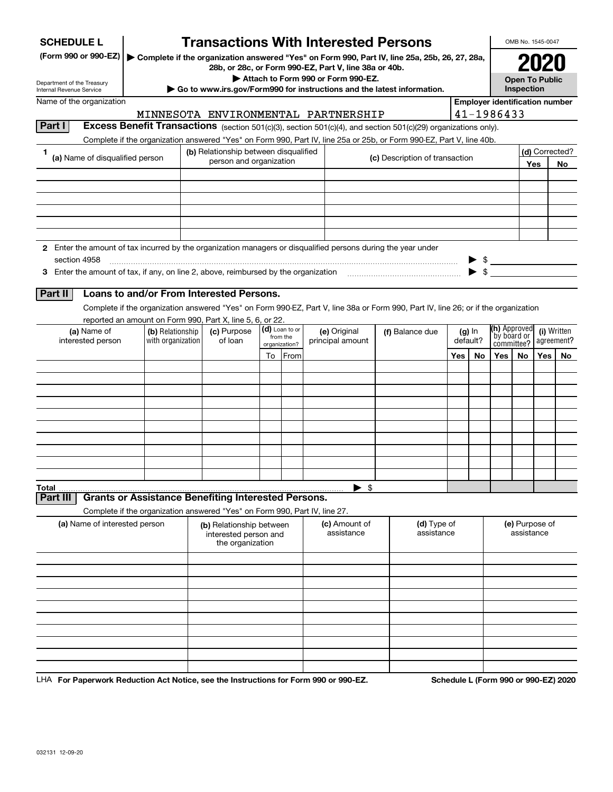| <b>SCHEDULE L</b>                                                                                                                                    |                                                                                               | <b>Transactions With Interested Persons</b>                                                 |    |                           |                                  |               |                 |                                |                      |    |                                                     | OMB No. 1545-0047 |     |                           |  |
|------------------------------------------------------------------------------------------------------------------------------------------------------|-----------------------------------------------------------------------------------------------|---------------------------------------------------------------------------------------------|----|---------------------------|----------------------------------|---------------|-----------------|--------------------------------|----------------------|----|-----------------------------------------------------|-------------------|-----|---------------------------|--|
| (Form 990 or 990-EZ)                                                                                                                                 | Complete if the organization answered "Yes" on Form 990, Part IV, line 25a, 25b, 26, 27, 28a, |                                                                                             |    |                           |                                  |               |                 |                                |                      |    |                                                     |                   |     |                           |  |
| Department of the Treasury                                                                                                                           |                                                                                               | 28b, or 28c, or Form 990-EZ, Part V, line 38a or 40b.<br>Attach to Form 990 or Form 990-EZ. |    |                           |                                  |               |                 |                                |                      |    | <b>Open To Public</b>                               |                   |     |                           |  |
| Internal Revenue Service                                                                                                                             |                                                                                               | Go to www.irs.gov/Form990 for instructions and the latest information.                      |    |                           |                                  |               |                 |                                |                      |    |                                                     | Inspection        |     |                           |  |
| Name of the organization                                                                                                                             | MINNESOTA ENVIRONMENTAL PARTNERSHIP                                                           |                                                                                             |    |                           |                                  |               |                 |                                |                      |    | <b>Employer identification number</b><br>41-1986433 |                   |     |                           |  |
| Part I<br>Excess Benefit Transactions (section 501(c)(3), section 501(c)(4), and section 501(c)(29) organizations only).                             |                                                                                               |                                                                                             |    |                           |                                  |               |                 |                                |                      |    |                                                     |                   |     |                           |  |
| Complete if the organization answered "Yes" on Form 990, Part IV, line 25a or 25b, or Form 990-EZ, Part V, line 40b.                                 |                                                                                               |                                                                                             |    |                           |                                  |               |                 |                                |                      |    |                                                     |                   |     |                           |  |
| 1<br>(a) Name of disqualified person                                                                                                                 |                                                                                               | (b) Relationship between disqualified<br>person and organization                            |    |                           |                                  |               |                 | (c) Description of transaction |                      |    |                                                     |                   |     | (d) Corrected?            |  |
|                                                                                                                                                      |                                                                                               |                                                                                             |    |                           |                                  |               |                 |                                |                      |    |                                                     |                   | Yes | No                        |  |
|                                                                                                                                                      |                                                                                               |                                                                                             |    |                           |                                  |               |                 |                                |                      |    |                                                     |                   |     |                           |  |
|                                                                                                                                                      |                                                                                               |                                                                                             |    |                           |                                  |               |                 |                                |                      |    |                                                     |                   |     |                           |  |
|                                                                                                                                                      |                                                                                               |                                                                                             |    |                           |                                  |               |                 |                                |                      |    |                                                     |                   |     |                           |  |
|                                                                                                                                                      |                                                                                               |                                                                                             |    |                           |                                  |               |                 |                                |                      |    |                                                     |                   |     |                           |  |
| 2 Enter the amount of tax incurred by the organization managers or disqualified persons during the year under                                        |                                                                                               |                                                                                             |    |                           |                                  |               |                 |                                |                      |    |                                                     |                   |     |                           |  |
| section 4958                                                                                                                                         |                                                                                               |                                                                                             |    |                           |                                  |               |                 |                                |                      |    | $\frac{1}{2}$                                       |                   |     |                           |  |
|                                                                                                                                                      |                                                                                               |                                                                                             |    |                           |                                  |               |                 |                                |                      | \$ |                                                     |                   |     |                           |  |
| Loans to and/or From Interested Persons.<br>Part II                                                                                                  |                                                                                               |                                                                                             |    |                           |                                  |               |                 |                                |                      |    |                                                     |                   |     |                           |  |
| Complete if the organization answered "Yes" on Form 990-EZ, Part V, line 38a or Form 990, Part IV, line 26; or if the organization                   |                                                                                               |                                                                                             |    |                           |                                  |               |                 |                                |                      |    |                                                     |                   |     |                           |  |
| reported an amount on Form 990, Part X, line 5, 6, or 22.                                                                                            |                                                                                               |                                                                                             |    | (d) Loan to or            |                                  |               |                 |                                |                      |    | (h) Approved                                        |                   |     |                           |  |
| (a) Name of<br>interested person                                                                                                                     | (b) Relationship<br>with organization                                                         | (c) Purpose<br>of loan                                                                      |    | from the<br>organization? | (e) Original<br>principal amount |               | (f) Balance due |                                | $(g)$ In<br>default? |    | by board or<br>committee?                           |                   |     | (i) Written<br>agreement? |  |
|                                                                                                                                                      |                                                                                               |                                                                                             | To | From                      |                                  |               |                 | Yes<br>No                      |                      |    | Yes                                                 | No.               | Yes | No                        |  |
|                                                                                                                                                      |                                                                                               |                                                                                             |    |                           |                                  |               |                 |                                |                      |    |                                                     |                   |     |                           |  |
|                                                                                                                                                      |                                                                                               |                                                                                             |    |                           |                                  |               |                 |                                |                      |    |                                                     |                   |     |                           |  |
|                                                                                                                                                      |                                                                                               |                                                                                             |    |                           |                                  |               |                 |                                |                      |    |                                                     |                   |     |                           |  |
|                                                                                                                                                      |                                                                                               |                                                                                             |    |                           |                                  |               |                 |                                |                      |    |                                                     |                   |     |                           |  |
|                                                                                                                                                      |                                                                                               |                                                                                             |    |                           |                                  |               |                 |                                |                      |    |                                                     |                   |     |                           |  |
|                                                                                                                                                      |                                                                                               |                                                                                             |    |                           |                                  |               |                 |                                |                      |    |                                                     |                   |     |                           |  |
|                                                                                                                                                      |                                                                                               |                                                                                             |    |                           |                                  |               |                 |                                |                      |    |                                                     |                   |     |                           |  |
|                                                                                                                                                      |                                                                                               |                                                                                             |    |                           |                                  |               |                 |                                |                      |    |                                                     |                   |     |                           |  |
| Total                                                                                                                                                |                                                                                               |                                                                                             |    |                           |                                  | - \$          |                 |                                |                      |    |                                                     |                   |     |                           |  |
| <b>Grants or Assistance Benefiting Interested Persons.</b><br>Part III<br>Complete if the organization answered "Yes" on Form 990, Part IV, line 27. |                                                                                               |                                                                                             |    |                           |                                  |               |                 |                                |                      |    |                                                     |                   |     |                           |  |
| (a) Name of interested person                                                                                                                        |                                                                                               | (b) Relationship between                                                                    |    |                           |                                  | (c) Amount of |                 | (d) Type of                    |                      |    |                                                     | (e) Purpose of    |     |                           |  |
|                                                                                                                                                      |                                                                                               | interested person and<br>the organization                                                   |    |                           |                                  | assistance    |                 | assistance                     |                      |    |                                                     | assistance        |     |                           |  |
|                                                                                                                                                      |                                                                                               |                                                                                             |    |                           |                                  |               |                 |                                |                      |    |                                                     |                   |     |                           |  |
|                                                                                                                                                      |                                                                                               |                                                                                             |    |                           |                                  |               |                 |                                |                      |    |                                                     |                   |     |                           |  |
|                                                                                                                                                      |                                                                                               |                                                                                             |    |                           |                                  |               |                 |                                |                      |    |                                                     |                   |     |                           |  |
|                                                                                                                                                      |                                                                                               |                                                                                             |    |                           |                                  |               |                 |                                |                      |    |                                                     |                   |     |                           |  |
|                                                                                                                                                      |                                                                                               |                                                                                             |    |                           |                                  |               |                 |                                |                      |    |                                                     |                   |     |                           |  |
|                                                                                                                                                      |                                                                                               |                                                                                             |    |                           |                                  |               |                 |                                |                      |    |                                                     |                   |     |                           |  |
|                                                                                                                                                      |                                                                                               |                                                                                             |    |                           |                                  |               |                 |                                |                      |    |                                                     |                   |     |                           |  |
|                                                                                                                                                      |                                                                                               |                                                                                             |    |                           |                                  |               |                 |                                |                      |    |                                                     |                   |     |                           |  |

LHA For Paperwork Reduction Act Notice, see the Instructions for Form 990 or 990-EZ. Schedule L (Form 990 or 990-EZ) 2020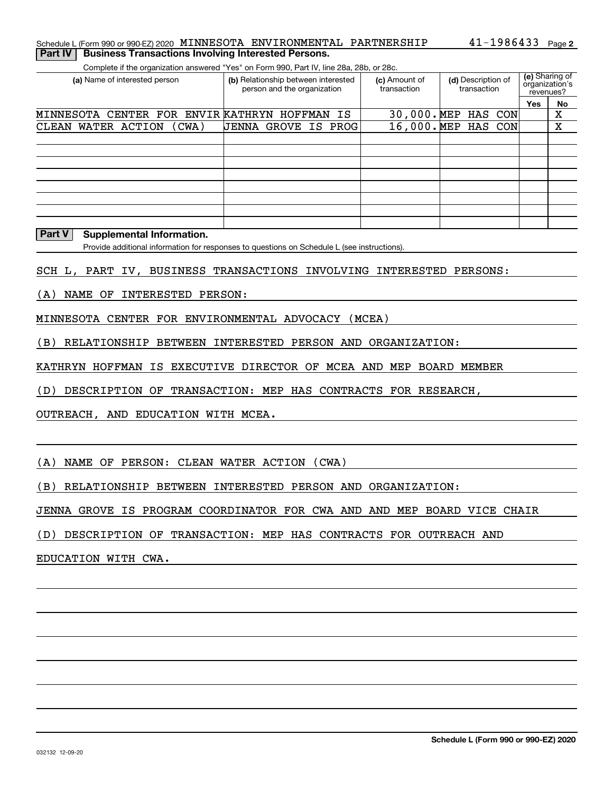#### **2**Schedule L (Form 990 or 990-EZ) 2020 Page 41-1986433 MINNESOTA ENVIRONMENTAL PARTNERSHIP**Part IV | Business Transactions Involving Interested Persons.**

Complete if the organization answered "Yes" on Form 990, Part IV, line 28a, 28b, or 28c.

| (a) Name of interested person         | (b) Relationship between interested<br>person and the organization | (c) Amount of<br>transaction | (d) Description of<br>transaction | revenues?  | (e) Sharing of<br>organization's |
|---------------------------------------|--------------------------------------------------------------------|------------------------------|-----------------------------------|------------|----------------------------------|
|                                       |                                                                    |                              |                                   | <b>Yes</b> | No                               |
| CENTER FOR ENVIR KATHRYN<br>MINNESOTA | HOFFMAN IS                                                         |                              | 30,000. MEP HAS CON               |            | х                                |
| (CWA)<br>CLEAN WATER ACTION           | <b>JENNA GROVE IS PROG!</b>                                        |                              | 16,000. MEP HAS CON               |            | х                                |
|                                       |                                                                    |                              |                                   |            |                                  |
|                                       |                                                                    |                              |                                   |            |                                  |
|                                       |                                                                    |                              |                                   |            |                                  |
|                                       |                                                                    |                              |                                   |            |                                  |
|                                       |                                                                    |                              |                                   |            |                                  |
|                                       |                                                                    |                              |                                   |            |                                  |
|                                       |                                                                    |                              |                                   |            |                                  |
|                                       |                                                                    |                              |                                   |            |                                  |

#### **Part V** Supplemental Information.

Provide additional information for responses to questions on Schedule L (see instructions).

SCH L, PART IV, BUSINESS TRANSACTIONS INVOLVING INTERESTED PERSONS:

(A) NAME OF INTERESTED PERSON:

MINNESOTA CENTER FOR ENVIRONMENTAL ADVOCACY (MCEA)

(B) RELATIONSHIP BETWEEN INTERESTED PERSON AND ORGANIZATION:

KATHRYN HOFFMAN IS EXECUTIVE DIRECTOR OF MCEA AND MEP BOARD MEMBER

(D) DESCRIPTION OF TRANSACTION: MEP HAS CONTRACTS FOR RESEARCH,

OUTREACH, AND EDUCATION WITH MCEA.

(A) NAME OF PERSON: CLEAN WATER ACTION (CWA)

(B) RELATIONSHIP BETWEEN INTERESTED PERSON AND ORGANIZATION:

JENNA GROVE IS PROGRAM COORDINATOR FOR CWA AND AND MEP BOARD VICE CHAIR

(D) DESCRIPTION OF TRANSACTION: MEP HAS CONTRACTS FOR OUTREACH AND

EDUCATION WITH CWA.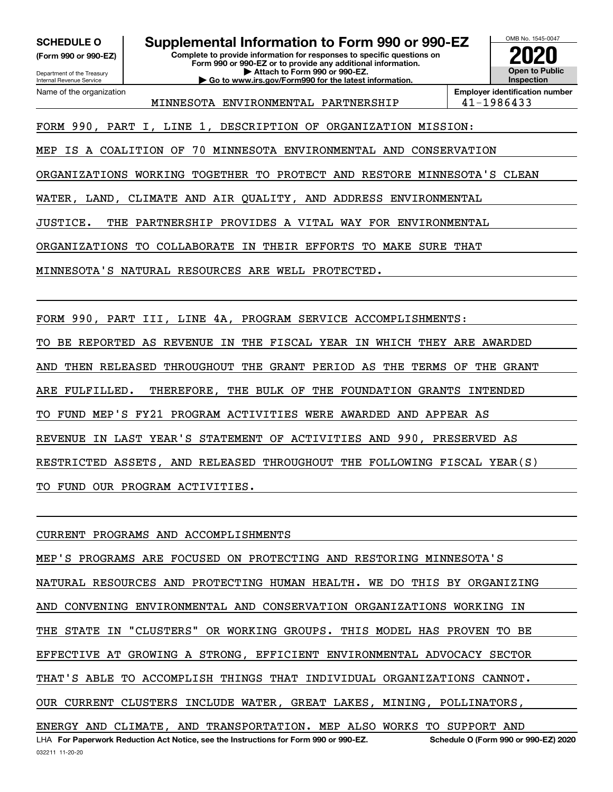Department of the Treasury **(Form 990 or 990-EZ)**

Name of the organization

Internal Revenue Service

**Complete to provide information for responses to specific questions on SCHEDULE O Supplemental Information to Form 990 or 990-EZ**

**Form 990 or 990-EZ or to provide any additional information. | Attach to Form 990 or 990-EZ. | Go to www.irs.gov/Form990 for the latest information.**

OMB No. 1545-0047 **Open to Public Inspection2020**

MINNESOTA ENVIRONMENTAL PARTNERSHIP | 41-1986433

**Employer identification number**

FORM 990, PART I, LINE 1, DESCRIPTION OF ORGANIZATION MISSION:

MEP IS A COALITION OF 70 MINNESOTA ENVIRONMENTAL AND CONSERVATION

ORGANIZATIONS WORKING TOGETHER TO PROTECT AND RESTORE MINNESOTA'S CLEAN

WATER, LAND, CLIMATE AND AIR QUALITY, AND ADDRESS ENVIRONMENTAL

JUSTICE. THE PARTNERSHIP PROVIDES A VITAL WAY FOR ENVIRONMENTAL

ORGANIZATIONS TO COLLABORATE IN THEIR EFFORTS TO MAKE SURE THAT

MINNESOTA'S NATURAL RESOURCES ARE WELL PROTECTED.

FORM 990, PART III, LINE 4A, PROGRAM SERVICE ACCOMPLISHMENTS:

TO BE REPORTED AS REVENUE IN THE FISCAL YEAR IN WHICH THEY ARE AWARDED

AND THEN RELEASED THROUGHOUT THE GRANT PERIOD AS THE TERMS OF THE GRANT

ARE FULFILLED. THEREFORE, THE BULK OF THE FOUNDATION GRANTS INTENDED

TO FUND MEP'S FY21 PROGRAM ACTIVITIES WERE AWARDED AND APPEAR AS

REVENUE IN LAST YEAR'S STATEMENT OF ACTIVITIES AND 990, PRESERVED AS

RESTRICTED ASSETS, AND RELEASED THROUGHOUT THE FOLLOWING FISCAL YEAR(S)

TO FUND OUR PROGRAM ACTIVITIES.

CURRENT PROGRAMS AND ACCOMPLISHMENTS

LHA For Paperwork Reduction Act Notice, see the Instructions for Form 990 or 990-EZ. Schedule O (Form 990 or 990-EZ) 2020 MEP'S PROGRAMS ARE FOCUSED ON PROTECTING AND RESTORING MINNESOTA'S NATURAL RESOURCES AND PROTECTING HUMAN HEALTH. WE DO THIS BY ORGANIZING AND CONVENING ENVIRONMENTAL AND CONSERVATION ORGANIZATIONS WORKING IN THE STATE IN "CLUSTERS" OR WORKING GROUPS. THIS MODEL HAS PROVEN TO BE EFFECTIVE AT GROWING A STRONG, EFFICIENT ENVIRONMENTAL ADVOCACY SECTOR THAT'S ABLE TO ACCOMPLISH THINGS THAT INDIVIDUAL ORGANIZATIONS CANNOT. OUR CURRENT CLUSTERS INCLUDE WATER, GREAT LAKES, MINING, POLLINATORS, ENERGY AND CLIMATE, AND TRANSPORTATION. MEP ALSO WORKS TO SUPPORT AND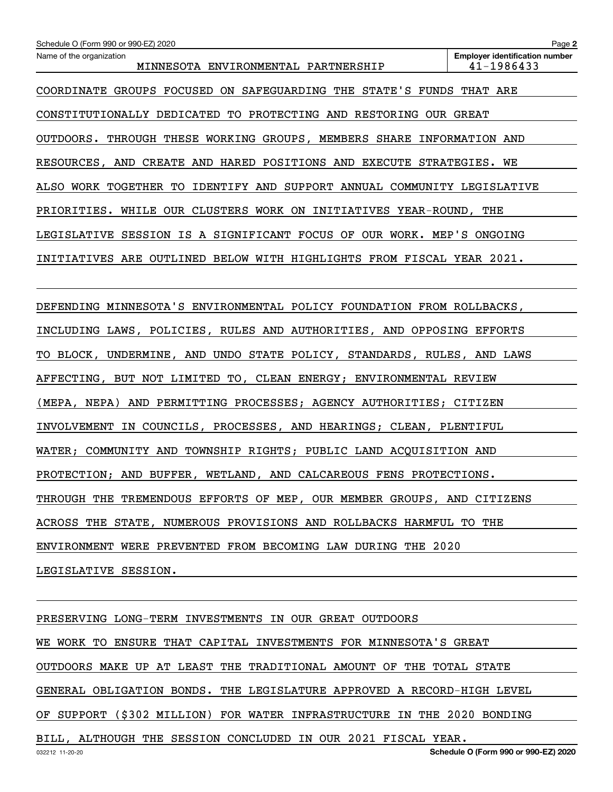| Schedule O (Form 990 or 990-EZ) 2020                                             | Page 2                                              |
|----------------------------------------------------------------------------------|-----------------------------------------------------|
| Name of the organization<br>MINNESOTA ENVIRONMENTAL PARTNERSHIP                  | <b>Emplover identification number</b><br>41-1986433 |
| COORDINATE GROUPS FOCUSED ON SAFEGUARDING THE STATE'S FUNDS THAT ARE             |                                                     |
| CONSTITUTIONALLY DEDICATED TO PROTECTING AND RESTORING OUR GREAT                 |                                                     |
| OUTDOORS. THROUGH THESE WORKING GROUPS, MEMBERS SHARE INFORMATION AND            |                                                     |
| RESOURCES, AND CREATE AND HARED POSITIONS AND EXECUTE STRATEGIES. WE             |                                                     |
| ALSO WORK TOGETHER TO IDENTIFY AND SUPPORT ANNUAL COMMUNITY LEGISLATIVE          |                                                     |
| PRIORITIES. WHILE OUR CLUSTERS WORK ON INITIATIVES YEAR-ROUND, THE               |                                                     |
| LEGISLATIVE SESSION IS A SIGNIFICANT FOCUS OF OUR WORK. MEP'S ONGOING            |                                                     |
| INITIATIVES ARE OUTLINED BELOW WITH HIGHLIGHTS FROM FISCAL YEAR 2021.            |                                                     |
|                                                                                  |                                                     |
| DEFENDING MINNESOTA'S ENVIRONMENTAL POLICY FOUNDATION FROM ROLLBACKS,            |                                                     |
| INCLUDING LAWS, POLICIES, RULES AND AUTHORITIES, AND OPPOSING EFFORTS            |                                                     |
| TO BLOCK, UNDERMINE, AND UNDO STATE POLICY, STANDARDS, RULES, AND LAWS           |                                                     |
| AFFECTING, BUT NOT LIMITED TO, CLEAN ENERGY; ENVIRONMENTAL REVIEW                |                                                     |
| (MEPA, NEPA) AND PERMITTING PROCESSES; AGENCY AUTHORITIES; CITIZEN               |                                                     |
| INVOLVEMENT IN COUNCILS, PROCESSES, AND HEARINGS; CLEAN, PLENTIFUL               |                                                     |
| WATER; COMMUNITY AND TOWNSHIP RIGHTS; PUBLIC LAND ACQUISITION AND                |                                                     |
| PROTECTION; AND BUFFER, WETLAND, AND CALCAREOUS FENS PROTECTIONS.                |                                                     |
| THROUGH THE TREMENDOUS EFFORTS OF MEP, OUR MEMBER GROUPS, AND CITIZENS           |                                                     |
| ACROSS THE STATE, NUMEROUS PROVISIONS AND ROLLBACKS HARMFUL TO THE               |                                                     |
| ENVIRONMENT WERE PREVENTED FROM BECOMING LAW DURING THE 2020                     |                                                     |
| LEGISLATIVE SESSION.                                                             |                                                     |
|                                                                                  |                                                     |
| PRESERVING LONG-TERM INVESTMENTS IN OUR GREAT OUTDOORS                           |                                                     |
| WE WORK TO ENSURE THAT CAPITAL INVESTMENTS FOR MINNESOTA'S GREAT                 |                                                     |
| OUTDOORS MAKE UP AT LEAST THE TRADITIONAL AMOUNT OF THE TOTAL STATE              |                                                     |
| GENERAL OBLIGATION BONDS. THE LEGISLATURE APPROVED A RECORD-HIGH LEVEL           |                                                     |
| OF SUPPORT (\$302 MILLION) FOR WATER INFRASTRUCTURE IN THE 2020 BONDING          |                                                     |
| BILL, ALTHOUGH THE SESSION CONCLUDED IN OUR 2021 FISCAL YEAR.<br>032212 11-20-20 | Schedule O (Form 990 or 990-EZ) 2020                |
|                                                                                  |                                                     |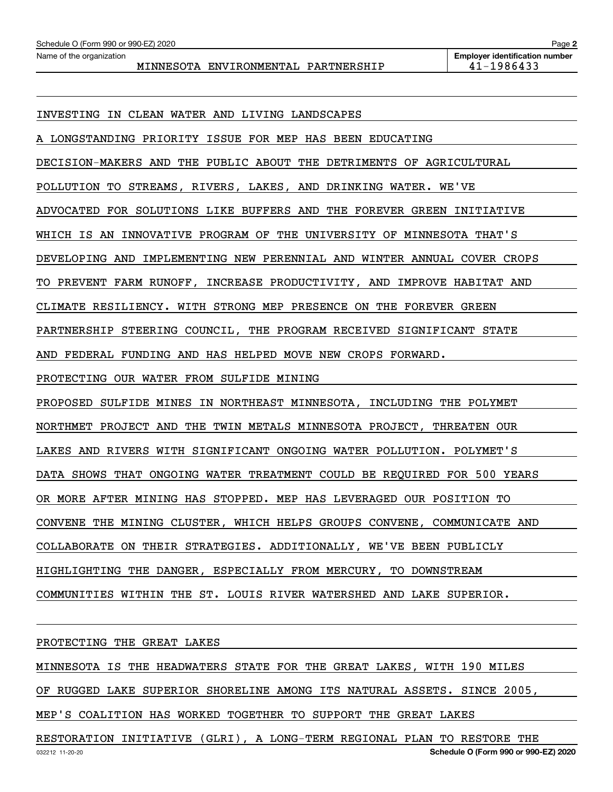MINNESOTA ENVIRONMENTAL PARTNERSHIP 41-1986433

INVESTING IN CLEAN WATER AND LIVING LANDSCAPES

A LONGSTANDING PRIORITY ISSUE FOR MEP HAS BEEN EDUCATING

DECISION-MAKERS AND THE PUBLIC ABOUT THE DETRIMENTS OF AGRICULTURAL

POLLUTION TO STREAMS, RIVERS, LAKES, AND DRINKING WATER. WE'VE

ADVOCATED FOR SOLUTIONS LIKE BUFFERS AND THE FOREVER GREEN INITIATIVE

WHICH IS AN INNOVATIVE PROGRAM OF THE UNIVERSITY OF MINNESOTA THAT'S

DEVELOPING AND IMPLEMENTING NEW PERENNIAL AND WINTER ANNUAL COVER CROPS

TO PREVENT FARM RUNOFF, INCREASE PRODUCTIVITY, AND IMPROVE HABITAT AND

CLIMATE RESILIENCY. WITH STRONG MEP PRESENCE ON THE FOREVER GREEN

PARTNERSHIP STEERING COUNCIL, THE PROGRAM RECEIVED SIGNIFICANT STATE

AND FEDERAL FUNDING AND HAS HELPED MOVE NEW CROPS FORWARD.

PROTECTING OUR WATER FROM SULFIDE MINING

PROPOSED SULFIDE MINES IN NORTHEAST MINNESOTA, INCLUDING THE POLYMET

NORTHMET PROJECT AND THE TWIN METALS MINNESOTA PROJECT, THREATEN OUR

LAKES AND RIVERS WITH SIGNIFICANT ONGOING WATER POLLUTION. POLYMET'S

DATA SHOWS THAT ONGOING WATER TREATMENT COULD BE REQUIRED FOR 500 YEARS

OR MORE AFTER MINING HAS STOPPED. MEP HAS LEVERAGED OUR POSITION TO

CONVENE THE MINING CLUSTER, WHICH HELPS GROUPS CONVENE, COMMUNICATE AND

COLLABORATE ON THEIR STRATEGIES. ADDITIONALLY, WE'VE BEEN PUBLICLY

HIGHLIGHTING THE DANGER, ESPECIALLY FROM MERCURY, TO DOWNSTREAM

COMMUNITIES WITHIN THE ST. LOUIS RIVER WATERSHED AND LAKE SUPERIOR.

PROTECTING THE GREAT LAKES

MINNESOTA IS THE HEADWATERS STATE FOR THE GREAT LAKES, WITH 190 MILES OF RUGGED LAKE SUPERIOR SHORELINE AMONG ITS NATURAL ASSETS. SINCE 2005, MEP'S COALITION HAS WORKED TOGETHER TO SUPPORT THE GREAT LAKES

032212 11-20-20 RESTORATION INITIATIVE (GLRI), A LONG-TERM REGIONAL PLAN TO RESTORE THE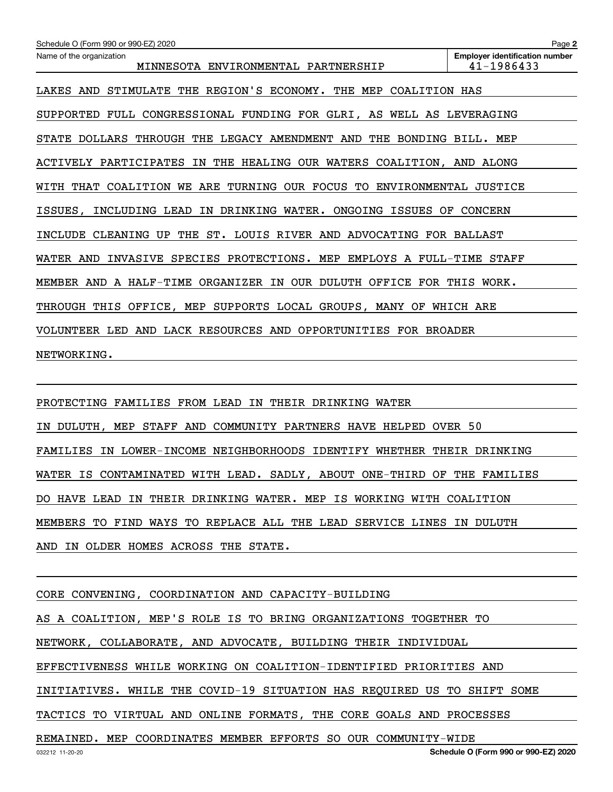| Schedule O (Form 990 or 990-EZ) 2020                                       | Page 2                                              |
|----------------------------------------------------------------------------|-----------------------------------------------------|
| Name of the organization<br>MINNESOTA ENVIRONMENTAL PARTNERSHIP            | <b>Employer identification number</b><br>41-1986433 |
| STIMULATE THE REGION'S ECONOMY. THE MEP<br>COALITION HAS<br>LAKES AND      |                                                     |
| SUPPORTED FULL CONGRESSIONAL FUNDING FOR GLRI, AS WELL AS LEVERAGING       |                                                     |
| STATE DOLLARS THROUGH THE LEGACY AMENDMENT AND<br>THE BONDING BILL. MEP    |                                                     |
| ACTIVELY PARTICIPATES<br>IN<br>THE HEALING OUR WATERS COALITION, AND ALONG |                                                     |
| WITH THAT COALITION WE ARE TURNING OUR FOCUS TO ENVIRONMENTAL JUSTICE      |                                                     |
| INCLUDING LEAD<br>IN DRINKING WATER. ONGOING ISSUES OF<br>ISSUES,          | CONCERN                                             |
| THE ST. LOUIS RIVER AND ADVOCATING FOR BALLAST<br>INCLUDE CLEANING<br>UP   |                                                     |
| INVASIVE SPECIES PROTECTIONS. MEP EMPLOYS A FULL-TIME STAFF<br>WATER AND   |                                                     |
| MEMBER AND A HALF-TIME ORGANIZER IN OUR DULUTH OFFICE FOR THIS WORK.       |                                                     |
| THROUGH THIS OFFICE, MEP SUPPORTS LOCAL GROUPS, MANY OF WHICH ARE          |                                                     |
| VOLUNTEER LED AND LACK RESOURCES AND OPPORTUNITIES FOR BROADER             |                                                     |
| NETWORKING.                                                                |                                                     |

PROTECTING FAMILIES FROM LEAD IN THEIR DRINKING WATER IN DULUTH, MEP STAFF AND COMMUNITY PARTNERS HAVE HELPED OVER 50 FAMILIES IN LOWER-INCOME NEIGHBORHOODS IDENTIFY WHETHER THEIR DRINKING WATER IS CONTAMINATED WITH LEAD. SADLY, ABOUT ONE-THIRD OF THE FAMILIES DO HAVE LEAD IN THEIR DRINKING WATER. MEP IS WORKING WITH COALITION MEMBERS TO FIND WAYS TO REPLACE ALL THE LEAD SERVICE LINES IN DULUTH AND IN OLDER HOMES ACROSS THE STATE.

CORE CONVENING, COORDINATION AND CAPACITY-BUILDING

AS A COALITION, MEP'S ROLE IS TO BRING ORGANIZATIONS TOGETHER TO

NETWORK, COLLABORATE, AND ADVOCATE, BUILDING THEIR INDIVIDUAL

EFFECTIVENESS WHILE WORKING ON COALITION-IDENTIFIED PRIORITIES AND

INITIATIVES. WHILE THE COVID-19 SITUATION HAS REQUIRED US TO SHIFT SOME

TACTICS TO VIRTUAL AND ONLINE FORMATS, THE CORE GOALS AND PROCESSES

REMAINED. MEP COORDINATES MEMBER EFFORTS SO OUR COMMUNITY-WIDE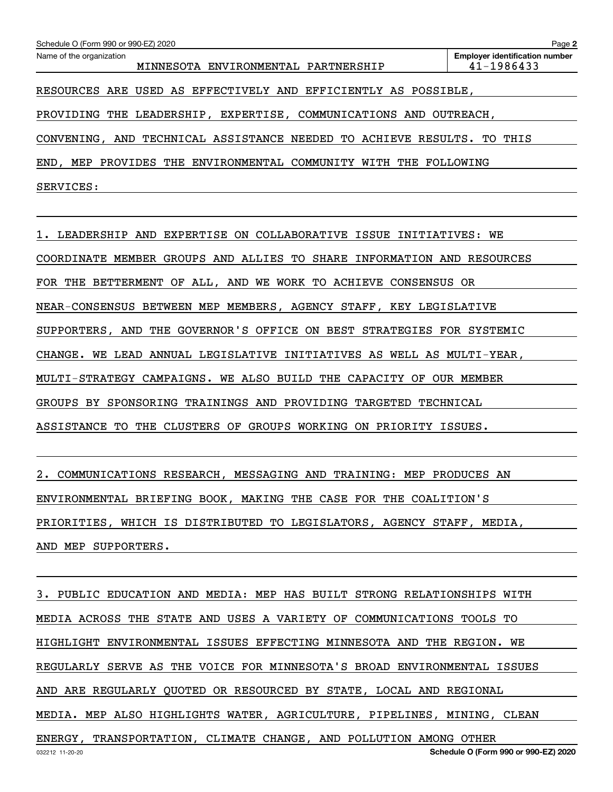| Schedule O (Form 990 or 990-EZ) 2020                                   | Page 2                                              |
|------------------------------------------------------------------------|-----------------------------------------------------|
| Name of the organization<br>MINNESOTA ENVIRONMENTAL PARTNERSHIP        | <b>Employer identification number</b><br>41-1986433 |
| RESOURCES ARE USED AS EFFECTIVELY AND EFFICIENTLY AS POSSIBLE,         |                                                     |
| PROVIDING THE LEADERSHIP, EXPERTISE, COMMUNICATIONS AND OUTREACH,      |                                                     |
| CONVENING, AND TECHNICAL ASSISTANCE NEEDED TO ACHIEVE RESULTS. TO THIS |                                                     |
| END, MEP PROVIDES THE ENVIRONMENTAL COMMUNITY WITH THE FOLLOWING       |                                                     |
| SERVICES:                                                              |                                                     |
|                                                                        |                                                     |
| 1. LEADERSHIP AND EXPERTISE ON COLLABORATIVE ISSUE INITIATIVES: WE     |                                                     |
| COORDINATE MEMBER GROUPS AND ALLIES TO SHARE INFORMATION AND RESOURCES |                                                     |
| FOR THE BETTERMENT OF ALL, AND WE WORK TO ACHIEVE CONSENSUS OR         |                                                     |
| NEAR-CONSENSUS BETWEEN MEP MEMBERS, AGENCY STAFF, KEY LEGISLATIVE      |                                                     |
| SUPPORTERS, AND THE GOVERNOR'S OFFICE ON BEST STRATEGIES FOR SYSTEMIC  |                                                     |
| CHANGE. WE LEAD ANNUAL LEGISLATIVE INITIATIVES AS WELL AS MULTI-YEAR,  |                                                     |

MULTI-STRATEGY CAMPAIGNS. WE ALSO BUILD THE CAPACITY OF OUR MEMBER

GROUPS BY SPONSORING TRAININGS AND PROVIDING TARGETED TECHNICAL

ASSISTANCE TO THE CLUSTERS OF GROUPS WORKING ON PRIORITY ISSUES.

2. COMMUNICATIONS RESEARCH, MESSAGING AND TRAINING: MEP PRODUCES AN ENVIRONMENTAL BRIEFING BOOK, MAKING THE CASE FOR THE COALITION'S PRIORITIES, WHICH IS DISTRIBUTED TO LEGISLATORS, AGENCY STAFF, MEDIA, AND MEP SUPPORTERS.

3. PUBLIC EDUCATION AND MEDIA: MEP HAS BUILT STRONG RELATIONSHIPS WITH MEDIA ACROSS THE STATE AND USES A VARIETY OF COMMUNICATIONS TOOLS TO HIGHLIGHT ENVIRONMENTAL ISSUES EFFECTING MINNESOTA AND THE REGION. WE REGULARLY SERVE AS THE VOICE FOR MINNESOTA'S BROAD ENVIRONMENTAL ISSUES AND ARE REGULARLY QUOTED OR RESOURCED BY STATE, LOCAL AND REGIONAL MEDIA. MEP ALSO HIGHLIGHTS WATER, AGRICULTURE, PIPELINES, MINING, CLEAN ENERGY, TRANSPORTATION, CLIMATE CHANGE, AND POLLUTION AMONG OTHER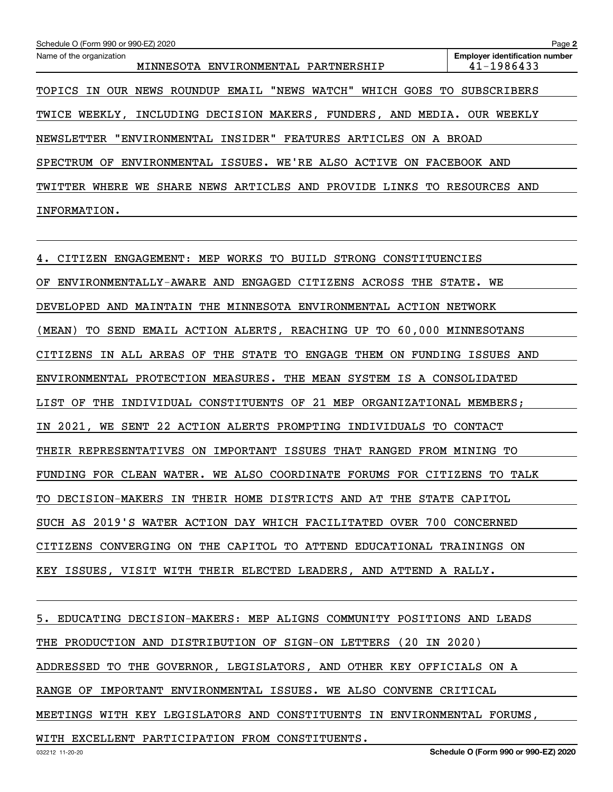| Schedule O (Form 990 or 990-EZ) 2020                                      | Page 2                                                  |
|---------------------------------------------------------------------------|---------------------------------------------------------|
| Name of the organization<br>MINNESOTA ENVIRONMENTAL PARTNERSHIP           | <b>Employer identification number</b><br>$41 - 1986433$ |
| NEWS ROUNDUP EMAIL "NEWS WATCH" WHICH GOES TO<br>TOPICS<br>ΙN.<br>OUR.    | <b>SUBSCRIBERS</b>                                      |
| TWICE WEEKLY, INCLUDING DECISION MAKERS, FUNDERS, AND MEDIA.              | OUR WEEKLY                                              |
| NEWSLETTER "ENVIRONMENTAL INSIDER" FEATURES ARTICLES ON A BROAD           |                                                         |
| ENVIRONMENTAL ISSUES. WE'RE ALSO ACTIVE ON FACEBOOK AND<br>SPECTRUM<br>OF |                                                         |
| SHARE NEWS ARTICLES AND PROVIDE LINKS TO<br>TWITTER<br>WE<br>WHERE        | RESOURCES AND                                           |
| INFORMATION.                                                              |                                                         |

4. CITIZEN ENGAGEMENT: MEP WORKS TO BUILD STRONG CONSTITUENCIES OF ENVIRONMENTALLY-AWARE AND ENGAGED CITIZENS ACROSS THE STATE. WE DEVELOPED AND MAINTAIN THE MINNESOTA ENVIRONMENTAL ACTION NETWORK (MEAN) TO SEND EMAIL ACTION ALERTS, REACHING UP TO 60,000 MINNESOTANS CITIZENS IN ALL AREAS OF THE STATE TO ENGAGE THEM ON FUNDING ISSUES AND ENVIRONMENTAL PROTECTION MEASURES. THE MEAN SYSTEM IS A CONSOLIDATED LIST OF THE INDIVIDUAL CONSTITUENTS OF 21 MEP ORGANIZATIONAL MEMBERS; IN 2021, WE SENT 22 ACTION ALERTS PROMPTING INDIVIDUALS TO CONTACT THEIR REPRESENTATIVES ON IMPORTANT ISSUES THAT RANGED FROM MINING TO FUNDING FOR CLEAN WATER. WE ALSO COORDINATE FORUMS FOR CITIZENS TO TALK TO DECISION-MAKERS IN THEIR HOME DISTRICTS AND AT THE STATE CAPITOL SUCH AS 2019'S WATER ACTION DAY WHICH FACILITATED OVER 700 CONCERNED CITIZENS CONVERGING ON THE CAPITOL TO ATTEND EDUCATIONAL TRAININGS ON KEY ISSUES, VISIT WITH THEIR ELECTED LEADERS, AND ATTEND A RALLY.

5. EDUCATING DECISION-MAKERS: MEP ALIGNS COMMUNITY POSITIONS AND LEADS THE PRODUCTION AND DISTRIBUTION OF SIGN-ON LETTERS (20 IN 2020) ADDRESSED TO THE GOVERNOR, LEGISLATORS, AND OTHER KEY OFFICIALS ON A RANGE OF IMPORTANT ENVIRONMENTAL ISSUES. WE ALSO CONVENE CRITICAL MEETINGS WITH KEY LEGISLATORS AND CONSTITUENTS IN ENVIRONMENTAL FORUMS, WITH EXCELLENT PARTICIPATION FROM CONSTITUENTS.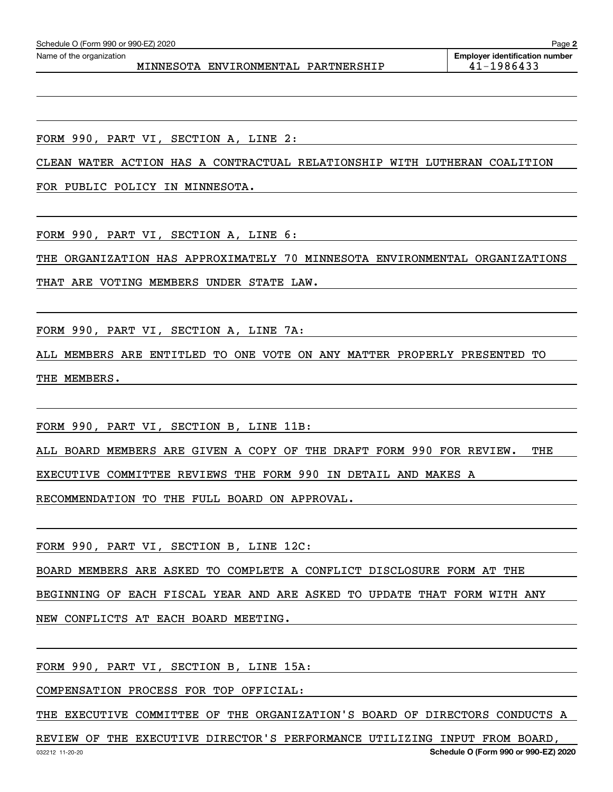FORM 990, PART VI, SECTION A, LINE 2:

CLEAN WATER ACTION HAS A CONTRACTUAL RELATIONSHIP WITH LUTHERAN COALITION

FOR PUBLIC POLICY IN MINNESOTA.

FORM 990, PART VI, SECTION A, LINE 6:

THE ORGANIZATION HAS APPROXIMATELY 70 MINNESOTA ENVIRONMENTAL ORGANIZATIONS

THAT ARE VOTING MEMBERS UNDER STATE LAW.

FORM 990, PART VI, SECTION A, LINE 7A:

ALL MEMBERS ARE ENTITLED TO ONE VOTE ON ANY MATTER PROPERLY PRESENTED TO THE MEMBERS.

FORM 990, PART VI, SECTION B, LINE 11B:

ALL BOARD MEMBERS ARE GIVEN A COPY OF THE DRAFT FORM 990 FOR REVIEW. THE

EXECUTIVE COMMITTEE REVIEWS THE FORM 990 IN DETAIL AND MAKES A

RECOMMENDATION TO THE FULL BOARD ON APPROVAL.

FORM 990, PART VI, SECTION B, LINE 12C:

BOARD MEMBERS ARE ASKED TO COMPLETE A CONFLICT DISCLOSURE FORM AT THE

BEGINNING OF EACH FISCAL YEAR AND ARE ASKED TO UPDATE THAT FORM WITH ANY

NEW CONFLICTS AT EACH BOARD MEETING.

FORM 990, PART VI, SECTION B, LINE 15A:

COMPENSATION PROCESS FOR TOP OFFICIAL:

THE EXECUTIVE COMMITTEE OF THE ORGANIZATION'S BOARD OF DIRECTORS CONDUCTS A

032212 11-20-20 **Schedule O (Form 990 or 990-EZ) 2020** REVIEW OF THE EXECUTIVE DIRECTOR'S PERFORMANCE UTILIZING INPUT FROM BOARD,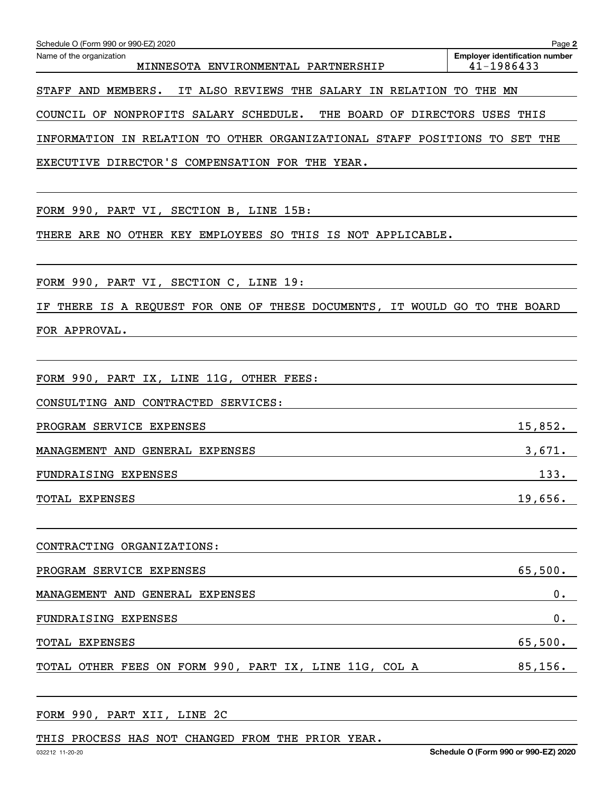| Schedule O (Form 990 or 990-EZ) 2020                                       | Page 2                                              |
|----------------------------------------------------------------------------|-----------------------------------------------------|
| Name of the organization<br>MINNESOTA ENVIRONMENTAL PARTNERSHIP            | <b>Employer identification number</b><br>41-1986433 |
| IT ALSO REVIEWS THE SALARY IN RELATION TO THE MN<br>STAFF AND MEMBERS.     |                                                     |
| COUNCIL OF NONPROFITS SALARY SCHEDULE. THE BOARD OF DIRECTORS USES THIS    |                                                     |
| INFORMATION IN RELATION TO OTHER ORGANIZATIONAL STAFF POSITIONS TO SET THE |                                                     |
| EXECUTIVE DIRECTOR'S COMPENSATION FOR THE YEAR.                            |                                                     |
|                                                                            |                                                     |
| FORM 990, PART VI, SECTION B, LINE 15B:                                    |                                                     |
| THERE ARE NO OTHER KEY EMPLOYEES SO THIS IS NOT APPLICABLE.                |                                                     |
|                                                                            |                                                     |
| FORM 990, PART VI, SECTION C, LINE 19:                                     |                                                     |
| IF THERE IS A REQUEST FOR ONE OF THESE DOCUMENTS, IT WOULD GO TO THE BOARD |                                                     |
| FOR APPROVAL.                                                              |                                                     |
|                                                                            |                                                     |
| FORM 990, PART IX, LINE 11G, OTHER FEES:                                   |                                                     |
| CONSULTING AND CONTRACTED SERVICES:                                        |                                                     |
| PROGRAM SERVICE EXPENSES                                                   | 15,852.                                             |
| MANAGEMENT AND GENERAL EXPENSES                                            | 3,671.                                              |
| FUNDRAISING EXPENSES                                                       | 133.                                                |
| TOTAL EXPENSES                                                             | $19,656$ .                                          |
|                                                                            |                                                     |
| CONTRACTING ORGANIZATIONS:                                                 |                                                     |
| $\sim$ 65,500.<br>PROGRAM SERVICE EXPENSES                                 |                                                     |
|                                                                            | $0 \cdot$                                           |
|                                                                            | 0.                                                  |
| TOTAL EXPENSES                                                             |                                                     |
| TOTAL OTHER FEES ON FORM 990, PART IX, LINE 11G, COL A 65,156.             |                                                     |
|                                                                            |                                                     |

FORM 990, PART XII, LINE 2C

THIS PROCESS HAS NOT CHANGED FROM THE PRIOR YEAR.